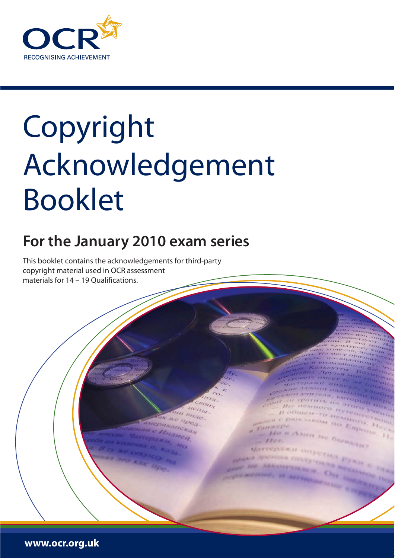

## Copyright Acknowledgement Booklet

## **For the January 2010 exam series**

OGILICAL-TO H

Ho a Azim ne Gun

**King** 

8800 **ADART FOR PURSUE** 

PRESERVENT TO ESTROL

**OMNOTO** 

This booklet contains the acknowledgements for third-party copyright material used in OCR assessment materials for 14 – 19 Qualifications.

**www.ocr.org.uk**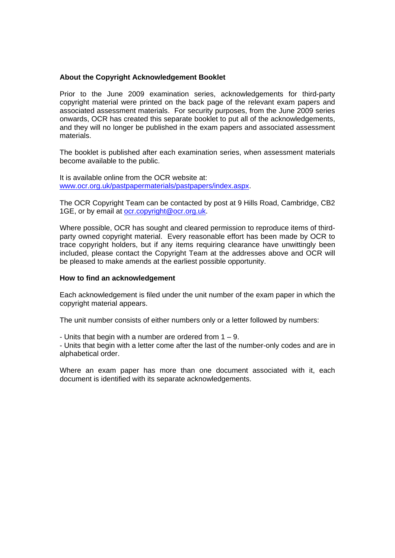## **About the Copyright Acknowledgement Booklet**

Prior to the June 2009 examination series, acknowledgements for third-party copyright material were printed on the back page of the relevant exam papers and associated assessment materials. For security purposes, from the June 2009 series onwards, OCR has created this separate booklet to put all of the acknowledgements, and they will no longer be published in the exam papers and associated assessment materials.

The booklet is published after each examination series, when assessment materials become available to the public.

It is available online from the OCR website at: [www.ocr.org.uk/pastpapermaterials/pastpapers/index.aspx.](http://www.ocr.org.uk/pastpapermaterials/pastpapers/index.aspx)

The OCR Copyright Team can be contacted by post at 9 Hills Road, Cambridge, CB2 1GE, or by email at [ocr.copyright@ocr.org.uk](mailto:ocr.copyright@ocr.org.uk).

Where possible, OCR has sought and cleared permission to reproduce items of thirdparty owned copyright material. Every reasonable effort has been made by OCR to trace copyright holders, but if any items requiring clearance have unwittingly been included, please contact the Copyright Team at the addresses above and OCR will be pleased to make amends at the earliest possible opportunity.

## **How to find an acknowledgement**

Each acknowledgement is filed under the unit number of the exam paper in which the copyright material appears.

The unit number consists of either numbers only or a letter followed by numbers:

- Units that begin with a number are ordered from  $1 - 9$ .

- Units that begin with a letter come after the last of the number-only codes and are in alphabetical order.

Where an exam paper has more than one document associated with it, each document is identified with its separate acknowledgements.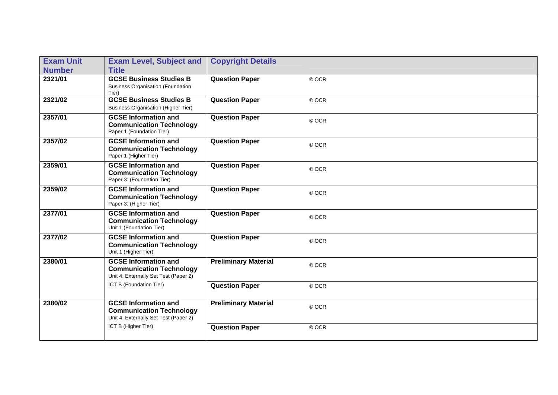| <b>Exam Unit</b> | <b>Exam Level, Subject and</b>                                                                          | <b>Copyright Details</b>    |       |
|------------------|---------------------------------------------------------------------------------------------------------|-----------------------------|-------|
| <b>Number</b>    | <b>Title</b>                                                                                            |                             |       |
| 2321/01          | <b>GCSE Business Studies B</b><br><b>Business Organisation (Foundation</b><br>Tier)                     | <b>Question Paper</b>       | © OCR |
| 2321/02          | <b>GCSE Business Studies B</b><br><b>Business Organisation (Higher Tier)</b>                            | <b>Question Paper</b>       | © OCR |
| 2357/01          | <b>GCSE Information and</b><br><b>Communication Technology</b><br>Paper 1 (Foundation Tier)             | <b>Question Paper</b>       | © OCR |
| 2357/02          | <b>GCSE Information and</b><br><b>Communication Technology</b><br>Paper 1 (Higher Tier)                 | <b>Question Paper</b>       | © OCR |
| 2359/01          | <b>GCSE Information and</b><br><b>Communication Technology</b><br>Paper 3: (Foundation Tier)            | <b>Question Paper</b>       | © OCR |
| 2359/02          | <b>GCSE Information and</b><br><b>Communication Technology</b><br>Paper 3: (Higher Tier)                | <b>Question Paper</b>       | © OCR |
| 2377/01          | <b>GCSE Information and</b><br><b>Communication Technology</b><br>Unit 1 (Foundation Tier)              | <b>Question Paper</b>       | © OCR |
| 2377/02          | <b>GCSE Information and</b><br><b>Communication Technology</b><br>Unit 1 (Higher Tier)                  | <b>Question Paper</b>       | © OCR |
| 2380/01          | <b>GCSE</b> Information and<br><b>Communication Technology</b><br>Unit 4: Externally Set Test (Paper 2) | <b>Preliminary Material</b> | © OCR |
|                  | ICT B (Foundation Tier)                                                                                 | <b>Question Paper</b>       | © OCR |
| 2380/02          | <b>GCSE Information and</b><br><b>Communication Technology</b><br>Unit 4: Externally Set Test (Paper 2) | <b>Preliminary Material</b> | © OCR |
|                  | ICT B (Higher Tier)                                                                                     | <b>Question Paper</b>       | © OCR |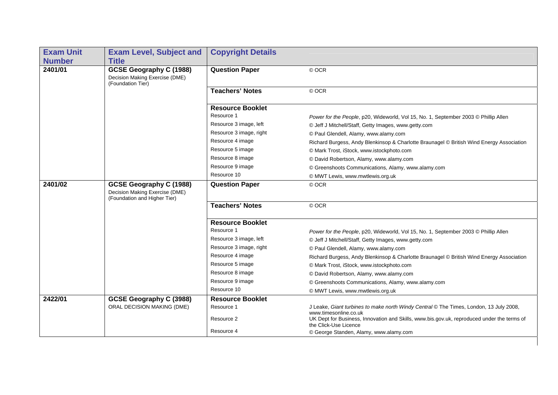| <b>Exam Unit</b><br><b>Number</b> | <b>Exam Level, Subject and</b><br><b>Title</b>                                            | <b>Copyright Details</b> |                                                                                                                     |
|-----------------------------------|-------------------------------------------------------------------------------------------|--------------------------|---------------------------------------------------------------------------------------------------------------------|
| 2401/01                           | GCSE Geography C (1988)<br>Decision Making Exercise (DME)                                 | <b>Question Paper</b>    | © OCR                                                                                                               |
|                                   | (Foundation Tier)                                                                         | <b>Teachers' Notes</b>   | © OCR                                                                                                               |
|                                   |                                                                                           | <b>Resource Booklet</b>  |                                                                                                                     |
|                                   |                                                                                           | Resource 1               | Power for the People, p20, Wideworld, Vol 15, No. 1, September 2003 © Phillip Allen                                 |
|                                   |                                                                                           | Resource 3 image, left   | © Jeff J Mitchell/Staff, Getty Images, www.getty.com                                                                |
|                                   |                                                                                           | Resource 3 image, right  | © Paul Glendell, Alamy, www.alamy.com                                                                               |
|                                   |                                                                                           | Resource 4 image         | Richard Burgess, Andy Blenkinsop & Charlotte Braunagel © British Wind Energy Association                            |
|                                   |                                                                                           | Resource 5 image         | © Mark Trost, iStock, www.istockphoto.com                                                                           |
|                                   |                                                                                           | Resource 8 image         | © David Robertson, Alamy, www.alamy.com                                                                             |
|                                   |                                                                                           | Resource 9 image         | © Greenshoots Communications, Alamy, www.alamy.com                                                                  |
|                                   |                                                                                           | Resource 10              | © MWT Lewis, www.mwtlewis.org.uk                                                                                    |
| 2401/02                           | GCSE Geography C (1988)<br>Decision Making Exercise (DME)<br>(Foundation and Higher Tier) | <b>Question Paper</b>    | © OCR                                                                                                               |
|                                   |                                                                                           | <b>Teachers' Notes</b>   | © OCR                                                                                                               |
|                                   |                                                                                           | <b>Resource Booklet</b>  |                                                                                                                     |
|                                   |                                                                                           | Resource 1               | Power for the People, p20, Wideworld, Vol 15, No. 1, September 2003 © Phillip Allen                                 |
|                                   |                                                                                           | Resource 3 image, left   | © Jeff J Mitchell/Staff, Getty Images, www.getty.com                                                                |
|                                   |                                                                                           | Resource 3 image, right  | © Paul Glendell, Alamy, www.alamy.com                                                                               |
|                                   |                                                                                           | Resource 4 image         | Richard Burgess, Andy Blenkinsop & Charlotte Braunagel © British Wind Energy Association                            |
|                                   |                                                                                           | Resource 5 image         | © Mark Trost, iStock, www.istockphoto.com                                                                           |
|                                   |                                                                                           | Resource 8 image         | © David Robertson, Alamy, www.alamy.com                                                                             |
|                                   |                                                                                           | Resource 9 image         | © Greenshoots Communications, Alamy, www.alamy.com                                                                  |
|                                   |                                                                                           | Resource 10              | © MWT Lewis, www.mwtlewis.org.uk                                                                                    |
| 2422/01                           | GCSE Geography C (3988)                                                                   | <b>Resource Booklet</b>  |                                                                                                                     |
|                                   | ORAL DECISION MAKING (DME)                                                                | Resource 1               | J Leake, Giant turbines to make north Windy Central © The Times, London, 13 July 2008,<br>www.timesonline.co.uk     |
|                                   |                                                                                           | Resource 2               | UK Dept for Business, Innovation and Skills, www.bis.gov.uk, reproduced under the terms of<br>the Click-Use Licence |
|                                   |                                                                                           | Resource 4               | © George Standen, Alamy, www.alamy.com                                                                              |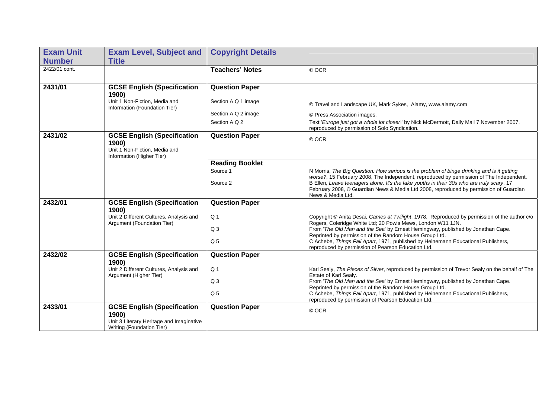| <b>Exam Unit</b> | <b>Exam Level, Subject and</b>                                                                            | <b>Copyright Details</b> |                                                                                                                                                                                                         |
|------------------|-----------------------------------------------------------------------------------------------------------|--------------------------|---------------------------------------------------------------------------------------------------------------------------------------------------------------------------------------------------------|
| <b>Number</b>    | <b>Title</b>                                                                                              |                          |                                                                                                                                                                                                         |
| 2422/01 cont.    |                                                                                                           | <b>Teachers' Notes</b>   | © OCR                                                                                                                                                                                                   |
| 2431/01          | <b>GCSE English (Specification</b><br>1900)                                                               | <b>Question Paper</b>    |                                                                                                                                                                                                         |
|                  | Unit 1 Non-Fiction, Media and<br>Information (Foundation Tier)                                            | Section A Q 1 image      | © Travel and Landscape UK, Mark Sykes, Alamy, www.alamy.com                                                                                                                                             |
|                  |                                                                                                           | Section A Q 2 image      | © Press Association images.                                                                                                                                                                             |
|                  |                                                                                                           | Section A Q 2            | Text 'Europe just got a whole lot closer!' by Nick McDermott, Daily Mail 7 November 2007,<br>reproduced by permission of Solo Syndication.                                                              |
| 2431/02          | <b>GCSE English (Specification</b><br>1900)<br>Unit 1 Non-Fiction, Media and<br>Information (Higher Tier) | <b>Question Paper</b>    | © OCR                                                                                                                                                                                                   |
|                  |                                                                                                           | <b>Reading Booklet</b>   |                                                                                                                                                                                                         |
|                  |                                                                                                           | Source 1                 | N Morris, The Big Question: How serious is the problem of binge drinking and is it getting<br>worse?, 15 February 2008, The Independent, reproduced by permission of The Independent.                   |
|                  |                                                                                                           | Source 2                 | B Ellen, Leave teenagers alone. It's the fake youths in their 30s who are truly scary, 17<br>February 2008, © Guardian News & Media Ltd 2008, reproduced by permission of Guardian<br>News & Media Ltd. |
| 2432/01          | <b>GCSE English (Specification</b><br>1900)                                                               | <b>Question Paper</b>    |                                                                                                                                                                                                         |
|                  | Unit 2 Different Cultures, Analysis and                                                                   | Q <sub>1</sub>           | Copyright © Anita Desai, Games at Twilight, 1978. Reproduced by permission of the author c/o                                                                                                            |
|                  | Argument (Foundation Tier)                                                                                | Q <sub>3</sub>           | Rogers, Coleridge White Ltd; 20 Powis Mews, London W11 1JN.<br>From 'The Old Man and the Sea' by Ernest Hemingway, published by Jonathan Cape.                                                          |
|                  |                                                                                                           | Q <sub>5</sub>           | Reprinted by permission of the Random House Group Ltd.<br>C Achebe, Things Fall Apart, 1971, published by Heinemann Educational Publishers,                                                             |
|                  |                                                                                                           |                          | reproduced by permission of Pearson Education Ltd.                                                                                                                                                      |
| 2432/02          | <b>GCSE English (Specification</b><br>1900)                                                               | <b>Question Paper</b>    |                                                                                                                                                                                                         |
|                  | Unit 2 Different Cultures, Analysis and<br>Argument (Higher Tier)                                         | Q <sub>1</sub>           | Karl Sealy, The Pieces of Silver, reproduced by permission of Trevor Sealy on the behalf of The<br>Estate of Karl Sealy.                                                                                |
|                  |                                                                                                           | Q <sub>3</sub>           | From 'The Old Man and the Sea' by Ernest Hemingway, published by Jonathan Cape.<br>Reprinted by permission of the Random House Group Ltd.                                                               |
|                  |                                                                                                           | Q <sub>5</sub>           | C Achebe, Things Fall Apart, 1971, published by Heinemann Educational Publishers,<br>reproduced by permission of Pearson Education Ltd.                                                                 |
| 2433/01          | <b>GCSE English (Specification</b>                                                                        | <b>Question Paper</b>    |                                                                                                                                                                                                         |
|                  | 1900)<br>Unit 3 Literary Heritage and Imaginative                                                         |                          | © OCR                                                                                                                                                                                                   |
|                  | Writing (Foundation Tier)                                                                                 |                          |                                                                                                                                                                                                         |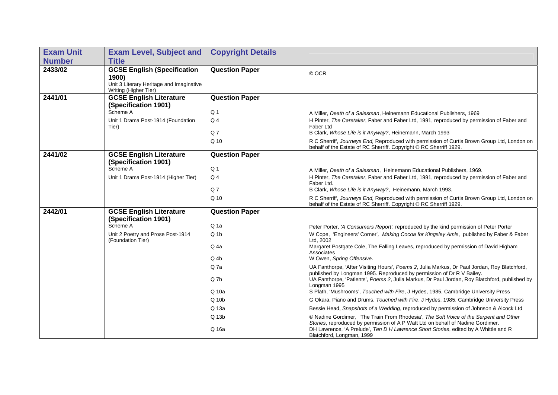| <b>Exam Unit</b> | <b>Exam Level, Subject and</b>                                                                                   | <b>Copyright Details</b> |                                                                                                                                                                                                                                                                 |
|------------------|------------------------------------------------------------------------------------------------------------------|--------------------------|-----------------------------------------------------------------------------------------------------------------------------------------------------------------------------------------------------------------------------------------------------------------|
| <b>Number</b>    | <b>Title</b>                                                                                                     |                          |                                                                                                                                                                                                                                                                 |
| 2433/02          | <b>GCSE English (Specification</b><br>1900)<br>Unit 3 Literary Heritage and Imaginative<br>Writing (Higher Tier) | <b>Question Paper</b>    | © OCR                                                                                                                                                                                                                                                           |
| 2441/01          | <b>GCSE English Literature</b>                                                                                   | <b>Question Paper</b>    |                                                                                                                                                                                                                                                                 |
|                  | (Specification 1901)<br>Scheme A                                                                                 | Q <sub>1</sub>           | A Miller, Death of a Salesman, Heinemann Educational Publishers, 1969                                                                                                                                                                                           |
|                  | Unit 1 Drama Post-1914 (Foundation<br>Tier)                                                                      | $Q_4$                    | H Pinter, The Caretaker, Faber and Faber Ltd, 1991, reproduced by permission of Faber and<br>Faber Ltd                                                                                                                                                          |
|                  |                                                                                                                  | Q <sub>7</sub>           | B Clark, Whose Life is it Anyway?, Heinemann, March 1993                                                                                                                                                                                                        |
|                  |                                                                                                                  | Q 10                     | R C Sherriff, Journeys End, Reproduced with permission of Curtis Brown Group Ltd, London on<br>behalf of the Estate of RC Sherriff. Copyright © RC Sherriff 1929.                                                                                               |
| 2441/02          | <b>GCSE English Literature</b><br>(Specification 1901)                                                           | <b>Question Paper</b>    |                                                                                                                                                                                                                                                                 |
|                  | Scheme A                                                                                                         | Q <sub>1</sub>           | A Miller, Death of a Salesman, Heinemann Educational Publishers, 1969.                                                                                                                                                                                          |
|                  | Unit 1 Drama Post-1914 (Higher Tier)                                                                             | Q <sub>4</sub>           | H Pinter, The Caretaker, Faber and Faber Ltd, 1991, reproduced by permission of Faber and<br>Faber Ltd.                                                                                                                                                         |
|                  |                                                                                                                  | Q <sub>7</sub>           | B Clark, Whose Life is it Anyway?, Heinemann, March 1993.                                                                                                                                                                                                       |
|                  |                                                                                                                  | Q <sub>10</sub>          | R C Sherriff, Journeys End, Reproduced with permission of Curtis Brown Group Ltd, London on<br>behalf of the Estate of RC Sherriff. Copyright © RC Sherriff 1929.                                                                                               |
| 2442/01          | <b>GCSE English Literature</b><br>(Specification 1901)                                                           | <b>Question Paper</b>    |                                                                                                                                                                                                                                                                 |
|                  | Scheme A                                                                                                         | Q <sub>1a</sub>          | Peter Porter, 'A Consumers Report', reproduced by the kind permission of Peter Porter                                                                                                                                                                           |
|                  | Unit 2 Poetry and Prose Post-1914<br>(Foundation Tier)                                                           | $Q_1$                    | W Cope, 'Engineers' Corner', Making Cocoa for Kingsley Amis, published by Faber & Faber<br>Ltd. 2002                                                                                                                                                            |
|                  |                                                                                                                  | Q 4a                     | Margaret Postgate Cole, The Falling Leaves, reproduced by permission of David Higham<br>Associates                                                                                                                                                              |
|                  |                                                                                                                  | Q 4b                     | W Owen, Spring Offensive.                                                                                                                                                                                                                                       |
|                  |                                                                                                                  | Q 7a                     | UA Fanthorpe, 'After Visiting Hours', Poems 2, Julia Markus, Dr Paul Jordan, Roy Blatchford,<br>published by Longman 1995. Reproduced by permission of Dr R V Bailey.                                                                                           |
|                  |                                                                                                                  | Q <sub>7b</sub><br>Q 10a | UA Fanthorpe, 'Patients', Poems 2, Julia Markus, Dr Paul Jordan, Roy Blatchford, published by<br>Longman 1995<br>S Plath, 'Mushrooms', Touched with Fire, J Hydes, 1985, Cambridge University Press                                                             |
|                  |                                                                                                                  |                          |                                                                                                                                                                                                                                                                 |
|                  |                                                                                                                  | $Q$ 10 $b$               | G Okara, Piano and Drums, Touched with Fire, J Hydes, 1985, Cambridge University Press                                                                                                                                                                          |
|                  |                                                                                                                  | Q 13a                    | Bessie Head, Snapshots of a Wedding, reproduced by permission of Johnson & Alcock Ltd                                                                                                                                                                           |
|                  |                                                                                                                  | Q 13b<br>Q 16a           | © Nadine Gordimer, 'The Train From Rhodesia', The Soft Voice of the Serpent and Other<br>Stories, reproduced by permission of A P Watt Ltd on behalf of Nadine Gordimer.<br>DH Lawrence, 'A Prelude', Ten D H Lawrence Short Stories, edited by A Whittle and R |
|                  |                                                                                                                  |                          | Blatchford, Longman, 1999                                                                                                                                                                                                                                       |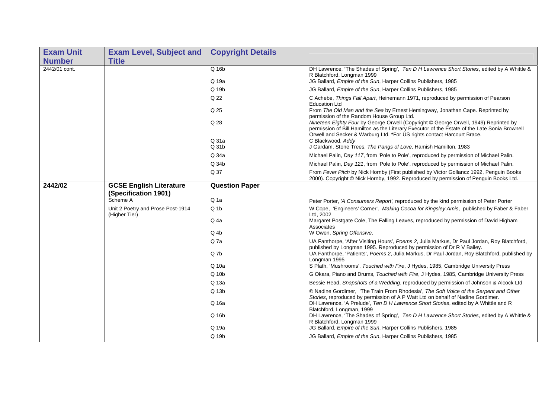| <b>Exam Unit</b> | <b>Exam Level, Subject and</b>                     | <b>Copyright Details</b> |                                                                                                                                                                                                                                                                  |
|------------------|----------------------------------------------------|--------------------------|------------------------------------------------------------------------------------------------------------------------------------------------------------------------------------------------------------------------------------------------------------------|
| <b>Number</b>    | <b>Title</b>                                       |                          |                                                                                                                                                                                                                                                                  |
| 2442/01 cont.    |                                                    | Q 16b<br>Q 19a           | DH Lawrence, 'The Shades of Spring', Ten D H Lawrence Short Stories, edited by A Whittle &<br>R Blatchford, Longman 1999<br>JG Ballard, Empire of the Sun, Harper Collins Publishers, 1985                                                                       |
|                  |                                                    | Q 19b                    | JG Ballard, Empire of the Sun, Harper Collins Publishers, 1985                                                                                                                                                                                                   |
|                  |                                                    | Q 22                     | C Achebe, Things Fall Apart, Heinemann 1971, reproduced by permission of Pearson                                                                                                                                                                                 |
|                  |                                                    |                          | <b>Education Ltd</b>                                                                                                                                                                                                                                             |
|                  |                                                    | Q 25                     | From The Old Man and the Sea by Ernest Hemingway, Jonathan Cape. Reprinted by<br>permission of the Random House Group Ltd.                                                                                                                                       |
|                  |                                                    | Q 28                     | Nineteen Eighty Four by George Orwell (Copyright © George Orwell, 1949) Reprinted by<br>permission of Bill Hamilton as the Literary Executor of the Estate of the Late Sonia Brownell<br>Orwell and Secker & Warburg Ltd. *For US rights contact Harcourt Brace. |
|                  |                                                    | Q 31a                    | C Blackwood, Addy                                                                                                                                                                                                                                                |
|                  |                                                    | Q 31b                    | J Gardam, Stone Trees, The Pangs of Love, Hamish Hamilton, 1983                                                                                                                                                                                                  |
|                  |                                                    | Q 34a                    | Michael Palin, Day 117, from 'Pole to Pole', reproduced by permission of Michael Palin.                                                                                                                                                                          |
|                  |                                                    | Q 34b                    | Michael Palin, Day 121, from 'Pole to Pole', reproduced by permission of Michael Palin.                                                                                                                                                                          |
|                  |                                                    | Q 37                     | From Fever Pitch by Nick Hornby (First published by Victor Gollancz 1992, Penguin Books<br>2000). Copyright © Nick Hornby, 1992. Reproduced by permission of Penguin Books Ltd.                                                                                  |
| 2442/02          | <b>GCSE English Literature</b>                     | <b>Question Paper</b>    |                                                                                                                                                                                                                                                                  |
|                  | (Specification 1901)                               |                          |                                                                                                                                                                                                                                                                  |
|                  | Scheme A                                           | Q <sub>1a</sub>          | Peter Porter, 'A Consumers Report', reproduced by the kind permission of Peter Porter                                                                                                                                                                            |
|                  | Unit 2 Poetry and Prose Post-1914<br>(Higher Tier) | $Q_1$                    | W Cope, 'Engineers' Corner', Making Cocoa for Kingsley Amis, published by Faber & Faber<br>Ltd. 2002                                                                                                                                                             |
|                  |                                                    | Q <sub>4a</sub>          | Margaret Postgate Cole, The Falling Leaves, reproduced by permission of David Higham<br>Associates                                                                                                                                                               |
|                  |                                                    | $Q$ <sub>4b</sub>        | W Owen, Spring Offensive.                                                                                                                                                                                                                                        |
|                  |                                                    | $Q$ 7a                   | UA Fanthorpe, 'After Visiting Hours', Poems 2, Julia Markus, Dr Paul Jordan, Roy Blatchford,<br>published by Longman 1995. Reproduced by permission of Dr R V Bailey.                                                                                            |
|                  |                                                    | $Q$ 7 $b$                | UA Fanthorpe, 'Patients', Poems 2, Julia Markus, Dr Paul Jordan, Roy Blatchford, published by<br>Longman 1995                                                                                                                                                    |
|                  |                                                    | Q 10a                    | S Plath, 'Mushrooms', Touched with Fire, J Hydes, 1985, Cambridge University Press                                                                                                                                                                               |
|                  |                                                    | $Q$ 10 $b$               | G Okara, Piano and Drums, Touched with Fire, J Hydes, 1985, Cambridge University Press                                                                                                                                                                           |
|                  |                                                    | Q 13a                    | Bessie Head, Snapshots of a Wedding, reproduced by permission of Johnson & Alcock Ltd                                                                                                                                                                            |
|                  |                                                    | Q 13b                    | © Nadine Gordimer, 'The Train From Rhodesia', The Soft Voice of the Serpent and Other                                                                                                                                                                            |
|                  |                                                    | Q 16a                    | Stories, reproduced by permission of A P Watt Ltd on behalf of Nadine Gordimer.<br>DH Lawrence, 'A Prelude', Ten D H Lawrence Short Stories, edited by A Whittle and R<br>Blatchford, Longman, 1999                                                              |
|                  |                                                    | Q 16b                    | DH Lawrence, 'The Shades of Spring', Ten D H Lawrence Short Stories, edited by A Whittle &<br>R Blatchford, Longman 1999                                                                                                                                         |
|                  |                                                    | Q 19a                    | JG Ballard, Empire of the Sun, Harper Collins Publishers, 1985                                                                                                                                                                                                   |
|                  |                                                    | Q 19b                    | JG Ballard, Empire of the Sun, Harper Collins Publishers, 1985                                                                                                                                                                                                   |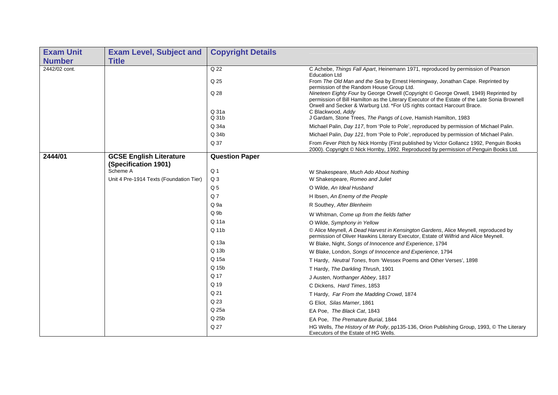| <b>Exam Unit</b> | <b>Exam Level, Subject and</b>          | <b>Copyright Details</b> |                                                                                                                                                                                                                                                                  |
|------------------|-----------------------------------------|--------------------------|------------------------------------------------------------------------------------------------------------------------------------------------------------------------------------------------------------------------------------------------------------------|
| <b>Number</b>    | <b>Title</b>                            |                          |                                                                                                                                                                                                                                                                  |
| 2442/02 cont.    |                                         | Q 22                     | C Achebe, Things Fall Apart, Heinemann 1971, reproduced by permission of Pearson<br><b>Education Ltd</b>                                                                                                                                                         |
|                  |                                         | Q 25                     | From The Old Man and the Sea by Ernest Hemingway, Jonathan Cape. Reprinted by<br>permission of the Random House Group Ltd.                                                                                                                                       |
|                  |                                         | Q 28                     | Nineteen Eighty Four by George Orwell (Copyright © George Orwell, 1949) Reprinted by<br>permission of Bill Hamilton as the Literary Executor of the Estate of the Late Sonia Brownell<br>Orwell and Secker & Warburg Ltd. *For US rights contact Harcourt Brace. |
|                  |                                         | Q 31a<br>Q 31b           | C Blackwood, Addy<br>J Gardam, Stone Trees, The Pangs of Love, Hamish Hamilton, 1983                                                                                                                                                                             |
|                  |                                         | Q 34a                    | Michael Palin, Day 117, from 'Pole to Pole', reproduced by permission of Michael Palin.                                                                                                                                                                          |
|                  |                                         | Q 34b                    | Michael Palin, Day 121, from 'Pole to Pole', reproduced by permission of Michael Palin.                                                                                                                                                                          |
|                  |                                         | Q 37                     | From Fever Pitch by Nick Hornby (First published by Victor Gollancz 1992, Penguin Books<br>2000). Copyright © Nick Hornby, 1992. Reproduced by permission of Penguin Books Ltd.                                                                                  |
| 2444/01          | <b>GCSE English Literature</b>          | <b>Question Paper</b>    |                                                                                                                                                                                                                                                                  |
|                  | (Specification 1901)<br>Scheme A        | Q <sub>1</sub>           |                                                                                                                                                                                                                                                                  |
|                  | Unit 4 Pre-1914 Texts (Foundation Tier) | Q <sub>3</sub>           | W Shakespeare, Much Ado About Nothing<br>W Shakespeare, Romeo and Juliet                                                                                                                                                                                         |
|                  |                                         | Q <sub>5</sub>           | O Wilde, An Ideal Husband                                                                                                                                                                                                                                        |
|                  |                                         | Q <sub>7</sub>           | H Ibsen, An Enemy of the People                                                                                                                                                                                                                                  |
|                  |                                         | Q <sub>9a</sub>          | R Southey, After Blenheim                                                                                                                                                                                                                                        |
|                  |                                         | Q <sub>9b</sub>          | W Whitman, Come up from the fields father                                                                                                                                                                                                                        |
|                  |                                         | Q 11a                    | O Wilde, Symphony in Yellow                                                                                                                                                                                                                                      |
|                  |                                         | Q 11b                    | © Alice Meynell, A Dead Harvest in Kensington Gardens, Alice Meynell, reproduced by<br>permission of Oliver Hawkins Literary Executor, Estate of Wilfrid and Alice Meynell.                                                                                      |
|                  |                                         | Q 13a                    | W Blake, Night, Songs of Innocence and Experience, 1794                                                                                                                                                                                                          |
|                  |                                         | Q 13b                    | W Blake, London, Songs of Innocence and Experience, 1794                                                                                                                                                                                                         |
|                  |                                         | Q 15a                    | T Hardy, Neutral Tones, from 'Wessex Poems and Other Verses', 1898                                                                                                                                                                                               |
|                  |                                         | Q 15b                    | T Hardy, The Darkling Thrush, 1901                                                                                                                                                                                                                               |
|                  |                                         | Q 17                     | J Austen, Northanger Abbey, 1817                                                                                                                                                                                                                                 |
|                  |                                         | Q 19                     | C Dickens, Hard Times, 1853                                                                                                                                                                                                                                      |
|                  |                                         | Q 21                     | T Hardy, Far From the Madding Crowd, 1874                                                                                                                                                                                                                        |
|                  |                                         | Q 23                     | G Eliot, Silas Marner, 1861                                                                                                                                                                                                                                      |
|                  |                                         | Q 25a                    | EA Poe, The Black Cat, 1843                                                                                                                                                                                                                                      |
|                  |                                         | Q 25b                    | EA Poe, The Premature Burial, 1844                                                                                                                                                                                                                               |
|                  |                                         | Q 27                     | HG Wells, The History of Mr Polly, pp135-136, Orion Publishing Group, 1993, © The Literary<br>Executors of the Estate of HG Wells.                                                                                                                               |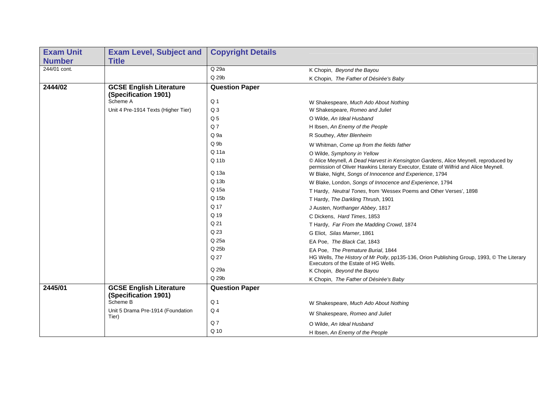| <b>Exam Unit</b> | <b>Exam Level, Subject and</b>                         | <b>Copyright Details</b> |                                                                                                                                                                             |
|------------------|--------------------------------------------------------|--------------------------|-----------------------------------------------------------------------------------------------------------------------------------------------------------------------------|
| <b>Number</b>    | <b>Title</b>                                           |                          |                                                                                                                                                                             |
| 244/01 cont.     |                                                        | $Q$ 29a                  | K Chopin, Beyond the Bayou                                                                                                                                                  |
|                  |                                                        | Q 29b                    | K Chopin, The Father of Désirée's Baby                                                                                                                                      |
| 2444/02          | <b>GCSE English Literature</b><br>(Specification 1901) | <b>Question Paper</b>    |                                                                                                                                                                             |
|                  | Scheme A                                               | Q <sub>1</sub>           | W Shakespeare, Much Ado About Nothing                                                                                                                                       |
|                  | Unit 4 Pre-1914 Texts (Higher Tier)                    | Q <sub>3</sub>           | W Shakespeare, Romeo and Juliet                                                                                                                                             |
|                  |                                                        | Q <sub>5</sub>           | O Wilde, An Ideal Husband                                                                                                                                                   |
|                  |                                                        | Q <sub>7</sub>           | H Ibsen, An Enemy of the People                                                                                                                                             |
|                  |                                                        | Q 9a                     | R Southey, After Blenheim                                                                                                                                                   |
|                  |                                                        | Q <sub>9b</sub>          | W Whitman, Come up from the fields father                                                                                                                                   |
|                  |                                                        | Q 11a                    | O Wilde, Symphony in Yellow                                                                                                                                                 |
|                  |                                                        | Q 11b                    | © Alice Meynell, A Dead Harvest in Kensington Gardens, Alice Meynell, reproduced by<br>permission of Oliver Hawkins Literary Executor, Estate of Wilfrid and Alice Meynell. |
|                  |                                                        | Q 13a                    | W Blake, Night, Songs of Innocence and Experience, 1794                                                                                                                     |
|                  |                                                        | Q 13b                    | W Blake, London, Songs of Innocence and Experience, 1794                                                                                                                    |
|                  |                                                        | Q 15a                    | T Hardy, Neutral Tones, from 'Wessex Poems and Other Verses', 1898                                                                                                          |
|                  |                                                        | Q 15b                    | T Hardy, The Darkling Thrush, 1901                                                                                                                                          |
|                  |                                                        | Q 17                     | J Austen, Northanger Abbey, 1817                                                                                                                                            |
|                  |                                                        | Q 19                     | C Dickens, Hard Times, 1853                                                                                                                                                 |
|                  |                                                        | Q 21                     | T Hardy, Far From the Madding Crowd, 1874                                                                                                                                   |
|                  |                                                        | Q 23                     | G Eliot, Silas Marner, 1861                                                                                                                                                 |
|                  |                                                        | Q 25a                    | EA Poe, The Black Cat, 1843                                                                                                                                                 |
|                  |                                                        | Q 25b                    | EA Poe, The Premature Burial, 1844                                                                                                                                          |
|                  |                                                        | Q 27                     | HG Wells, The History of Mr Polly, pp135-136, Orion Publishing Group, 1993, © The Literary<br>Executors of the Estate of HG Wells.                                          |
|                  |                                                        | Q 29a                    | K Chopin, Beyond the Bayou                                                                                                                                                  |
|                  |                                                        | Q 29b                    | K Chopin, The Father of Désirée's Baby                                                                                                                                      |
| 2445/01          | <b>GCSE English Literature</b><br>(Specification 1901) | <b>Question Paper</b>    |                                                                                                                                                                             |
|                  | Scheme B                                               | Q <sub>1</sub>           | W Shakespeare, Much Ado About Nothing                                                                                                                                       |
|                  | Unit 5 Drama Pre-1914 (Foundation<br>Tier)             | Q <sub>4</sub>           | W Shakespeare, Romeo and Juliet                                                                                                                                             |
|                  |                                                        | Q <sub>7</sub>           | O Wilde, An Ideal Husband                                                                                                                                                   |
|                  |                                                        | Q 10                     | H Ibsen, An Enemy of the People                                                                                                                                             |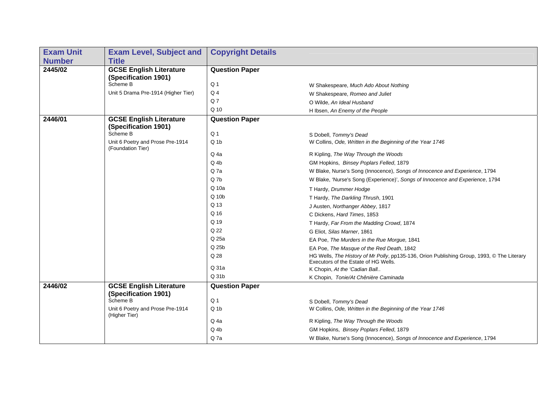| <b>Exam Unit</b> | <b>Exam Level, Subject and</b>                        | <b>Copyright Details</b> |                                                                                                                                    |
|------------------|-------------------------------------------------------|--------------------------|------------------------------------------------------------------------------------------------------------------------------------|
| <b>Number</b>    | <b>Title</b>                                          |                          |                                                                                                                                    |
| 2445/02          | <b>GCSE English Literature</b>                        | <b>Question Paper</b>    |                                                                                                                                    |
|                  | (Specification 1901)                                  |                          |                                                                                                                                    |
|                  | Scheme B                                              | Q <sub>1</sub>           | W Shakespeare, Much Ado About Nothing                                                                                              |
|                  | Unit 5 Drama Pre-1914 (Higher Tier)                   | Q <sub>4</sub>           | W Shakespeare, Romeo and Juliet                                                                                                    |
|                  |                                                       | Q7                       | O Wilde, An Ideal Husband                                                                                                          |
|                  |                                                       | Q 10                     | H Ibsen, An Enemy of the People                                                                                                    |
| 2446/01          | <b>GCSE English Literature</b>                        | <b>Question Paper</b>    |                                                                                                                                    |
|                  | (Specification 1901)                                  |                          |                                                                                                                                    |
|                  | Scheme B                                              | Q <sub>1</sub>           | S Dobell, Tommy's Dead                                                                                                             |
|                  | Unit 6 Poetry and Prose Pre-1914<br>(Foundation Tier) | $Q_1$                    | W Collins, Ode, Written in the Beginning of the Year 1746                                                                          |
|                  |                                                       | Q 4a                     | R Kipling, The Way Through the Woods                                                                                               |
|                  |                                                       | Q 4b                     | GM Hopkins, Binsey Poplars Felled, 1879                                                                                            |
|                  |                                                       | Q <sub>7a</sub>          | W Blake, Nurse's Song (Innocence), Songs of Innocence and Experience, 1794                                                         |
|                  |                                                       | Q 7b                     | W Blake, 'Nurse's Song (Experience)', Songs of Innocence and Experience, 1794                                                      |
|                  |                                                       | Q 10a                    | T Hardy, Drummer Hodge                                                                                                             |
|                  |                                                       | Q 10b                    | T Hardy, The Darkling Thrush, 1901                                                                                                 |
|                  |                                                       | Q 13                     | J Austen, Northanger Abbey, 1817                                                                                                   |
|                  |                                                       | Q 16                     | C Dickens, Hard Times, 1853                                                                                                        |
|                  |                                                       | Q 19                     | T Hardy, Far From the Madding Crowd, 1874                                                                                          |
|                  |                                                       | Q 22                     | G Eliot, Silas Marner, 1861                                                                                                        |
|                  |                                                       | Q 25a                    | EA Poe, The Murders in the Rue Morgue, 1841                                                                                        |
|                  |                                                       | Q 25b                    | EA Poe, The Masque of the Red Death, 1842                                                                                          |
|                  |                                                       | Q 28                     | HG Wells, The History of Mr Polly, pp135-136, Orion Publishing Group, 1993, © The Literary<br>Executors of the Estate of HG Wells. |
|                  |                                                       | Q 31a                    | K Chopin, At the 'Cadian Ball                                                                                                      |
|                  |                                                       | Q 31b                    | K Chopin, Tonie/At Chênière Caminada                                                                                               |
| 2446/02          | <b>GCSE English Literature</b>                        | <b>Question Paper</b>    |                                                                                                                                    |
|                  | (Specification 1901)                                  |                          |                                                                                                                                    |
|                  | Scheme B                                              | Q <sub>1</sub>           | S Dobell, Tommy's Dead                                                                                                             |
|                  | Unit 6 Poetry and Prose Pre-1914<br>(Higher Tier)     | $Q_1$                    | W Collins, Ode, Written in the Beginning of the Year 1746                                                                          |
|                  |                                                       | Q 4a                     | R Kipling, The Way Through the Woods                                                                                               |
|                  |                                                       | Q 4b                     | GM Hopkins, Binsey Poplars Felled, 1879                                                                                            |
|                  |                                                       | Q7a                      | W Blake, Nurse's Song (Innocence), Songs of Innocence and Experience, 1794                                                         |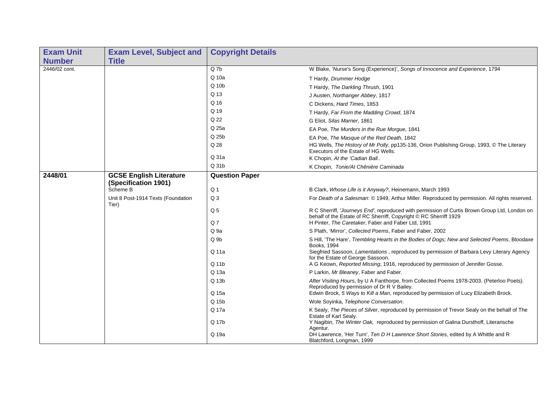| <b>Exam Unit</b> | <b>Exam Level, Subject and</b>                         | <b>Copyright Details</b> |                                                                                                                                                                    |
|------------------|--------------------------------------------------------|--------------------------|--------------------------------------------------------------------------------------------------------------------------------------------------------------------|
| <b>Number</b>    | <b>Title</b>                                           |                          |                                                                                                                                                                    |
| 2446/02 cont.    |                                                        | Q 7b                     | W Blake, 'Nurse's Song (Experience)', Songs of Innocence and Experience, 1794                                                                                      |
|                  |                                                        | Q 10a                    | T Hardy, Drummer Hodge                                                                                                                                             |
|                  |                                                        | Q 10b                    | T Hardy, The Darkling Thrush, 1901                                                                                                                                 |
|                  |                                                        | Q 13                     | J Austen, Northanger Abbey, 1817                                                                                                                                   |
|                  |                                                        | Q 16                     | C Dickens, Hard Times, 1853                                                                                                                                        |
|                  |                                                        | Q 19                     | T Hardy, Far From the Madding Crowd, 1874                                                                                                                          |
|                  |                                                        | Q 22                     | G Eliot, Silas Marner, 1861                                                                                                                                        |
|                  |                                                        | Q 25a                    | EA Poe, The Murders in the Rue Morgue, 1841                                                                                                                        |
|                  |                                                        | Q 25b                    | EA Poe, The Masque of the Red Death, 1842                                                                                                                          |
|                  |                                                        | Q 28                     | HG Wells, The History of Mr Polly, pp135-136, Orion Publishing Group, 1993, © The Literary<br>Executors of the Estate of HG Wells.                                 |
|                  |                                                        | Q 31a                    | K Chopin, At the 'Cadian Ball                                                                                                                                      |
|                  |                                                        | Q 31b                    | K Chopin, Tonie/At Chênière Caminada                                                                                                                               |
| 2448/01          | <b>GCSE English Literature</b><br>(Specification 1901) | <b>Question Paper</b>    |                                                                                                                                                                    |
|                  | Scheme B                                               | Q <sub>1</sub>           | B Clark, Whose Life is it Anyway?, Heinemann, March 1993                                                                                                           |
|                  | Unit 8 Post-1914 Texts (Foundation<br>Tier)            | Q <sub>3</sub>           | For Death of a Salesman: © 1949, Arthur Miller. Reproduced by permission. All rights reserved.                                                                     |
|                  |                                                        | Q <sub>5</sub>           | R C Sherriff, 'Journeys End', reproduced with permission of Curtis Brown Group Ltd, London on<br>behalf of the Estate of RC Sherriff, Copyright © RC Sherriff 1929 |
|                  |                                                        | Q <sub>7</sub>           | H Pinter, The Caretaker, Faber and Faber Ltd, 1991                                                                                                                 |
|                  |                                                        | Q 9a                     | S Plath, 'Mirror', Collected Poems, Faber and Faber, 2002                                                                                                          |
|                  |                                                        | Q <sub>9b</sub>          | S Hill, 'The Hare', Trembling Hearts in the Bodies of Dogs; New and Selected Poems, Bloodaxe<br>Books, 1994                                                        |
|                  |                                                        | Q 11a                    | Siegfried Sassoon, Lamentations, reproduced by permission of Barbara Levy Literary Agency<br>for the Estate of George Sassoon.                                     |
|                  |                                                        | Q 11b                    | A G Keown, Reported Missing, 1916, reproduced by permission of Jennifer Gosse.                                                                                     |
|                  |                                                        | Q 13a                    | P Larkin, Mr Bleaney, Faber and Faber.                                                                                                                             |
|                  |                                                        | Q 13b                    | After Visiting Hours, by U A Fanthorpe, from Collected Poems 1978-2003. (Peterloo Poets).<br>Reproduced by permission of Dr R V Bailey.                            |
|                  |                                                        | Q 15a                    | Edwin Brock, 5 Ways to Kill a Man, reproduced by permission of Lucy Elizabeth Brock.                                                                               |
|                  |                                                        | Q 15b                    | Wole Soyinka, Telephone Conversation.                                                                                                                              |
|                  |                                                        | Q 17a                    | K Sealy, The Pieces of Silver, reproduced by permission of Trevor Sealy on the behalf of The<br>Estate of Karl Sealy.                                              |
|                  |                                                        | Q 17b                    | Y Nagibin, The Winter Oak, reproduced by permission of Galina Dursthoff, Literarische<br>Agentur.                                                                  |
|                  |                                                        | Q 19a                    | DH Lawrence, 'Her Turn', Ten D H Lawrence Short Stories, edited by A Whittle and R<br>Blatchford, Longman, 1999                                                    |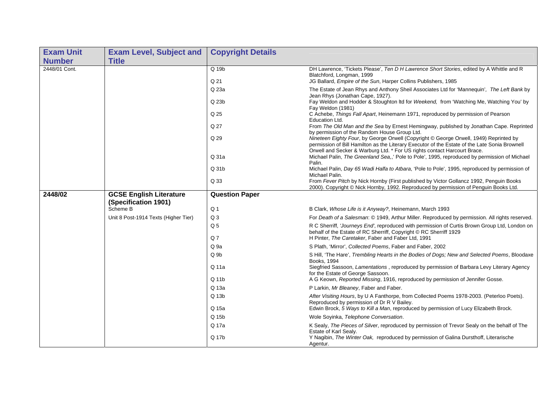| <b>Exam Unit</b> | <b>Exam Level, Subject and</b>                         | <b>Copyright Details</b> |                                                                                                                                                                                        |
|------------------|--------------------------------------------------------|--------------------------|----------------------------------------------------------------------------------------------------------------------------------------------------------------------------------------|
| <b>Number</b>    | <b>Title</b>                                           |                          |                                                                                                                                                                                        |
| 2448/01 Cont.    |                                                        | $Q$ 19 $b$               | DH Lawrence, 'Tickets Please', Ten D H Lawrence Short Stories, edited by A Whittle and R<br>Blatchford, Longman, 1999                                                                  |
|                  |                                                        | Q 21                     | JG Ballard, Empire of the Sun, Harper Collins Publishers, 1985                                                                                                                         |
|                  |                                                        | Q 23a                    | The Estate of Jean Rhys and Anthony Sheil Associates Ltd for 'Mannequin', The Left Bank by<br>Jean Rhys (Jonathan Cape, 1927).                                                         |
|                  |                                                        | Q 23b                    | Fay Weldon and Hodder & Stoughton Itd for Weekend, from 'Watching Me, Watching You' by<br>Fay Weldon (1981)                                                                            |
|                  |                                                        | Q 25                     | C Achebe, Things Fall Apart, Heinemann 1971, reproduced by permission of Pearson<br>Education Ltd.                                                                                     |
|                  |                                                        | Q 27                     | From The Old Man and the Sea by Ernest Hemingway, published by Jonathan Cape. Reprinted<br>by permission of the Random House Group Ltd.                                                |
|                  |                                                        | Q 29                     | Nineteen Eighty Four, by George Orwell (Copyright © George Orwell, 1949) Reprinted by<br>permission of Bill Hamilton as the Literary Executor of the Estate of the Late Sonia Brownell |
|                  |                                                        | Q 31a                    | Orwell and Secker & Warburg Ltd. * For US rights contact Harcourt Brace.<br>Michael Palin, The Greenland Sea,,' Pole to Pole', 1995, reproduced by permission of Michael<br>Palin.     |
|                  |                                                        | Q 31b                    | Michael Palin, Day 65 Wadi Halfa to Atbara, 'Pole to Pole', 1995, reproduced by permission of<br>Michael Palin.                                                                        |
|                  |                                                        | Q 33                     | From Fever Pitch by Nick Hornby (First published by Victor Gollancz 1992, Penguin Books<br>2000). Copyright © Nick Hornby, 1992. Reproduced by permission of Penguin Books Ltd.        |
| 2448/02          | <b>GCSE English Literature</b><br>(Specification 1901) | <b>Question Paper</b>    |                                                                                                                                                                                        |
|                  | Scheme B                                               | Q <sub>1</sub>           | B Clark, Whose Life is it Anyway?, Heinemann, March 1993                                                                                                                               |
|                  | Unit 8 Post-1914 Texts (Higher Tier)                   | Q <sub>3</sub>           | For Death of a Salesman: © 1949, Arthur Miller. Reproduced by permission. All rights reserved.                                                                                         |
|                  |                                                        | Q <sub>5</sub>           | R C Sherriff, 'Journeys End', reproduced with permission of Curtis Brown Group Ltd, London on<br>behalf of the Estate of RC Sherriff, Copyright © RC Sherriff 1929                     |
|                  |                                                        | Q <sub>7</sub>           | H Pinter, The Caretaker, Faber and Faber Ltd, 1991                                                                                                                                     |
|                  |                                                        | Q <sub>9a</sub>          | S Plath, 'Mirror', Collected Poems, Faber and Faber, 2002                                                                                                                              |
|                  |                                                        | Q <sub>9b</sub>          | S Hill, 'The Hare', Trembling Hearts in the Bodies of Dogs; New and Selected Poems, Bloodaxe<br>Books, 1994                                                                            |
|                  |                                                        | Q 11a                    | Siegfried Sassoon, Lamentations, reproduced by permission of Barbara Levy Literary Agency<br>for the Estate of George Sassoon.                                                         |
|                  |                                                        | Q 11b                    | A G Keown, Reported Missing, 1916, reproduced by permission of Jennifer Gosse.                                                                                                         |
|                  |                                                        | Q 13a                    | P Larkin, Mr Bleaney, Faber and Faber.                                                                                                                                                 |
|                  |                                                        | Q 13b                    | After Visiting Hours, by U A Fanthorpe, from Collected Poems 1978-2003. (Peterloo Poets).<br>Reproduced by permission of Dr R V Bailey.                                                |
|                  |                                                        | Q 15a                    | Edwin Brock, 5 Ways to Kill a Man, reproduced by permission of Lucy Elizabeth Brock.                                                                                                   |
|                  |                                                        | Q 15b                    | Wole Soyinka, Telephone Conversation.                                                                                                                                                  |
|                  |                                                        | Q 17a                    | K Sealy, The Pieces of Silver, reproduced by permission of Trevor Sealy on the behalf of The<br>Estate of Karl Sealy.                                                                  |
|                  |                                                        | Q 17b                    | Y Nagibin, The Winter Oak, reproduced by permission of Galina Dursthoff, Literarische<br>Agentur.                                                                                      |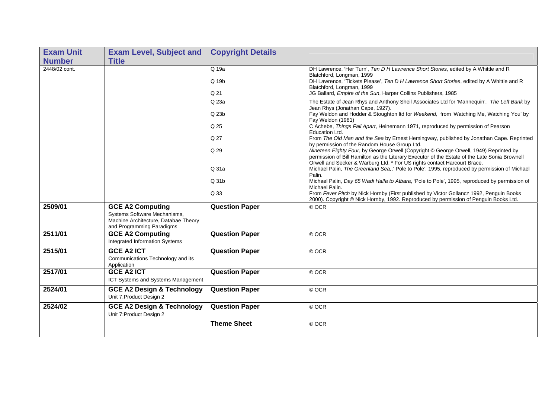| <b>Exam Unit</b> | <b>Exam Level, Subject and</b>                                                                                               | <b>Copyright Details</b> |                                                                                                                                                                                                                                                                                                                                   |
|------------------|------------------------------------------------------------------------------------------------------------------------------|--------------------------|-----------------------------------------------------------------------------------------------------------------------------------------------------------------------------------------------------------------------------------------------------------------------------------------------------------------------------------|
| <b>Number</b>    | <b>Title</b>                                                                                                                 |                          |                                                                                                                                                                                                                                                                                                                                   |
| 2448/02 cont.    |                                                                                                                              | $Q$ 19a<br>Q 19b         | DH Lawrence, 'Her Turn', Ten D H Lawrence Short Stories, edited by A Whittle and R<br>Blatchford, Longman, 1999<br>DH Lawrence, 'Tickets Please', Ten D H Lawrence Short Stories, edited by A Whittle and R<br>Blatchford, Longman, 1999                                                                                          |
|                  |                                                                                                                              | Q <sub>21</sub>          | JG Ballard, Empire of the Sun, Harper Collins Publishers, 1985                                                                                                                                                                                                                                                                    |
|                  |                                                                                                                              | Q 23a<br>Q 23b<br>Q 25   | The Estate of Jean Rhys and Anthony Sheil Associates Ltd for 'Mannequin', The Left Bank by<br>Jean Rhys (Jonathan Cape, 1927).<br>Fay Weldon and Hodder & Stoughton Itd for Weekend, from 'Watching Me, Watching You' by<br>Fay Weldon (1981)<br>C Achebe, Things Fall Apart, Heinemann 1971, reproduced by permission of Pearson |
|                  |                                                                                                                              | Q 27                     | Education Ltd.<br>From The Old Man and the Sea by Ernest Hemingway, published by Jonathan Cape. Reprinted<br>by permission of the Random House Group Ltd.                                                                                                                                                                         |
|                  |                                                                                                                              | Q 29                     | Nineteen Eighty Four, by George Orwell (Copyright © George Orwell, 1949) Reprinted by<br>permission of Bill Hamilton as the Literary Executor of the Estate of the Late Sonia Brownell<br>Orwell and Secker & Warburg Ltd. * For US rights contact Harcourt Brace.                                                                |
|                  |                                                                                                                              | Q 31a                    | Michael Palin, The Greenland Sea,,' Pole to Pole', 1995, reproduced by permission of Michael<br>Palin.                                                                                                                                                                                                                            |
|                  |                                                                                                                              | Q 31b                    | Michael Palin, Day 65 Wadi Halfa to Atbara, 'Pole to Pole', 1995, reproduced by permission of<br>Michael Palin.                                                                                                                                                                                                                   |
|                  |                                                                                                                              | Q 33                     | From Fever Pitch by Nick Hornby (First published by Victor Gollancz 1992, Penguin Books<br>2000). Copyright © Nick Hornby, 1992. Reproduced by permission of Penguin Books Ltd.                                                                                                                                                   |
| 2509/01          | <b>GCE A2 Computing</b><br>Systems Software Mechanisms,<br>Machine Architecture, Databae Theory<br>and Programming Paradigms | <b>Question Paper</b>    | © OCR                                                                                                                                                                                                                                                                                                                             |
| 2511/01          | <b>GCE A2 Computing</b><br>Integrated Information Systems                                                                    | <b>Question Paper</b>    | © OCR                                                                                                                                                                                                                                                                                                                             |
| 2515/01          | <b>GCE A2 ICT</b><br>Communications Technology and its<br>Application                                                        | <b>Question Paper</b>    | © OCR                                                                                                                                                                                                                                                                                                                             |
| 2517/01          | <b>GCE A2 ICT</b><br>ICT Systems and Systems Management                                                                      | <b>Question Paper</b>    | © OCR                                                                                                                                                                                                                                                                                                                             |
| 2524/01          | <b>GCE A2 Design &amp; Technology</b><br>Unit 7: Product Design 2                                                            | <b>Question Paper</b>    | © OCR                                                                                                                                                                                                                                                                                                                             |
| 2524/02          | <b>GCE A2 Design &amp; Technology</b><br>Unit 7: Product Design 2                                                            | <b>Question Paper</b>    | © OCR                                                                                                                                                                                                                                                                                                                             |
|                  |                                                                                                                              | <b>Theme Sheet</b>       | © OCR                                                                                                                                                                                                                                                                                                                             |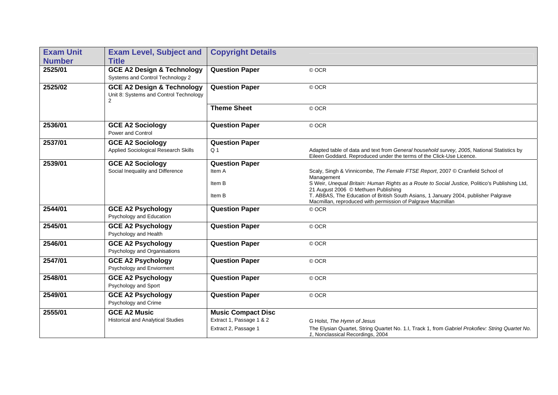| <b>Exam Unit</b> | <b>Exam Level, Subject and</b>                                                                    | <b>Copyright Details</b>  |                                                                                                                                                                                           |
|------------------|---------------------------------------------------------------------------------------------------|---------------------------|-------------------------------------------------------------------------------------------------------------------------------------------------------------------------------------------|
| <b>Number</b>    | <b>Title</b>                                                                                      |                           |                                                                                                                                                                                           |
| 2525/01          | <b>GCE A2 Design &amp; Technology</b><br>Systems and Control Technology 2                         | <b>Question Paper</b>     | © OCR                                                                                                                                                                                     |
| 2525/02          | <b>GCE A2 Design &amp; Technology</b><br>Unit 8: Systems and Control Technology<br>$\overline{2}$ | <b>Question Paper</b>     | © OCR                                                                                                                                                                                     |
|                  |                                                                                                   | <b>Theme Sheet</b>        | © OCR                                                                                                                                                                                     |
| 2536/01          | <b>GCE A2 Sociology</b><br>Power and Control                                                      | <b>Question Paper</b>     | © OCR                                                                                                                                                                                     |
| 2537/01          | <b>GCE A2 Sociology</b>                                                                           | <b>Question Paper</b>     |                                                                                                                                                                                           |
|                  | Applied Sociological Research Skills                                                              | Q <sub>1</sub>            | Adapted table of data and text from General household survey, 2005, National Statistics by<br>Eileen Goddard. Reproduced under the terms of the Click-Use Licence.                        |
| 2539/01          | <b>GCE A2 Sociology</b>                                                                           | <b>Question Paper</b>     |                                                                                                                                                                                           |
|                  | Social Inequality and Difference                                                                  | Item A                    | Scaly, Singh & Vinnicombe, The Female FTSE Report, 2007 © Cranfield School of<br>Management                                                                                               |
|                  |                                                                                                   | Item B                    | S Weir, Unequal Britain: Human Rights as a Route to Social Justice, Politico's Publishing Ltd,                                                                                            |
|                  |                                                                                                   | Item B                    | 21 August 2006 © Methuen Publishing<br>T. ABBAS, The Education of British South Asians, 1 January 2004, publisher Palgrave<br>Macmillan, reproduced with permission of Palgrave Macmillan |
| 2544/01          | <b>GCE A2 Psychology</b><br>Psychology and Education                                              | <b>Question Paper</b>     | © OCR                                                                                                                                                                                     |
| 2545/01          | <b>GCE A2 Psychology</b><br>Psychology and Health                                                 | <b>Question Paper</b>     | © OCR                                                                                                                                                                                     |
| 2546/01          | <b>GCE A2 Psychology</b><br>Psychology and Organisations                                          | <b>Question Paper</b>     | © OCR                                                                                                                                                                                     |
| 2547/01          | <b>GCE A2 Psychology</b><br>Psychology and Enviorment                                             | <b>Question Paper</b>     | © OCR                                                                                                                                                                                     |
| 2548/01          | <b>GCE A2 Psychology</b><br>Psychology and Sport                                                  | <b>Question Paper</b>     | © OCR                                                                                                                                                                                     |
| 2549/01          | <b>GCE A2 Psychology</b><br>Psychology and Crime                                                  | <b>Question Paper</b>     | © OCR                                                                                                                                                                                     |
| 2555/01          | <b>GCE A2 Music</b>                                                                               | <b>Music Compact Disc</b> |                                                                                                                                                                                           |
|                  | <b>Historical and Analytical Studies</b>                                                          | Extract 1, Passage 1 & 2  | G Holst, The Hymn of Jesus                                                                                                                                                                |
|                  |                                                                                                   | Extract 2, Passage 1      | The Elysian Quartet, String Quartet No. 1.I, Track 1, from Gabriel Prokofiev: String Quartet No.<br>1, Nonclassical Recordings, 2004                                                      |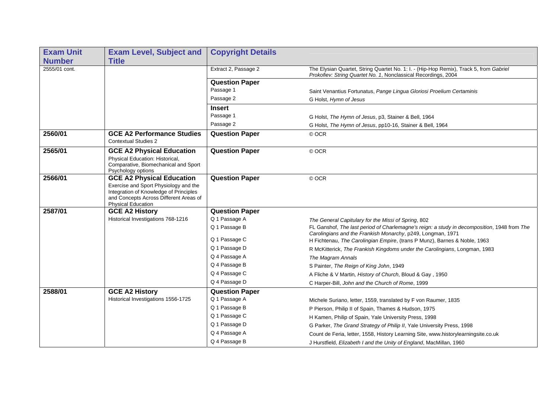| <b>Exam Unit</b> | <b>Exam Level, Subject and</b>                                                                                                                         | <b>Copyright Details</b> |                                                                                                                                                            |
|------------------|--------------------------------------------------------------------------------------------------------------------------------------------------------|--------------------------|------------------------------------------------------------------------------------------------------------------------------------------------------------|
| <b>Number</b>    | <b>Title</b>                                                                                                                                           |                          |                                                                                                                                                            |
| 2555/01 cont.    |                                                                                                                                                        | Extract 2, Passage 2     | The Elysian Quartet, String Quartet No. 1: I. - (Hip-Hop Remix), Track 5, from Gabriel<br>Prokofiev: String Quartet No. 1, Nonclassical Recordings, 2004   |
|                  |                                                                                                                                                        | <b>Question Paper</b>    |                                                                                                                                                            |
|                  |                                                                                                                                                        | Passage 1                | Saint Venantius Fortunatus, Pange Lingua Gloriosi Proelium Certaminis                                                                                      |
|                  |                                                                                                                                                        | Passage 2                | G Holst, Hymn of Jesus                                                                                                                                     |
|                  |                                                                                                                                                        | <b>Insert</b>            |                                                                                                                                                            |
|                  |                                                                                                                                                        | Passage 1                | G Holst, The Hymn of Jesus, p3, Stainer & Bell, 1964                                                                                                       |
|                  |                                                                                                                                                        | Passage 2                | G Holst, The Hymn of Jesus, pp10-16, Stainer & Bell, 1964                                                                                                  |
| 2560/01          | <b>GCE A2 Performance Studies</b><br><b>Contextual Studies 2</b>                                                                                       | <b>Question Paper</b>    | © OCR                                                                                                                                                      |
| 2565/01          | <b>GCE A2 Physical Education</b>                                                                                                                       | <b>Question Paper</b>    | © OCR                                                                                                                                                      |
|                  | Physical Education: Historical,<br>Comparative, Biomechanical and Sport<br>Psychology options                                                          |                          |                                                                                                                                                            |
| 2566/01          | <b>GCE A2 Physical Education</b>                                                                                                                       | <b>Question Paper</b>    | © OCR                                                                                                                                                      |
|                  | Exercise and Sport Physiology and the<br>Integration of Knowledge of Principles<br>and Concepts Across Different Areas of<br><b>Physical Education</b> |                          |                                                                                                                                                            |
| 2587/01          | <b>GCE A2 History</b>                                                                                                                                  | <b>Question Paper</b>    |                                                                                                                                                            |
|                  | Historical Investigations 768-1216                                                                                                                     | Q 1 Passage A            | The General Capitulary for the Missi of Spring, 802                                                                                                        |
|                  |                                                                                                                                                        | Q 1 Passage B            | FL Ganshof, The last period of Charlemagne's reign: a study in decomposition, 1948 from The<br>Carolingians and the Frankish Monarchy, p249, Longman, 1971 |
|                  |                                                                                                                                                        | Q 1 Passage C            | H Fichtenau, The Carolingian Empire, (trans P Munz), Barnes & Noble, 1963                                                                                  |
|                  |                                                                                                                                                        | Q 1 Passage D            | R McKitterick, The Frankish Kingdoms under the Carolingians, Longman, 1983                                                                                 |
|                  |                                                                                                                                                        | Q 4 Passage A            | The Magram Annals                                                                                                                                          |
|                  |                                                                                                                                                        | Q 4 Passage B            | S Painter, The Reign of King John, 1949                                                                                                                    |
|                  |                                                                                                                                                        | Q 4 Passage C            | A Fliche & V Martin, History of Church, Bloud & Gay, 1950                                                                                                  |
|                  |                                                                                                                                                        | Q 4 Passage D            | C Harper-Bill, John and the Church of Rome, 1999                                                                                                           |
| 2588/01          | <b>GCE A2 History</b>                                                                                                                                  | <b>Question Paper</b>    |                                                                                                                                                            |
|                  | Historical Investigations 1556-1725                                                                                                                    | Q 1 Passage A            | Michele Suriano, letter, 1559, translated by F von Raumer, 1835                                                                                            |
|                  |                                                                                                                                                        | Q 1 Passage B            | P Pierson, Philip II of Spain, Thames & Hudson, 1975                                                                                                       |
|                  |                                                                                                                                                        | Q 1 Passage C            | H Kamen, Philip of Spain, Yale University Press, 1998                                                                                                      |
|                  |                                                                                                                                                        | Q 1 Passage D            | G Parker, The Grand Strategy of Philip II, Yale University Press, 1998                                                                                     |
|                  |                                                                                                                                                        | Q 4 Passage A            | Count de Feria, letter, 1558, History Learning Site, www.historylearningsite.co.uk                                                                         |
|                  |                                                                                                                                                        | Q 4 Passage B            | J Hurstfield, Elizabeth I and the Unity of England, MacMillan, 1960                                                                                        |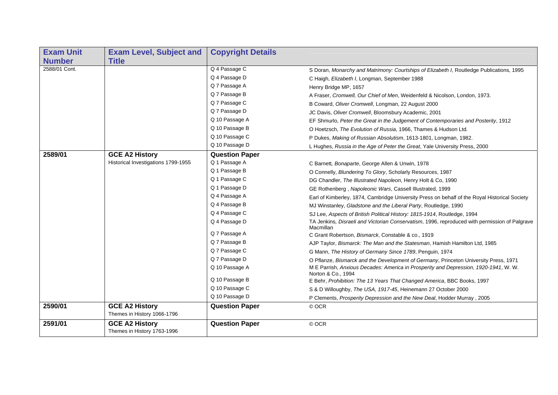| <b>Exam Unit</b> | <b>Exam Level, Subject and</b>                       | <b>Copyright Details</b> |                                                                                                            |
|------------------|------------------------------------------------------|--------------------------|------------------------------------------------------------------------------------------------------------|
| <b>Number</b>    | <b>Title</b>                                         |                          |                                                                                                            |
| 2588/01 Cont.    |                                                      | Q 4 Passage C            | S Doran, Monarchy and Matrimony: Courtships of Elizabeth I, Routledge Publications, 1995                   |
|                  |                                                      | Q 4 Passage D            | C Haigh, Elizabeth I, Longman, September 1988                                                              |
|                  |                                                      | Q 7 Passage A            | Henry Bridge MP, 1657                                                                                      |
|                  |                                                      | Q 7 Passage B            | A Fraser, Cromwell, Our Chief of Men, Weidenfeld & Nicolson, London, 1973.                                 |
|                  |                                                      | Q 7 Passage C            | B Coward, Oliver Cromwell, Longman, 22 August 2000                                                         |
|                  |                                                      | Q 7 Passage D            | JC Davis, Oliver Cromwell, Bloomsbury Academic, 2001                                                       |
|                  |                                                      | Q 10 Passage A           | EF Shmurlo, Peter the Great in the Judgement of Contemporaries and Posterity, 1912                         |
|                  |                                                      | Q 10 Passage B           | O Hoetzsch, The Evolution of Russia, 1966, Thames & Hudson Ltd.                                            |
|                  |                                                      | Q 10 Passage C           | P Dukes, Making of Russian Absolutism, 1613-1801, Longman, 1982.                                           |
|                  |                                                      | Q 10 Passage D           | L Hughes, Russia in the Age of Peter the Great, Yale University Press, 2000                                |
| 2589/01          | <b>GCE A2 History</b>                                | <b>Question Paper</b>    |                                                                                                            |
|                  | Historical Investigations 1799-1955                  | Q 1 Passage A            | C Barnett, Bonaparte, George Allen & Unwin, 1978                                                           |
|                  |                                                      | Q 1 Passage B            | O Connelly, Blundering To Glory, Scholarly Resources, 1987                                                 |
|                  |                                                      | Q 1 Passage C            | DG Chandler, The Illustrated Napoleon, Henry Holt & Co, 1990                                               |
|                  |                                                      | Q 1 Passage D            | GE Rothenberg, Napoleonic Wars, Cassell Illustrated, 1999                                                  |
|                  |                                                      | Q 4 Passage A            | Earl of Kimberley, 1874, Cambridge University Press on behalf of the Royal Historical Society              |
|                  |                                                      | Q 4 Passage B            | MJ Winstanley, Gladstone and the Liberal Party, Routledge, 1990                                            |
|                  |                                                      | Q 4 Passage C            | SJ Lee, Aspects of British Political History: 1815-1914, Routledge, 1994                                   |
|                  |                                                      | Q 4 Passage D            | TA Jenkins, Disraeli and Victorian Conservatism, 1996, reproduced with permission of Palgrave<br>Macmillan |
|                  |                                                      | Q 7 Passage A            | C Grant Robertson, Bismarck, Constable & co., 1919                                                         |
|                  |                                                      | Q 7 Passage B            | AJP Taylor, Bismarck: The Man and the Statesman, Hamish Hamilton Ltd, 1985                                 |
|                  |                                                      | Q 7 Passage C            | G Mann, The History of Germany Since 1789, Penguin, 1974                                                   |
|                  |                                                      | Q 7 Passage D            | O Pflanze, Bismarck and the Development of Germany, Princeton University Press, 1971                       |
|                  |                                                      | Q 10 Passage A           | M E Parrish, Anxious Decades: America in Prosperity and Depression, 1920-1941, W. W.<br>Norton & Co., 1994 |
|                  |                                                      | Q 10 Passage B           | E Behr, Prohibition: The 13 Years That Changed America, BBC Books, 1997                                    |
|                  |                                                      | Q 10 Passage C           | S & D Willoughby, The USA, 1917-45, Heinemann 27 October 2000                                              |
|                  |                                                      | Q 10 Passage D           | P Clements, Prosperity Depression and the New Deal, Hodder Murray, 2005                                    |
| 2590/01          | <b>GCE A2 History</b><br>Themes in History 1066-1796 | <b>Question Paper</b>    | © OCR                                                                                                      |
| 2591/01          | <b>GCE A2 History</b>                                | <b>Question Paper</b>    | © OCR                                                                                                      |
|                  | Themes in History 1763-1996                          |                          |                                                                                                            |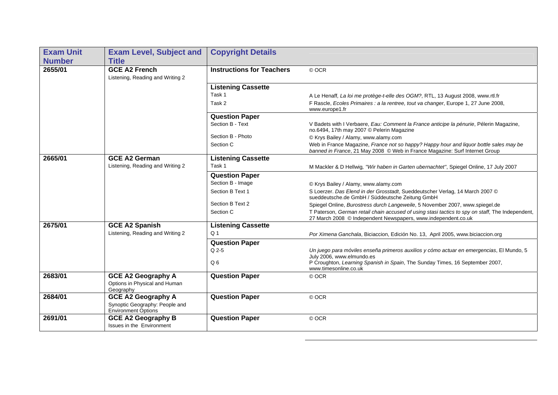| <b>Exam Unit</b> | <b>Exam Level, Subject and</b>                                                     | <b>Copyright Details</b>         |                                                                                                                                                                       |
|------------------|------------------------------------------------------------------------------------|----------------------------------|-----------------------------------------------------------------------------------------------------------------------------------------------------------------------|
| <b>Number</b>    | <b>Title</b>                                                                       |                                  |                                                                                                                                                                       |
| 2655/01          | <b>GCE A2 French</b><br>Listening, Reading and Writing 2                           | <b>Instructions for Teachers</b> | © OCR                                                                                                                                                                 |
|                  |                                                                                    | <b>Listening Cassette</b>        |                                                                                                                                                                       |
|                  |                                                                                    | Task 1                           | A Le Henaff, La loi me protège-t-elle des OGM?, RTL, 13 August 2008, www.rtl.fr                                                                                       |
|                  |                                                                                    | Task 2                           | F Rascle, Ecoles Primaires : a la rentree, tout va changer, Europe 1, 27 June 2008,<br>www.europe1.fr                                                                 |
|                  |                                                                                    | <b>Question Paper</b>            |                                                                                                                                                                       |
|                  |                                                                                    | Section B - Text                 | V Badets with I Verbaere, Eau: Comment la France anticipe la pénurie, Pélerin Magazine,<br>no.6494, 17th may 2007 © Pelerin Magazine                                  |
|                  |                                                                                    | Section B - Photo                | © Krys Bailey / Alamy, www.alamy.com                                                                                                                                  |
|                  |                                                                                    | Section C                        | Web in France Magazine, France not so happy? Happy hour and liquor bottle sales may be<br>banned in France, 21 May 2008 © Web in France Magazine: Surf Internet Group |
| 2665/01          | <b>GCE A2 German</b>                                                               | <b>Listening Cassette</b>        |                                                                                                                                                                       |
|                  | Listening, Reading and Writing 2                                                   | Task 1                           | M Mackler & D Hellwig, "Wir haben in Garten ubernachtet", Spiegel Online, 17 July 2007                                                                                |
|                  |                                                                                    | <b>Question Paper</b>            |                                                                                                                                                                       |
|                  |                                                                                    | Section B - Image                | © Krys Bailey / Alamy, www.alamy.com                                                                                                                                  |
|                  |                                                                                    | Section B Text 1                 | S Loerzer. Das Elend in der Grosstadt, Sueddeutscher Verlag, 14 March 2007 ©<br>sueddeutsche.de GmbH / Süddeutsche Zeitung GmbH                                       |
|                  |                                                                                    | Section B Text 2                 | Spiegel Online, Burostress durch Langeweile, 5 November 2007, www.spiegel.de                                                                                          |
|                  |                                                                                    | Section C                        | T Paterson, German retail chain accused of using stasi tactics to spy on staff, The Independent,<br>27 March 2008 © Independent Newspapers, www.independent.co.uk     |
| 2675/01          | <b>GCE A2 Spanish</b>                                                              | <b>Listening Cassette</b>        |                                                                                                                                                                       |
|                  | Listening, Reading and Writing 2                                                   | Q <sub>1</sub>                   | Por Ximena Ganchala, Biciaccion, Edición No. 13, April 2005, www.biciaccion.org                                                                                       |
|                  |                                                                                    | <b>Question Paper</b>            |                                                                                                                                                                       |
|                  |                                                                                    | Q 2-5                            | Un juego para móviles enseña primeros auxilios y cómo actuar en emergencias, El Mundo, 5<br>July 2006, www.elmundo.es                                                 |
|                  |                                                                                    | Q <sub>6</sub>                   | P Croughton, Learning Spanish in Spain, The Sunday Times, 16 September 2007,<br>www.timesonline.co.uk                                                                 |
| 2683/01          | <b>GCE A2 Geography A</b><br>Options in Physical and Human<br>Geography            | <b>Question Paper</b>            | © OCR                                                                                                                                                                 |
| 2684/01          | <b>GCE A2 Geography A</b><br>Synoptic Geography: People and<br>Environment Options | <b>Question Paper</b>            | © OCR                                                                                                                                                                 |
| 2691/01          | <b>GCE A2 Geography B</b><br>Issues in the Environment                             | <b>Question Paper</b>            | © OCR                                                                                                                                                                 |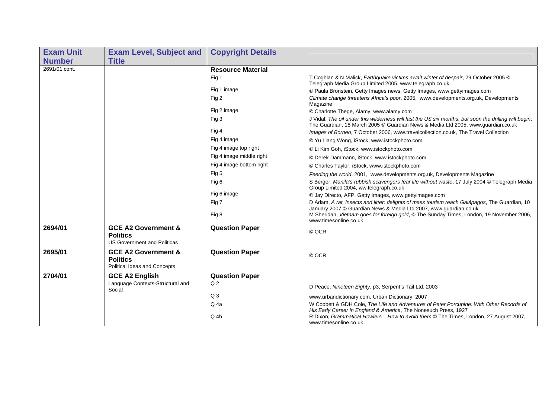| <b>Exam Unit</b> | <b>Exam Level, Subject and</b>                                                          | <b>Copyright Details</b> |                                                                                                                                                                                                                                                                |
|------------------|-----------------------------------------------------------------------------------------|--------------------------|----------------------------------------------------------------------------------------------------------------------------------------------------------------------------------------------------------------------------------------------------------------|
| <b>Number</b>    | <b>Title</b>                                                                            |                          |                                                                                                                                                                                                                                                                |
| 2691/01 cont.    |                                                                                         | <b>Resource Material</b> |                                                                                                                                                                                                                                                                |
|                  |                                                                                         | Fig 1                    | T Coghlan & N Malick, Earthquake victims await winter of despair, 29 October 2005 ©<br>Telegraph Media Group Limited 2005, www.telegraph.co.uk                                                                                                                 |
|                  |                                                                                         | Fig 1 image              | © Paula Bronstein, Getty Images news, Getty Images, www.gettyimages.com                                                                                                                                                                                        |
|                  |                                                                                         | Fig 2                    | Climate change threatens Africa's poor, 2005, www.developments.org.uk, Developments<br>Magazine                                                                                                                                                                |
|                  |                                                                                         | Fig 2 image              | © Charlotte Thege, Alamy, www.alamy.com                                                                                                                                                                                                                        |
|                  |                                                                                         | Fig 3                    | J Vidal, The oil under this wilderness will last the US six months, but soon the drilling will begin,<br>The Guardian, 18 March 2005 © Guardian News & Media Ltd 2005, www.guardian.co.uk                                                                      |
|                  |                                                                                         | Fig 4                    | Images of Borneo, 7 October 2006, www.travelcollection.co.uk, The Travel Collection                                                                                                                                                                            |
|                  |                                                                                         | Fig 4 image              | © Yu Liang Wong, iStock, www.istockphoto.com                                                                                                                                                                                                                   |
|                  |                                                                                         | Fig 4 image top right    | © Li Kim Goh, iStock, www.istockphoto.com                                                                                                                                                                                                                      |
|                  |                                                                                         | Fig 4 image middle right | © Derek Dammann, iStock, www.istockphoto.com                                                                                                                                                                                                                   |
|                  |                                                                                         | Fig 4 image bottom right | © Charles Taylor, iStock, www.istockphoto.com                                                                                                                                                                                                                  |
|                  |                                                                                         | Fig 5                    | Feeding the world, 2001, www.developments.org.uk, Developments Magazine                                                                                                                                                                                        |
|                  |                                                                                         | Fig 6                    | S Berger, Manila's rubbish scavengers fear life without waste, 17 July 2004 © Telegraph Media<br>Group Limited 2004, ww.telegraph.co.uk                                                                                                                        |
|                  |                                                                                         | Fig 6 image              | © Jay Directo, AFP, Getty Images, www.gettyimages.com                                                                                                                                                                                                          |
|                  |                                                                                         | Fig 7                    | D Adam, A rat, insects and litter: delights of mass tourism reach Galápagos, The Guardian, 10<br>January 2007 © Guardian News & Media Ltd 2007, www.quardian.co.uk<br>M Sheridan, Vietnam goes for foreign gold, © The Sunday Times, London, 19 November 2006, |
|                  |                                                                                         | Fig 8                    | www.timesonline.co.uk                                                                                                                                                                                                                                          |
| 2694/01          | <b>GCE A2 Government &amp;</b><br><b>Politics</b><br><b>US Government and Politicas</b> | <b>Question Paper</b>    | © OCR                                                                                                                                                                                                                                                          |
| 2695/01          | <b>GCE A2 Government &amp;</b><br><b>Politics</b><br>Political Ideas and Concepts       | <b>Question Paper</b>    | © OCR                                                                                                                                                                                                                                                          |
| 2704/01          | <b>GCE A2 English</b>                                                                   | <b>Question Paper</b>    |                                                                                                                                                                                                                                                                |
|                  | Language Contexts-Structural and<br>Social                                              | Q <sub>2</sub>           | D Peace, Nineteen Eighty, p3, Serpent's Tail Ltd, 2003                                                                                                                                                                                                         |
|                  |                                                                                         | Q <sub>3</sub>           | www.urbandictionary.com, Urban Dictionary, 2007                                                                                                                                                                                                                |
|                  |                                                                                         | Q <sub>4a</sub>          | W Cobbett & GDH Cole, The Life and Adventures of Peter Porcupine: With Other Records of<br>His Early Career in England & America, The Nonesuch Press, 1927                                                                                                     |
|                  |                                                                                         | $Q_4b$                   | R Dixon, Grammatical Howlers - How to avoid them © The Times, London, 27 August 2007,<br>www.timesonline.co.uk                                                                                                                                                 |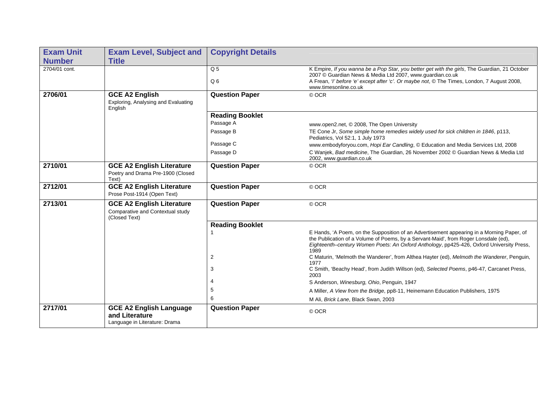| <b>Exam Unit</b> | <b>Exam Level, Subject and</b>                                                        | <b>Copyright Details</b>         |                                                                                                                                                                                                                                                                                      |
|------------------|---------------------------------------------------------------------------------------|----------------------------------|--------------------------------------------------------------------------------------------------------------------------------------------------------------------------------------------------------------------------------------------------------------------------------------|
| <b>Number</b>    | <b>Title</b>                                                                          |                                  |                                                                                                                                                                                                                                                                                      |
| 2704/01 cont.    |                                                                                       | Q <sub>5</sub><br>Q <sub>6</sub> | K Empire, If you wanna be a Pop Star, you better get with the girls, The Guardian, 21 October<br>2007 © Guardian News & Media Ltd 2007, www.guardian.co.uk<br>A Frean, 'I' before 'e' except after 'c'. Or maybe not, © The Times, London, 7 August 2008,<br>www.timesonline.co.uk   |
| 2706/01          | <b>GCE A2 English</b><br>Exploring, Analysing and Evaluating<br>English               | <b>Question Paper</b>            | © OCR                                                                                                                                                                                                                                                                                |
|                  |                                                                                       | <b>Reading Booklet</b>           |                                                                                                                                                                                                                                                                                      |
|                  |                                                                                       | Passage A                        | www.open2.net, © 2008, The Open University                                                                                                                                                                                                                                           |
|                  |                                                                                       | Passage B                        | TE Cone Jr, Some simple home remedies widely used for sick children in 1846, p113,<br>Pediatrics, Vol 52:1, 1 July 1973                                                                                                                                                              |
|                  |                                                                                       | Passage C                        | www.embodyforyou.com, Hopi Ear Candling, © Education and Media Services Ltd, 2008                                                                                                                                                                                                    |
|                  |                                                                                       | Passage D                        | C Wanjek, Bad medicine, The Guardian, 26 November 2002 © Guardian News & Media Ltd<br>2002, www.guardian.co.uk                                                                                                                                                                       |
| 2710/01          | <b>GCE A2 English Literature</b><br>Poetry and Drama Pre-1900 (Closed<br>Text)        | <b>Question Paper</b>            | © OCR                                                                                                                                                                                                                                                                                |
| 2712/01          | <b>GCE A2 English Literature</b><br>Prose Post-1914 (Open Text)                       | <b>Question Paper</b>            | © OCR                                                                                                                                                                                                                                                                                |
| 2713/01          | <b>GCE A2 English Literature</b><br>Comparative and Contextual study<br>(Closed Text) | <b>Question Paper</b>            | © OCR                                                                                                                                                                                                                                                                                |
|                  |                                                                                       | <b>Reading Booklet</b>           |                                                                                                                                                                                                                                                                                      |
|                  |                                                                                       |                                  | E Hands, 'A Poem, on the Supposition of an Advertisement appearing in a Morning Paper, of<br>the Publication of a Volume of Poems, by a Servant-Maid', from Roger Lonsdale (ed),<br>Eighteenth-century Women Poets: An Oxford Anthology, pp425-426, Oxford University Press,<br>1989 |
|                  |                                                                                       | $\overline{c}$                   | C Maturin, 'Melmoth the Wanderer', from Althea Hayter (ed), Melmoth the Wanderer, Penguin,<br>1977                                                                                                                                                                                   |
|                  |                                                                                       | 3                                | C Smith, 'Beachy Head', from Judith Willson (ed), Selected Poems, p46-47, Carcanet Press,<br>2003                                                                                                                                                                                    |
|                  |                                                                                       | 4                                | S Anderson, Winesburg, Ohio, Penguin, 1947                                                                                                                                                                                                                                           |
|                  |                                                                                       | 5                                | A Miller, A View from the Bridge, pp8-11, Heinemann Education Publishers, 1975                                                                                                                                                                                                       |
|                  |                                                                                       | 6                                | M Ali, Brick Lane, Black Swan, 2003                                                                                                                                                                                                                                                  |
| 2717/01          | <b>GCE A2 English Language</b><br>and Literature<br>Language in Literature: Drama     | <b>Question Paper</b>            | © OCR                                                                                                                                                                                                                                                                                |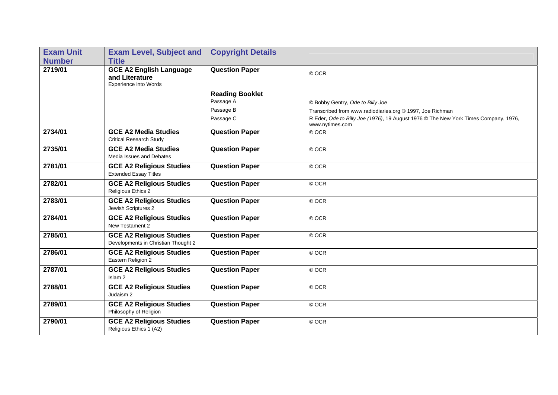| <b>Exam Unit</b> | <b>Exam Level, Subject and</b>                                            | <b>Copyright Details</b> |                                                                                                        |
|------------------|---------------------------------------------------------------------------|--------------------------|--------------------------------------------------------------------------------------------------------|
| <b>Number</b>    | <b>Title</b>                                                              |                          |                                                                                                        |
| 2719/01          | <b>GCE A2 English Language</b><br>and Literature<br>Experience into Words | <b>Question Paper</b>    | © OCR                                                                                                  |
|                  |                                                                           | <b>Reading Booklet</b>   |                                                                                                        |
|                  |                                                                           | Passage A                | © Bobby Gentry, Ode to Billy Joe                                                                       |
|                  |                                                                           | Passage B                | Transcribed from www.radiodiaries.org © 1997, Joe Richman                                              |
|                  |                                                                           | Passage C                | R Eder, Ode to Billy Joe (1976), 19 August 1976 © The New York Times Company, 1976,<br>www.nytimes.com |
| 2734/01          | <b>GCE A2 Media Studies</b><br><b>Critical Research Study</b>             | <b>Question Paper</b>    | © OCR                                                                                                  |
| 2735/01          | <b>GCE A2 Media Studies</b><br>Media Issues and Debates                   | <b>Question Paper</b>    | © OCR                                                                                                  |
| 2781/01          | <b>GCE A2 Religious Studies</b><br><b>Extended Essay Titles</b>           | <b>Question Paper</b>    | © OCR                                                                                                  |
| 2782/01          | <b>GCE A2 Religious Studies</b><br>Religious Ethics 2                     | <b>Question Paper</b>    | © OCR                                                                                                  |
| 2783/01          | <b>GCE A2 Religious Studies</b><br>Jewish Scriptures 2                    | <b>Question Paper</b>    | © OCR                                                                                                  |
| 2784/01          | <b>GCE A2 Religious Studies</b><br>New Testament 2                        | <b>Question Paper</b>    | © OCR                                                                                                  |
| 2785/01          | <b>GCE A2 Religious Studies</b><br>Developments in Christian Thought 2    | <b>Question Paper</b>    | © OCR                                                                                                  |
| 2786/01          | <b>GCE A2 Religious Studies</b><br>Eastern Religion 2                     | <b>Question Paper</b>    | © OCR                                                                                                  |
| 2787/01          | <b>GCE A2 Religious Studies</b><br>Islam <sub>2</sub>                     | <b>Question Paper</b>    | © OCR                                                                                                  |
| 2788/01          | <b>GCE A2 Religious Studies</b><br>Judaism 2                              | <b>Question Paper</b>    | © OCR                                                                                                  |
| 2789/01          | <b>GCE A2 Religious Studies</b><br>Philosophy of Religion                 | <b>Question Paper</b>    | © OCR                                                                                                  |
| 2790/01          | <b>GCE A2 Religious Studies</b><br>Religious Ethics 1 (A2)                | <b>Question Paper</b>    | © OCR                                                                                                  |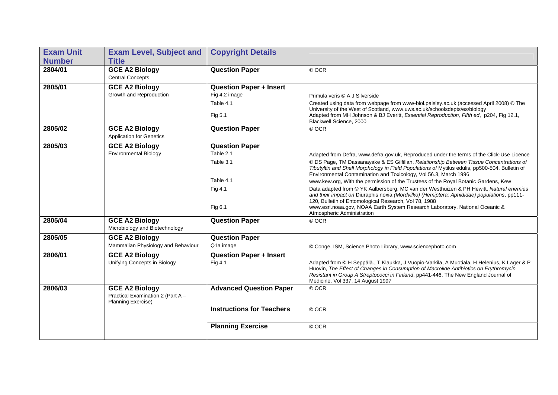| <b>Exam Unit</b> | <b>Exam Level, Subject and</b>                                                   | <b>Copyright Details</b>         |                                                                                                                                                                                                                                                                                                                  |
|------------------|----------------------------------------------------------------------------------|----------------------------------|------------------------------------------------------------------------------------------------------------------------------------------------------------------------------------------------------------------------------------------------------------------------------------------------------------------|
| <b>Number</b>    | <b>Title</b>                                                                     |                                  |                                                                                                                                                                                                                                                                                                                  |
| 2804/01          | <b>GCE A2 Biology</b><br><b>Central Concepts</b>                                 | <b>Question Paper</b>            | © OCR                                                                                                                                                                                                                                                                                                            |
| 2805/01          | <b>GCE A2 Biology</b>                                                            | <b>Question Paper + Insert</b>   |                                                                                                                                                                                                                                                                                                                  |
|                  | Growth and Reproduction                                                          | Fig 4.2 image                    | Primula veris © A J Silverside                                                                                                                                                                                                                                                                                   |
|                  |                                                                                  | Table 4.1                        | Created using data from webpage from www-biol.paisley.ac.uk (accessed April 2008) © The                                                                                                                                                                                                                          |
|                  |                                                                                  | Fig 5.1                          | University of the West of Scotland, www.uws.ac.uk/schoolsdepts/es/biology<br>Adapted from MH Johnson & BJ Everitt, Essential Reproduction, Fifth ed, p204, Fig 12.1,<br>Blackwell Science, 2000                                                                                                                  |
| 2805/02          | <b>GCE A2 Biology</b>                                                            | <b>Question Paper</b>            | © OCR                                                                                                                                                                                                                                                                                                            |
|                  | <b>Application for Genetics</b>                                                  |                                  |                                                                                                                                                                                                                                                                                                                  |
| 2805/03          | <b>GCE A2 Biology</b>                                                            | <b>Question Paper</b>            |                                                                                                                                                                                                                                                                                                                  |
|                  | <b>Environmental Biology</b>                                                     | Table 2.1                        | Adapted from Defra, www.defra.gov.uk, Reproduced under the terms of the Click-Use Licence                                                                                                                                                                                                                        |
|                  |                                                                                  | Table 3.1                        | © DS Page, TM Dassanayake & ES Gilfillan, Relationship Between Tissue Concentrations of<br>Tibutyltin and Shell Morphology in Field Populations of Mytilus edulis, pp500-504, Bulletin of<br>Environmental Contamination and Toxicology, Vol 56.3, March 1996                                                    |
|                  |                                                                                  | Table 4.1                        | www.kew.org, With the permission of the Trustees of the Royal Botanic Gardens, Kew                                                                                                                                                                                                                               |
|                  |                                                                                  | Fig 4.1                          | Data adapted from © YK Aalbersberg, MC van der Westhuizen & PH Hewitt, Natural enemies<br>and their impact on Diuraphis noxia (Mordvilko) (Hemiptera: Aphididae) populations, pp111-<br>120, Bulletin of Entomological Research, Vol 78, 1988                                                                    |
|                  |                                                                                  | Fig 6.1                          | www.esrl.noaa.gov, NOAA Earth System Research Laboratory, National Oceanic &<br>Atmospheric Administration                                                                                                                                                                                                       |
| 2805/04          | <b>GCE A2 Biology</b><br>Microbiology and Biotechnology                          | <b>Question Paper</b>            | © OCR                                                                                                                                                                                                                                                                                                            |
| 2805/05          | <b>GCE A2 Biology</b>                                                            | <b>Question Paper</b>            |                                                                                                                                                                                                                                                                                                                  |
|                  | Mammalian Physiology and Behaviour                                               | Q1a image                        | © Conge, ISM, Science Photo Library, www.sciencephoto.com                                                                                                                                                                                                                                                        |
| 2806/01          | <b>GCE A2 Biology</b>                                                            | <b>Question Paper + Insert</b>   |                                                                                                                                                                                                                                                                                                                  |
|                  | Unifying Concepts in Biology                                                     | Fig 4.1                          | Adapted from © H Seppälä., T Klaukka, J Vuopio-Varkila, A Muotiala, H Helenius, K Lager & P<br>Huovin, The Effect of Changes in Consumption of Macrolide Antibiotics on Erythromycin<br>Resistant in Group A Streptococci in Finland, pp441-446, The New England Journal of<br>Medicine, Vol 337, 14 August 1997 |
| 2806/03          | <b>GCE A2 Biology</b><br>Practical Examination 2 (Part A -<br>Planning Exercise) | <b>Advanced Question Paper</b>   | © OCR                                                                                                                                                                                                                                                                                                            |
|                  |                                                                                  | <b>Instructions for Teachers</b> | © OCR                                                                                                                                                                                                                                                                                                            |
|                  |                                                                                  | <b>Planning Exercise</b>         | © OCR                                                                                                                                                                                                                                                                                                            |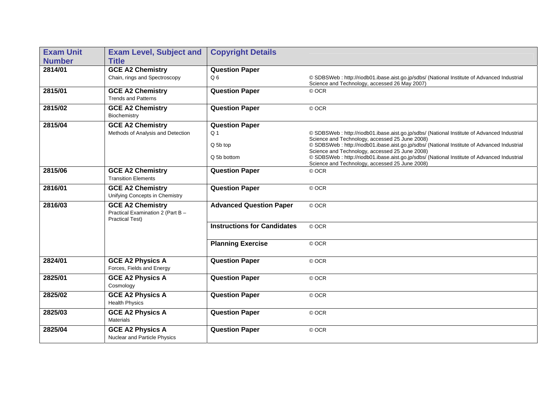| <b>Exam Unit</b> | <b>Exam Level, Subject and</b>                                                         | <b>Copyright Details</b>           |                                                                                                                                                                                                  |
|------------------|----------------------------------------------------------------------------------------|------------------------------------|--------------------------------------------------------------------------------------------------------------------------------------------------------------------------------------------------|
| <b>Number</b>    | <b>Title</b>                                                                           |                                    |                                                                                                                                                                                                  |
| 2814/01          | <b>GCE A2 Chemistry</b>                                                                | <b>Question Paper</b>              |                                                                                                                                                                                                  |
|                  | Chain, rings and Spectroscopy                                                          | Q <sub>6</sub>                     | © SDBSWeb : http://riodb01.ibase.aist.go.jp/sdbs/ (National Institute of Advanced Industrial<br>Science and Technology, accessed 26 May 2007)                                                    |
| 2815/01          | <b>GCE A2 Chemistry</b><br><b>Trends and Patterns</b>                                  | <b>Question Paper</b>              | © OCR                                                                                                                                                                                            |
| 2815/02          | <b>GCE A2 Chemistry</b><br>Biochemistry                                                | <b>Question Paper</b>              | © OCR                                                                                                                                                                                            |
| 2815/04          | <b>GCE A2 Chemistry</b>                                                                | <b>Question Paper</b>              |                                                                                                                                                                                                  |
|                  | Methods of Analysis and Detection                                                      | Q <sub>1</sub>                     | © SDBSWeb : http://riodb01.ibase.aist.go.jp/sdbs/ (National Institute of Advanced Industrial                                                                                                     |
|                  |                                                                                        | Q 5b top                           | Science and Technology, accessed 25 June 2008)<br>© SDBSWeb : http://riodb01.ibase.aist.go.jp/sdbs/ (National Institute of Advanced Industrial                                                   |
|                  |                                                                                        | Q 5b bottom                        | Science and Technology, accessed 25 June 2008)<br>© SDBSWeb : http://riodb01.ibase.aist.go.jp/sdbs/ (National Institute of Advanced Industrial<br>Science and Technology, accessed 25 June 2008) |
| 2815/06          | <b>GCE A2 Chemistry</b><br><b>Transition Elements</b>                                  | <b>Question Paper</b>              | © OCR                                                                                                                                                                                            |
| 2816/01          | <b>GCE A2 Chemistry</b><br>Unifying Concepts in Chemistry                              | <b>Question Paper</b>              | © OCR                                                                                                                                                                                            |
| 2816/03          | <b>GCE A2 Chemistry</b><br>Practical Examination 2 (Part B -<br><b>Practical Test)</b> | <b>Advanced Question Paper</b>     | © OCR                                                                                                                                                                                            |
|                  |                                                                                        | <b>Instructions for Candidates</b> | © OCR                                                                                                                                                                                            |
|                  |                                                                                        | <b>Planning Exercise</b>           | © OCR                                                                                                                                                                                            |
| 2824/01          | <b>GCE A2 Physics A</b><br>Forces, Fields and Energy                                   | <b>Question Paper</b>              | © OCR                                                                                                                                                                                            |
| 2825/01          | <b>GCE A2 Physics A</b><br>Cosmology                                                   | <b>Question Paper</b>              | © OCR                                                                                                                                                                                            |
| 2825/02          | <b>GCE A2 Physics A</b><br><b>Health Physics</b>                                       | <b>Question Paper</b>              | © OCR                                                                                                                                                                                            |
| 2825/03          | <b>GCE A2 Physics A</b><br><b>Materials</b>                                            | <b>Question Paper</b>              | © OCR                                                                                                                                                                                            |
| 2825/04          | <b>GCE A2 Physics A</b><br>Nuclear and Particle Physics                                | <b>Question Paper</b>              | © OCR                                                                                                                                                                                            |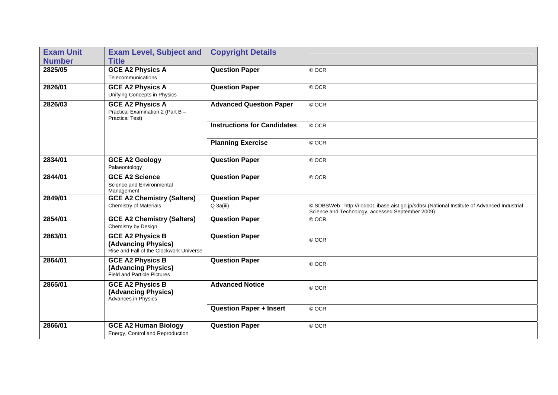| <b>Exam Unit</b> | <b>Exam Level, Subject and</b>                                                            | <b>Copyright Details</b>           |                                                                                                                                                  |
|------------------|-------------------------------------------------------------------------------------------|------------------------------------|--------------------------------------------------------------------------------------------------------------------------------------------------|
| <b>Number</b>    | <b>Title</b>                                                                              |                                    |                                                                                                                                                  |
| 2825/05          | <b>GCE A2 Physics A</b><br>Telecommunications                                             | <b>Question Paper</b>              | © OCR                                                                                                                                            |
| 2826/01          | <b>GCE A2 Physics A</b><br>Unifying Concepts in Physics                                   | <b>Question Paper</b>              | © OCR                                                                                                                                            |
| 2826/03          | <b>GCE A2 Physics A</b><br>Practical Examination 2 (Part B -<br><b>Practical Test)</b>    | <b>Advanced Question Paper</b>     | © OCR                                                                                                                                            |
|                  |                                                                                           | <b>Instructions for Candidates</b> | © OCR                                                                                                                                            |
|                  |                                                                                           | <b>Planning Exercise</b>           | © OCR                                                                                                                                            |
| 2834/01          | <b>GCE A2 Geology</b><br>Palaeontology                                                    | <b>Question Paper</b>              | © OCR                                                                                                                                            |
| 2844/01          | <b>GCE A2 Science</b><br>Science and Environmental<br>Management                          | <b>Question Paper</b>              | © OCR                                                                                                                                            |
| 2849/01          | <b>GCE A2 Chemistry (Salters)</b><br><b>Chemistry of Materials</b>                        | <b>Question Paper</b><br>Q 3a(iii) | © SDBSWeb : http://riodb01.ibase.aist.go.jp/sdbs/ (National Institute of Advanced Industrial<br>Science and Technology, accessed September 2009) |
| 2854/01          | <b>GCE A2 Chemistry (Salters)</b><br>Chemistry by Design                                  | <b>Question Paper</b>              | © OCR                                                                                                                                            |
| 2863/01          | <b>GCE A2 Physics B</b><br>(Advancing Physics)<br>Rise and Fall of the Clockwork Universe | <b>Question Paper</b>              | © OCR                                                                                                                                            |
| 2864/01          | <b>GCE A2 Physics B</b><br>(Advancing Physics)<br>Field and Particle Pictures             | <b>Question Paper</b>              | © OCR                                                                                                                                            |
| 2865/01          | <b>GCE A2 Physics B</b><br>(Advancing Physics)<br>Advances in Physics                     | <b>Advanced Notice</b>             | © OCR                                                                                                                                            |
|                  |                                                                                           | <b>Question Paper + Insert</b>     | © OCR                                                                                                                                            |
| 2866/01          | <b>GCE A2 Human Biology</b><br>Energy, Control and Reproduction                           | <b>Question Paper</b>              | © OCR                                                                                                                                            |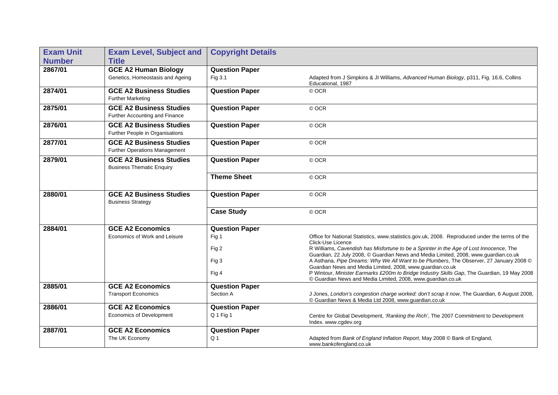| <b>Exam Unit</b> | <b>Exam Level, Subject and</b>                                     | <b>Copyright Details</b> |                                                                                                                                                                                |
|------------------|--------------------------------------------------------------------|--------------------------|--------------------------------------------------------------------------------------------------------------------------------------------------------------------------------|
| <b>Number</b>    | <b>Title</b>                                                       |                          |                                                                                                                                                                                |
| 2867/01          | <b>GCE A2 Human Biology</b>                                        | <b>Question Paper</b>    |                                                                                                                                                                                |
|                  | Genetics, Homeostasis and Ageing                                   | Fig 3.1                  | Adapted from J Simpkins & JI Williams, Advanced Human Biology, p311, Fig. 16.6, Collins<br>Educational, 1987                                                                   |
| 2874/01          | <b>GCE A2 Business Studies</b><br><b>Further Marketing</b>         | <b>Question Paper</b>    | © OCR                                                                                                                                                                          |
| 2875/01          | <b>GCE A2 Business Studies</b><br>Further Accounting and Finance   | <b>Question Paper</b>    | © OCR                                                                                                                                                                          |
| 2876/01          | <b>GCE A2 Business Studies</b><br>Further People in Organisations  | <b>Question Paper</b>    | © OCR                                                                                                                                                                          |
| 2877/01          | <b>GCE A2 Business Studies</b><br>Further Operations Management    | <b>Question Paper</b>    | © OCR                                                                                                                                                                          |
| 2879/01          | <b>GCE A2 Business Studies</b><br><b>Business Thematic Enquiry</b> | <b>Question Paper</b>    | © OCR                                                                                                                                                                          |
|                  |                                                                    | <b>Theme Sheet</b>       | © OCR                                                                                                                                                                          |
| 2880/01          | <b>GCE A2 Business Studies</b><br><b>Business Strategy</b>         | <b>Question Paper</b>    | © OCR                                                                                                                                                                          |
|                  |                                                                    | <b>Case Study</b>        | © OCR                                                                                                                                                                          |
| 2884/01          | <b>GCE A2 Economics</b>                                            | <b>Question Paper</b>    |                                                                                                                                                                                |
|                  | Economics of Work and Leisure                                      | Fig 1                    | Office for National Statistics, www.statistics.gov.uk, 2008. Reproduced under the terms of the<br>Click-Use Licence                                                            |
|                  |                                                                    | Fig 2                    | R Williams, Cavendish has Misfortune to be a Sprinter in the Age of Lost Innocence, The<br>Guardian, 22 July 2008, © Guardian News and Media Limited, 2008, www.guardian.co.uk |
|                  |                                                                    | Fig 3                    | A Asthana, Pipe Dreams: Why We All Want to be Plumbers, The Observer, 27 January 2008 ©<br>Guardian News and Media Limited, 2008, www.guardian.co.uk                           |
|                  |                                                                    | Fig 4                    | P Wintour, Minister Earmarks £200m to Bridge Industry Skills Gap, The Guardian, 19 May 2008<br>© Guardian News and Media Limited, 2008, www.guardian.co.uk                     |
| 2885/01          | <b>GCE A2 Economics</b>                                            | <b>Question Paper</b>    |                                                                                                                                                                                |
|                  | <b>Transport Economics</b>                                         | Section A                | J Jones, London's congestion charge worked: don't scrap it now, The Guardian, 6 August 2008,<br>© Guardian News & Media Ltd 2008, www.guardian.co.uk                           |
| 2886/01          | <b>GCE A2 Economics</b>                                            | <b>Question Paper</b>    |                                                                                                                                                                                |
|                  | Economics of Development                                           | Q 1 Fig 1                | Centre for Global Development, 'Ranking the Rich', The 2007 Commitment to Development<br>Index. www.cgdev.org                                                                  |
| 2887/01          | <b>GCE A2 Economics</b>                                            | <b>Question Paper</b>    |                                                                                                                                                                                |
|                  | The UK Economy                                                     | Q <sub>1</sub>           | Adapted from Bank of England Inflation Report, May 2008 © Bank of England,<br>www.bankofengland.co.uk                                                                          |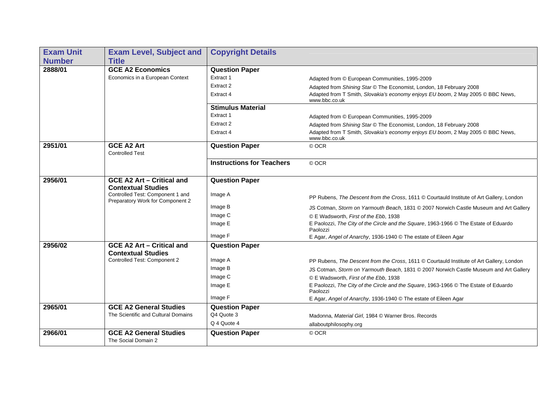| <b>Exam Unit</b> | <b>Exam Level, Subject and</b>                                       | <b>Copyright Details</b>         |                                                                                                  |
|------------------|----------------------------------------------------------------------|----------------------------------|--------------------------------------------------------------------------------------------------|
| <b>Number</b>    | <b>Title</b>                                                         |                                  |                                                                                                  |
| 2888/01          | <b>GCE A2 Economics</b>                                              | <b>Question Paper</b>            |                                                                                                  |
|                  | Economics in a European Context                                      | Extract 1                        | Adapted from © European Communities, 1995-2009                                                   |
|                  |                                                                      | Extract 2                        | Adapted from Shining Star © The Economist, London, 18 February 2008                              |
|                  |                                                                      | Extract 4                        | Adapted from T Smith, Slovakia's economy enjoys EU boom, 2 May 2005 © BBC News,<br>www.bbc.co.uk |
|                  |                                                                      | <b>Stimulus Material</b>         |                                                                                                  |
|                  |                                                                      | Extract 1                        | Adapted from © European Communities, 1995-2009                                                   |
|                  |                                                                      | Extract 2                        | Adapted from Shining Star © The Economist, London, 18 February 2008                              |
|                  |                                                                      | Extract 4                        | Adapted from T Smith, Slovakia's economy enjoys EU boom, 2 May 2005 C BBC News,<br>www.bbc.co.uk |
| 2951/01          | <b>GCE A2 Art</b><br><b>Controlled Test</b>                          | <b>Question Paper</b>            | © OCR                                                                                            |
|                  |                                                                      | <b>Instructions for Teachers</b> |                                                                                                  |
|                  |                                                                      |                                  | © OCR                                                                                            |
| 2956/01          | <b>GCE A2 Art - Critical and</b><br><b>Contextual Studies</b>        | <b>Question Paper</b>            |                                                                                                  |
|                  | Controlled Test: Component 1 and<br>Preparatory Work for Component 2 | Image A                          | PP Rubens, The Descent from the Cross, 1611 © Courtauld Institute of Art Gallery, London         |
|                  |                                                                      | Image B                          | JS Cotman, Storm on Yarmouth Beach, 1831 © 2007 Norwich Castle Museum and Art Gallery            |
|                  |                                                                      | Image C                          | © E Wadsworth, First of the Ebb, 1938                                                            |
|                  |                                                                      | Image E                          | E Paolozzi, The City of the Circle and the Square, 1963-1966 © The Estate of Eduardo<br>Paolozzi |
|                  |                                                                      | Image F                          | E Agar, Angel of Anarchy, 1936-1940 © The estate of Eileen Agar                                  |
| 2956/02          | <b>GCE A2 Art - Critical and</b>                                     | <b>Question Paper</b>            |                                                                                                  |
|                  | <b>Contextual Studies</b>                                            |                                  |                                                                                                  |
|                  | Controlled Test: Component 2                                         | Image A                          | PP Rubens, The Descent from the Cross, 1611 © Courtauld Institute of Art Gallery, London         |
|                  |                                                                      | Image B                          | JS Cotman, Storm on Yarmouth Beach, 1831 © 2007 Norwich Castle Museum and Art Gallery            |
|                  |                                                                      | Image C                          | © E Wadsworth, First of the Ebb, 1938                                                            |
|                  |                                                                      | Image E                          | E Paolozzi, The City of the Circle and the Square, 1963-1966 © The Estate of Eduardo<br>Paolozzi |
|                  |                                                                      | Image F                          | E Agar, Angel of Anarchy, 1936-1940 © The estate of Eileen Agar                                  |
| 2965/01          | <b>GCE A2 General Studies</b>                                        | <b>Question Paper</b>            |                                                                                                  |
|                  | The Scientific and Cultural Domains                                  | Q4 Quote 3                       | Madonna, Material Girl, 1984 © Warner Bros. Records                                              |
|                  |                                                                      | Q 4 Quote 4                      | allaboutphilosophy.org                                                                           |
| 2966/01          | <b>GCE A2 General Studies</b>                                        | <b>Question Paper</b>            | © OCR                                                                                            |
|                  | The Social Domain 2                                                  |                                  |                                                                                                  |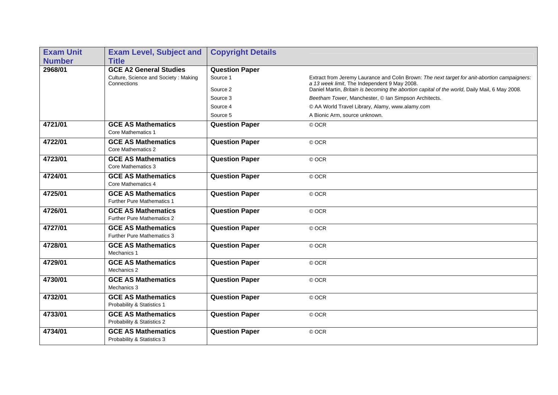| <b>Exam Unit</b> | <b>Exam Level, Subject and</b>                                 | <b>Copyright Details</b> |                                                                                                                                              |
|------------------|----------------------------------------------------------------|--------------------------|----------------------------------------------------------------------------------------------------------------------------------------------|
| <b>Number</b>    | <b>Title</b>                                                   |                          |                                                                                                                                              |
| 2968/01          | <b>GCE A2 General Studies</b>                                  | <b>Question Paper</b>    |                                                                                                                                              |
|                  | Culture, Science and Society: Making<br>Connections            | Source 1                 | Extract from Jeremy Laurance and Colin Brown: The next target for anit-abortion campaigners:<br>a 13 week limit, The Independent 9 May 2008. |
|                  |                                                                | Source 2                 | Daniel Martin, Britain is becoming the abortion capital of the world, Daily Mail, 6 May 2008.                                                |
|                  |                                                                | Source 3                 | Beetham Tower, Manchester, © Ian Simpson Architects.                                                                                         |
|                  |                                                                | Source 4                 | © AA World Travel Library, Alamy, www.alamy.com                                                                                              |
|                  |                                                                | Source 5                 | A Bionic Arm, source unknown.                                                                                                                |
| 4721/01          | <b>GCE AS Mathematics</b><br><b>Core Mathematics 1</b>         | <b>Question Paper</b>    | © OCR                                                                                                                                        |
| 4722/01          | <b>GCE AS Mathematics</b><br><b>Core Mathematics 2</b>         | <b>Question Paper</b>    | © OCR                                                                                                                                        |
| 4723/01          | <b>GCE AS Mathematics</b><br>Core Mathematics 3                | <b>Question Paper</b>    | © OCR                                                                                                                                        |
| 4724/01          | <b>GCE AS Mathematics</b><br>Core Mathematics 4                | <b>Question Paper</b>    | © OCR                                                                                                                                        |
| 4725/01          | <b>GCE AS Mathematics</b><br><b>Further Pure Mathematics 1</b> | <b>Question Paper</b>    | © OCR                                                                                                                                        |
| 4726/01          | <b>GCE AS Mathematics</b><br><b>Further Pure Mathematics 2</b> | <b>Question Paper</b>    | © OCR                                                                                                                                        |
| 4727/01          | <b>GCE AS Mathematics</b><br><b>Further Pure Mathematics 3</b> | <b>Question Paper</b>    | © OCR                                                                                                                                        |
| 4728/01          | <b>GCE AS Mathematics</b><br>Mechanics 1                       | <b>Question Paper</b>    | © OCR                                                                                                                                        |
| 4729/01          | <b>GCE AS Mathematics</b><br>Mechanics 2                       | <b>Question Paper</b>    | © OCR                                                                                                                                        |
| 4730/01          | <b>GCE AS Mathematics</b><br>Mechanics 3                       | <b>Question Paper</b>    | © OCR                                                                                                                                        |
| 4732/01          | <b>GCE AS Mathematics</b><br>Probability & Statistics 1        | <b>Question Paper</b>    | © OCR                                                                                                                                        |
| 4733/01          | <b>GCE AS Mathematics</b><br>Probability & Statistics 2        | <b>Question Paper</b>    | © OCR                                                                                                                                        |
| 4734/01          | <b>GCE AS Mathematics</b><br>Probability & Statistics 3        | <b>Question Paper</b>    | © OCR                                                                                                                                        |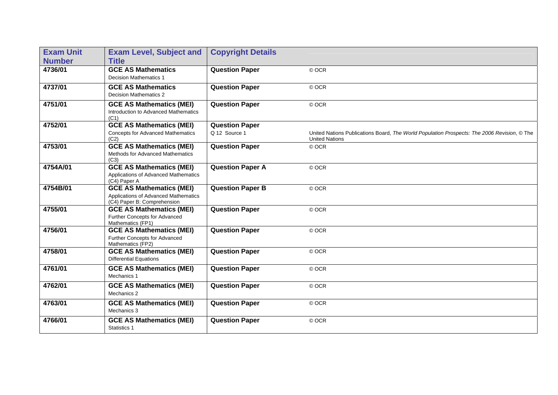| <b>Exam Unit</b> | <b>Exam Level, Subject and</b>                                                                         | <b>Copyright Details</b>               |                                                                                                                      |
|------------------|--------------------------------------------------------------------------------------------------------|----------------------------------------|----------------------------------------------------------------------------------------------------------------------|
| <b>Number</b>    | <b>Title</b>                                                                                           |                                        |                                                                                                                      |
| 4736/01          | <b>GCE AS Mathematics</b><br><b>Decision Mathematics 1</b>                                             | <b>Question Paper</b>                  | © OCR                                                                                                                |
| 4737/01          | <b>GCE AS Mathematics</b><br><b>Decision Mathematics 2</b>                                             | <b>Question Paper</b>                  | © OCR                                                                                                                |
| 4751/01          | <b>GCE AS Mathematics (MEI)</b><br>Introduction to Advanced Mathematics<br>(C1)                        | <b>Question Paper</b>                  | © OCR                                                                                                                |
| 4752/01          | <b>GCE AS Mathematics (MEI)</b><br><b>Concepts for Advanced Mathematics</b><br>(C2)                    | <b>Question Paper</b><br>Q 12 Source 1 | United Nations Publications Board, The World Population Prospects: The 2006 Revision, © The<br><b>United Nations</b> |
| 4753/01          | <b>GCE AS Mathematics (MEI)</b><br>Methods for Advanced Mathematics<br>(C3)                            | <b>Question Paper</b>                  | © OCR                                                                                                                |
| 4754A/01         | <b>GCE AS Mathematics (MEI)</b><br>Applications of Advanced Mathematics<br>(C4) Paper A                | <b>Question Paper A</b>                | © OCR                                                                                                                |
| 4754B/01         | <b>GCE AS Mathematics (MEI)</b><br>Applications of Advanced Mathematics<br>(C4) Paper B: Comprehension | <b>Question Paper B</b>                | © OCR                                                                                                                |
| 4755/01          | <b>GCE AS Mathematics (MEI)</b><br>Further Concepts for Advanced<br>Mathematics (FP1)                  | <b>Question Paper</b>                  | © OCR                                                                                                                |
| 4756/01          | <b>GCE AS Mathematics (MEI)</b><br>Further Concepts for Advanced<br>Mathematics (FP2)                  | <b>Question Paper</b>                  | © OCR                                                                                                                |
| 4758/01          | <b>GCE AS Mathematics (MEI)</b><br><b>Differential Equations</b>                                       | <b>Question Paper</b>                  | © OCR                                                                                                                |
| 4761/01          | <b>GCE AS Mathematics (MEI)</b><br>Mechanics 1                                                         | <b>Question Paper</b>                  | © OCR                                                                                                                |
| 4762/01          | <b>GCE AS Mathematics (MEI)</b><br>Mechanics 2                                                         | <b>Question Paper</b>                  | © OCR                                                                                                                |
| 4763/01          | <b>GCE AS Mathematics (MEI)</b><br>Mechanics 3                                                         | <b>Question Paper</b>                  | © OCR                                                                                                                |
| 4766/01          | <b>GCE AS Mathematics (MEI)</b><br>Statistics 1                                                        | <b>Question Paper</b>                  | © OCR                                                                                                                |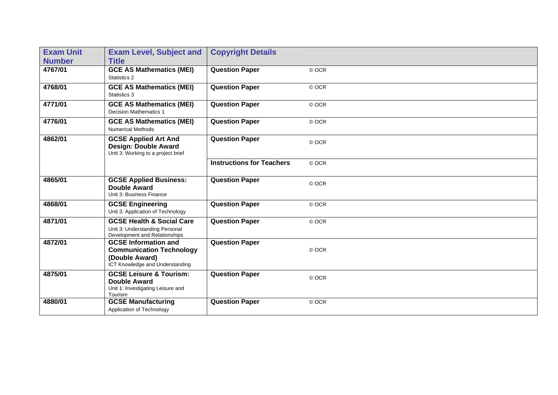| <b>Exam Unit</b><br><b>Number</b> | <b>Exam Level, Subject and</b><br><b>Title</b>                                                                      | <b>Copyright Details</b>         |       |
|-----------------------------------|---------------------------------------------------------------------------------------------------------------------|----------------------------------|-------|
| 4767/01                           | <b>GCE AS Mathematics (MEI)</b><br>Statistics 2                                                                     | <b>Question Paper</b>            | © OCR |
| 4768/01                           | <b>GCE AS Mathematics (MEI)</b><br>Statistics 3                                                                     | <b>Question Paper</b>            | © OCR |
| 4771/01                           | <b>GCE AS Mathematics (MEI)</b><br><b>Decision Mathematics 1</b>                                                    | <b>Question Paper</b>            | © OCR |
| 4776/01                           | <b>GCE AS Mathematics (MEI)</b><br><b>Numerical Methods</b>                                                         | <b>Question Paper</b>            | © OCR |
| 4862/01                           | <b>GCSE Applied Art And</b><br>Design: Double Award<br>Unit 3: Working to a project brief                           | <b>Question Paper</b>            | © OCR |
|                                   |                                                                                                                     | <b>Instructions for Teachers</b> | © OCR |
| 4865/01                           | <b>GCSE Applied Business:</b><br><b>Double Award</b><br>Unit 3: Business Finance                                    | <b>Question Paper</b>            | © OCR |
| 4868/01                           | <b>GCSE Engineering</b><br>Unit 3: Application of Technology                                                        | <b>Question Paper</b>            | © OCR |
| 4871/01                           | <b>GCSE Health &amp; Social Care</b><br>Unit 3: Understanding Personal<br>Development and Relationships             | <b>Question Paper</b>            | © OCR |
| 4872/01                           | <b>GCSE Information and</b><br><b>Communication Technology</b><br>(Double Award)<br>ICT Knowledge and Understanding | <b>Question Paper</b>            | © OCR |
| 4875/01                           | <b>GCSE Leisure &amp; Tourism:</b><br><b>Double Award</b><br>Unit 1: Investigating Leisure and<br>Tourism           | <b>Question Paper</b>            | © OCR |
| 4880/01                           | <b>GCSE Manufacturing</b><br>Application of Technology                                                              | <b>Question Paper</b>            | © OCR |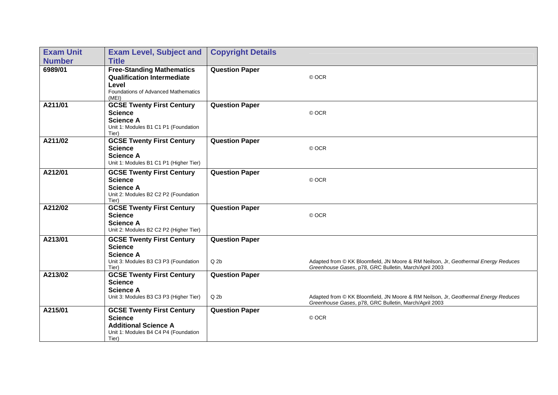| <b>Exam Unit</b> | <b>Exam Level, Subject and</b>                                                                                                     | <b>Copyright Details</b>                 |                                                                                                                                             |
|------------------|------------------------------------------------------------------------------------------------------------------------------------|------------------------------------------|---------------------------------------------------------------------------------------------------------------------------------------------|
| <b>Number</b>    | <b>Title</b>                                                                                                                       |                                          |                                                                                                                                             |
| 6989/01          | <b>Free-Standing Mathematics</b><br><b>Qualification Intermediate</b><br>Level<br>Foundations of Advanced Mathematics<br>(ME)      | <b>Question Paper</b>                    | © OCR                                                                                                                                       |
| A211/01          | <b>GCSE Twenty First Century</b><br><b>Science</b><br><b>Science A</b><br>Unit 1: Modules B1 C1 P1 (Foundation<br>Tier)            | <b>Question Paper</b>                    | © OCR                                                                                                                                       |
| A211/02          | <b>GCSE Twenty First Century</b><br><b>Science</b><br><b>Science A</b><br>Unit 1: Modules B1 C1 P1 (Higher Tier)                   | <b>Question Paper</b>                    | © OCR                                                                                                                                       |
| A212/01          | <b>GCSE Twenty First Century</b><br><b>Science</b><br><b>Science A</b><br>Unit 2: Modules B2 C2 P2 (Foundation<br>Tier)            | <b>Question Paper</b>                    | © OCR                                                                                                                                       |
| A212/02          | <b>GCSE Twenty First Century</b><br><b>Science</b><br><b>Science A</b><br>Unit 2: Modules B2 C2 P2 (Higher Tier)                   | <b>Question Paper</b>                    | © OCR                                                                                                                                       |
| A213/01          | <b>GCSE Twenty First Century</b><br><b>Science</b><br><b>Science A</b><br>Unit 3: Modules B3 C3 P3 (Foundation<br>Tier)            | <b>Question Paper</b><br>Q <sub>2b</sub> | Adapted from @ KK Bloomfield, JN Moore & RM Neilson, Jr, Geothermal Energy Reduces<br>Greenhouse Gases, p78, GRC Bulletin, March/April 2003 |
| A213/02          | <b>GCSE Twenty First Century</b><br><b>Science</b><br><b>Science A</b><br>Unit 3: Modules B3 C3 P3 (Higher Tier)                   | <b>Question Paper</b><br>$Q$ 2 $b$       | Adapted from @ KK Bloomfield, JN Moore & RM Neilson, Jr, Geothermal Energy Reduces<br>Greenhouse Gases, p78, GRC Bulletin, March/April 2003 |
| A215/01          | <b>GCSE Twenty First Century</b><br><b>Science</b><br><b>Additional Science A</b><br>Unit 1: Modules B4 C4 P4 (Foundation<br>Tier) | <b>Question Paper</b>                    | © OCR                                                                                                                                       |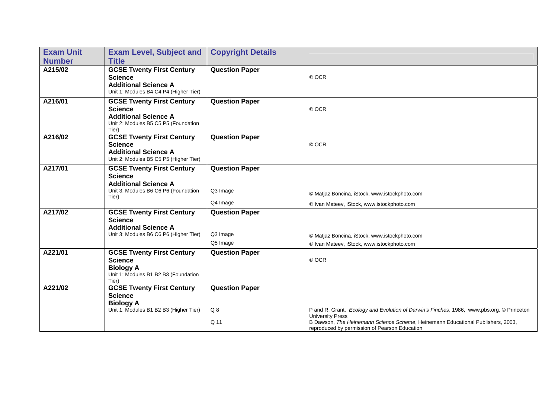| <b>Exam Unit</b> | <b>Exam Level, Subject and</b>                                                                                                     | <b>Copyright Details</b>                      |                                                                                                                                                                                                                                                          |
|------------------|------------------------------------------------------------------------------------------------------------------------------------|-----------------------------------------------|----------------------------------------------------------------------------------------------------------------------------------------------------------------------------------------------------------------------------------------------------------|
| <b>Number</b>    | <b>Title</b>                                                                                                                       |                                               |                                                                                                                                                                                                                                                          |
| A215/02          | <b>GCSE Twenty First Century</b><br><b>Science</b><br><b>Additional Science A</b><br>Unit 1: Modules B4 C4 P4 (Higher Tier)        | <b>Question Paper</b>                         | © OCR                                                                                                                                                                                                                                                    |
| A216/01          | <b>GCSE Twenty First Century</b><br><b>Science</b><br><b>Additional Science A</b><br>Unit 2: Modules B5 C5 P5 (Foundation<br>Tier) | <b>Question Paper</b>                         | © OCR                                                                                                                                                                                                                                                    |
| A216/02          | <b>GCSE Twenty First Century</b><br><b>Science</b><br><b>Additional Science A</b><br>Unit 2: Modules B5 C5 P5 (Higher Tier)        | <b>Question Paper</b>                         | © OCR                                                                                                                                                                                                                                                    |
| A217/01          | <b>GCSE Twenty First Century</b><br><b>Science</b><br><b>Additional Science A</b><br>Unit 3: Modules B6 C6 P6 (Foundation<br>Tier) | <b>Question Paper</b><br>Q3 Image<br>Q4 Image | © Matjaz Boncina, iStock, www.istockphoto.com<br>© Ivan Mateev, iStock, www.istockphoto.com                                                                                                                                                              |
| A217/02          | <b>GCSE Twenty First Century</b><br><b>Science</b><br><b>Additional Science A</b><br>Unit 3: Modules B6 C6 P6 (Higher Tier)        | <b>Question Paper</b><br>Q3 Image<br>Q5 Image | © Matjaz Boncina, iStock, www.istockphoto.com<br>© Ivan Mateev, iStock, www.istockphoto.com                                                                                                                                                              |
| A221/01          | <b>GCSE Twenty First Century</b><br><b>Science</b><br><b>Biology A</b><br>Unit 1: Modules B1 B2 B3 (Foundation<br>Tier)            | <b>Question Paper</b>                         | © OCR                                                                                                                                                                                                                                                    |
| A221/02          | <b>GCSE Twenty First Century</b><br><b>Science</b><br><b>Biology A</b>                                                             | <b>Question Paper</b>                         |                                                                                                                                                                                                                                                          |
|                  | Unit 1: Modules B1 B2 B3 (Higher Tier)                                                                                             | Q <sub>8</sub><br>Q 11                        | P and R. Grant, Ecology and Evolution of Darwin's Finches, 1986, www.pbs.org, © Princeton<br><b>University Press</b><br>B Dawson, The Heinemann Science Scheme, Heinemann Educational Publishers, 2003,<br>reproduced by permission of Pearson Education |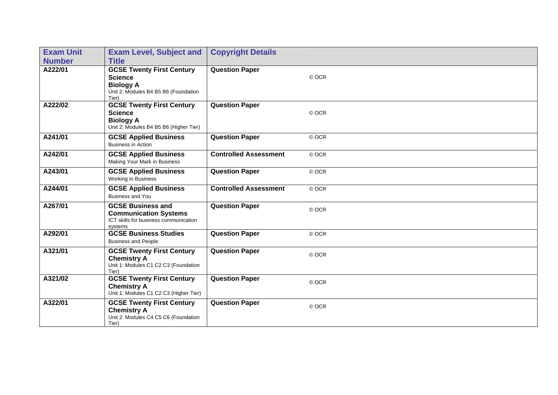| <b>Exam Unit</b> | <b>Exam Level, Subject and</b>                                                                                          | <b>Copyright Details</b>     |       |
|------------------|-------------------------------------------------------------------------------------------------------------------------|------------------------------|-------|
| <b>Number</b>    | <b>Title</b>                                                                                                            |                              |       |
| A222/01          | <b>GCSE Twenty First Century</b><br><b>Science</b><br><b>Biology A</b><br>Unit 2: Modules B4 B5 B6 (Foundation<br>Tier) | <b>Question Paper</b>        | © OCR |
| A222/02          | <b>GCSE Twenty First Century</b><br><b>Science</b><br><b>Biology A</b><br>Unit 2: Modules B4 B5 B6 (Higher Tier)        | <b>Question Paper</b>        | © OCR |
| A241/01          | <b>GCSE Applied Business</b><br><b>Business in Action</b>                                                               | <b>Question Paper</b>        | © OCR |
| A242/01          | <b>GCSE Applied Business</b><br>Making Your Mark in Business                                                            | <b>Controlled Assessment</b> | © OCR |
| A243/01          | <b>GCSE Applied Business</b><br>Working in Business                                                                     | <b>Question Paper</b>        | © OCR |
| A244/01          | <b>GCSE Applied Business</b><br><b>Business and You</b>                                                                 | <b>Controlled Assessment</b> | © OCR |
| A267/01          | <b>GCSE Business and</b><br><b>Communication Systems</b><br>ICT skills for business communication<br>systems            | <b>Question Paper</b>        | © OCR |
| A292/01          | <b>GCSE Business Studies</b><br><b>Business and People</b>                                                              | <b>Question Paper</b>        | © OCR |
| A321/01          | <b>GCSE Twenty First Century</b><br><b>Chemistry A</b><br>Unit 1: Modules C1 C2 C3 (Foundation<br>Tier)                 | <b>Question Paper</b>        | © OCR |
| A321/02          | <b>GCSE Twenty First Century</b><br><b>Chemistry A</b><br>Unit 1: Modules C1 C2 C3 (Higher Tier)                        | <b>Question Paper</b>        | © OCR |
| A322/01          | <b>GCSE Twenty First Century</b><br><b>Chemistry A</b><br>Unit 2: Modules C4 C5 C6 (Foundation<br>Tier)                 | <b>Question Paper</b>        | © OCR |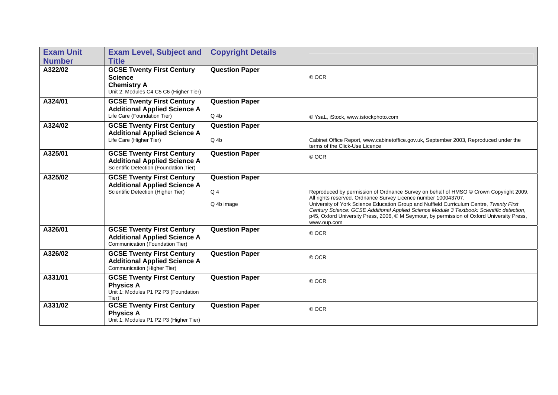| <b>Exam Unit</b> | <b>Exam Level, Subject and</b>                                                                                     | <b>Copyright Details</b>                     |                                                                                                                                                                                                                                                                                                                                                                                                                                                              |
|------------------|--------------------------------------------------------------------------------------------------------------------|----------------------------------------------|--------------------------------------------------------------------------------------------------------------------------------------------------------------------------------------------------------------------------------------------------------------------------------------------------------------------------------------------------------------------------------------------------------------------------------------------------------------|
| <b>Number</b>    | <b>Title</b>                                                                                                       |                                              |                                                                                                                                                                                                                                                                                                                                                                                                                                                              |
| A322/02          | <b>GCSE Twenty First Century</b><br><b>Science</b><br><b>Chemistry A</b><br>Unit 2: Modules C4 C5 C6 (Higher Tier) | <b>Question Paper</b>                        | © OCR                                                                                                                                                                                                                                                                                                                                                                                                                                                        |
| A324/01          | <b>GCSE Twenty First Century</b><br><b>Additional Applied Science A</b><br>Life Care (Foundation Tier)             | <b>Question Paper</b><br>$Q_4b$              | © YsaL, iStock, www.istockphoto.com                                                                                                                                                                                                                                                                                                                                                                                                                          |
| A324/02          | <b>GCSE Twenty First Century</b><br><b>Additional Applied Science A</b><br>Life Care (Higher Tier)                 | <b>Question Paper</b><br>$Q_4b$              | Cabinet Office Report, www.cabinetoffice.gov.uk, September 2003, Reproduced under the<br>terms of the Click-Use Licence                                                                                                                                                                                                                                                                                                                                      |
| A325/01          | <b>GCSE Twenty First Century</b><br><b>Additional Applied Science A</b><br>Scientific Detection (Foundation Tier)  | <b>Question Paper</b>                        | © OCR                                                                                                                                                                                                                                                                                                                                                                                                                                                        |
| A325/02          | <b>GCSE Twenty First Century</b><br><b>Additional Applied Science A</b><br>Scientific Detection (Higher Tier)      | <b>Question Paper</b><br>$Q_4$<br>Q 4b image | Reproduced by permission of Ordnance Survey on behalf of HMSO © Crown Copyright 2009.<br>All rights reserved. Ordnance Survey Licence number 100043707.<br>University of York Science Education Group and Nuffield Curriculum Centre, Twenty First<br>Century Science: GCSE Additional Applied Science Module 3 Textbook: Scientific detection,<br>p45, Oxford University Press, 2006, © M Seymour, by permission of Oxford University Press,<br>www.oup.com |
| A326/01          | <b>GCSE Twenty First Century</b><br><b>Additional Applied Science A</b><br>Communication (Foundation Tier)         | <b>Question Paper</b>                        | © OCR                                                                                                                                                                                                                                                                                                                                                                                                                                                        |
| A326/02          | <b>GCSE Twenty First Century</b><br><b>Additional Applied Science A</b><br>Communication (Higher Tier)             | <b>Question Paper</b>                        | © OCR                                                                                                                                                                                                                                                                                                                                                                                                                                                        |
| A331/01          | <b>GCSE Twenty First Century</b><br><b>Physics A</b><br>Unit 1: Modules P1 P2 P3 (Foundation<br>Tier)              | <b>Question Paper</b>                        | © OCR                                                                                                                                                                                                                                                                                                                                                                                                                                                        |
| A331/02          | <b>GCSE Twenty First Century</b><br><b>Physics A</b><br>Unit 1: Modules P1 P2 P3 (Higher Tier)                     | <b>Question Paper</b>                        | © OCR                                                                                                                                                                                                                                                                                                                                                                                                                                                        |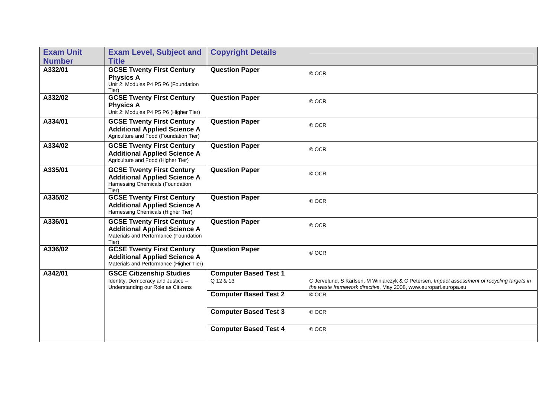| <b>Exam Unit</b> | <b>Exam Level, Subject and</b>                                                                                            | <b>Copyright Details</b>                  |                                                                                                                                                                 |
|------------------|---------------------------------------------------------------------------------------------------------------------------|-------------------------------------------|-----------------------------------------------------------------------------------------------------------------------------------------------------------------|
| <b>Number</b>    | <b>Title</b>                                                                                                              |                                           |                                                                                                                                                                 |
| A332/01          | <b>GCSE Twenty First Century</b><br><b>Physics A</b><br>Unit 2: Modules P4 P5 P6 (Foundation<br>Tier)                     | <b>Question Paper</b>                     | © OCR                                                                                                                                                           |
| A332/02          | <b>GCSE Twenty First Century</b><br><b>Physics A</b><br>Unit 2: Modules P4 P5 P6 (Higher Tier)                            | <b>Question Paper</b>                     | © OCR                                                                                                                                                           |
| A334/01          | <b>GCSE Twenty First Century</b><br><b>Additional Applied Science A</b><br>Agriculture and Food (Foundation Tier)         | <b>Question Paper</b>                     | © OCR                                                                                                                                                           |
| A334/02          | <b>GCSE Twenty First Century</b><br><b>Additional Applied Science A</b><br>Agriculture and Food (Higher Tier)             | <b>Question Paper</b>                     | © OCR                                                                                                                                                           |
| A335/01          | <b>GCSE Twenty First Century</b><br><b>Additional Applied Science A</b><br>Harnessing Chemicals (Foundation<br>Tier)      | <b>Question Paper</b>                     | © OCR                                                                                                                                                           |
| A335/02          | <b>GCSE Twenty First Century</b><br><b>Additional Applied Science A</b><br>Harnessing Chemicals (Higher Tier)             | <b>Question Paper</b>                     | © OCR                                                                                                                                                           |
| A336/01          | <b>GCSE Twenty First Century</b><br><b>Additional Applied Science A</b><br>Materials and Performance (Foundation<br>Tier) | <b>Question Paper</b>                     | © OCR                                                                                                                                                           |
| A336/02          | <b>GCSE Twenty First Century</b><br><b>Additional Applied Science A</b><br>Materials and Performance (Higher Tier)        | <b>Question Paper</b>                     | © OCR                                                                                                                                                           |
| A342/01          | <b>GSCE Citizenship Studies</b><br>Identity, Democracy and Justice -<br>Understanding our Role as Citizens                | <b>Computer Based Test 1</b><br>Q 12 & 13 | C Jervelund, S Karlsen, M Winiarczyk & C Petersen, Impact assessment of recycling targets in<br>the waste framework directive, May 2008, www.europarl.europa.eu |
|                  |                                                                                                                           | <b>Computer Based Test 2</b>              | © OCR                                                                                                                                                           |
|                  |                                                                                                                           | <b>Computer Based Test 3</b>              | © OCR                                                                                                                                                           |
|                  |                                                                                                                           | <b>Computer Based Test 4</b>              | © OCR                                                                                                                                                           |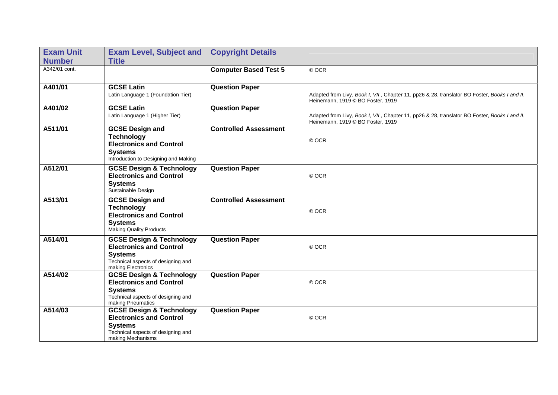| <b>Exam Unit</b> | <b>Exam Level, Subject and</b>                                                                                | <b>Copyright Details</b>     |                                                                                                                                   |
|------------------|---------------------------------------------------------------------------------------------------------------|------------------------------|-----------------------------------------------------------------------------------------------------------------------------------|
| <b>Number</b>    | <b>Title</b>                                                                                                  |                              |                                                                                                                                   |
| A342/01 cont.    |                                                                                                               | <b>Computer Based Test 5</b> | © OCR                                                                                                                             |
| A401/01          | <b>GCSE Latin</b>                                                                                             | <b>Question Paper</b>        |                                                                                                                                   |
|                  | Latin Language 1 (Foundation Tier)                                                                            |                              | Adapted from Livy, Book I, VII, Chapter 11, pp26 & 28, translator BO Foster, Books I and II,<br>Heinemann, 1919 © BO Foster, 1919 |
| A401/02          | <b>GCSE Latin</b>                                                                                             | <b>Question Paper</b>        |                                                                                                                                   |
|                  | Latin Language 1 (Higher Tier)                                                                                |                              | Adapted from Livy, Book I, VII, Chapter 11, pp26 & 28, translator BO Foster, Books I and II,<br>Heinemann, 1919 C BO Foster, 1919 |
| A511/01          | <b>GCSE Design and</b>                                                                                        | <b>Controlled Assessment</b> |                                                                                                                                   |
|                  | <b>Technology</b><br><b>Electronics and Control</b><br><b>Systems</b><br>Introduction to Designing and Making |                              | © OCR                                                                                                                             |
| A512/01          | <b>GCSE Design &amp; Technology</b><br><b>Electronics and Control</b><br><b>Systems</b><br>Sustainable Design | <b>Question Paper</b>        | © OCR                                                                                                                             |
| A513/01          | <b>GCSE Design and</b>                                                                                        | <b>Controlled Assessment</b> |                                                                                                                                   |
|                  | <b>Technology</b><br><b>Electronics and Control</b><br><b>Systems</b><br><b>Making Quality Products</b>       |                              | © OCR                                                                                                                             |
| A514/01          | <b>GCSE Design &amp; Technology</b>                                                                           | <b>Question Paper</b>        |                                                                                                                                   |
|                  | <b>Electronics and Control</b><br><b>Systems</b><br>Technical aspects of designing and<br>making Electronics  |                              | © OCR                                                                                                                             |
| A514/02          | <b>GCSE Design &amp; Technology</b>                                                                           | <b>Question Paper</b>        |                                                                                                                                   |
|                  | <b>Electronics and Control</b>                                                                                |                              | © OCR                                                                                                                             |
|                  | <b>Systems</b><br>Technical aspects of designing and<br>making Pneumatics                                     |                              |                                                                                                                                   |
| A514/03          | <b>GCSE Design &amp; Technology</b>                                                                           | <b>Question Paper</b>        |                                                                                                                                   |
|                  | <b>Electronics and Control</b>                                                                                |                              | © OCR                                                                                                                             |
|                  | <b>Systems</b><br>Technical aspects of designing and<br>making Mechanisms                                     |                              |                                                                                                                                   |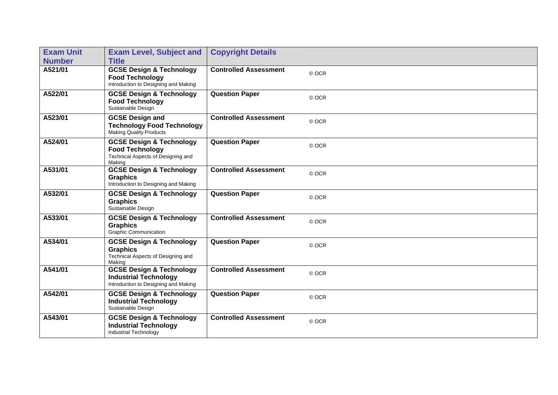| <b>Exam Unit</b><br><b>Number</b> | <b>Exam Level, Subject and</b><br><b>Title</b>                                                                | <b>Copyright Details</b>     |       |
|-----------------------------------|---------------------------------------------------------------------------------------------------------------|------------------------------|-------|
| A521/01                           | <b>GCSE Design &amp; Technology</b>                                                                           | <b>Controlled Assessment</b> | © OCR |
|                                   | <b>Food Technology</b><br>Introduction to Designing and Making                                                |                              |       |
| A522/01                           | <b>GCSE Design &amp; Technology</b><br><b>Food Technology</b><br>Sustainable Design                           | <b>Question Paper</b>        | © OCR |
| A523/01                           | <b>GCSE Design and</b><br><b>Technology Food Technology</b><br><b>Making Quality Products</b>                 | <b>Controlled Assessment</b> | © OCR |
| A524/01                           | <b>GCSE Design &amp; Technology</b><br><b>Food Technology</b><br>Technical Aspects of Designing and<br>Making | <b>Question Paper</b>        | © OCR |
| A531/01                           | <b>GCSE Design &amp; Technology</b><br><b>Graphics</b><br>Introduction to Designing and Making                | <b>Controlled Assessment</b> | © OCR |
| A532/01                           | <b>GCSE Design &amp; Technology</b><br><b>Graphics</b><br>Sustainable Design                                  | <b>Question Paper</b>        | © OCR |
| A533/01                           | <b>GCSE Design &amp; Technology</b><br><b>Graphics</b><br>Graphic Communication                               | <b>Controlled Assessment</b> | © OCR |
| A534/01                           | <b>GCSE Design &amp; Technology</b><br><b>Graphics</b><br>Technical Aspects of Designing and<br>Making        | <b>Question Paper</b>        | © OCR |
| A541/01                           | <b>GCSE Design &amp; Technology</b><br><b>Industrial Technology</b><br>Introduction to Designing and Making   | <b>Controlled Assessment</b> | © OCR |
| A542/01                           | <b>GCSE Design &amp; Technology</b><br><b>Industrial Technology</b><br>Sustainable Design                     | <b>Question Paper</b>        | © OCR |
| A543/01                           | <b>GCSE Design &amp; Technology</b><br><b>Industrial Technology</b><br><b>Industrial Technology</b>           | <b>Controlled Assessment</b> | © OCR |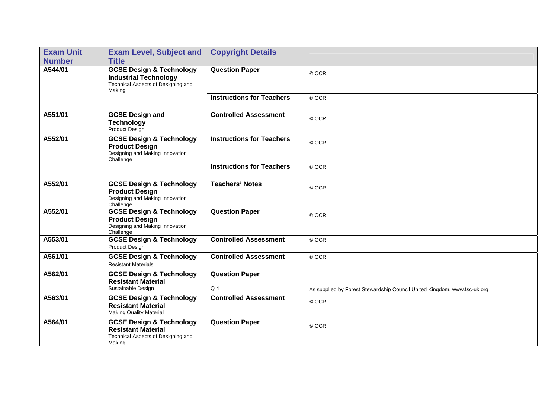| <b>Exam Unit</b><br><b>Number</b> | <b>Exam Level, Subject and</b><br><b>Title</b>                                                                      | <b>Copyright Details</b>         |                                                                                   |
|-----------------------------------|---------------------------------------------------------------------------------------------------------------------|----------------------------------|-----------------------------------------------------------------------------------|
| A544/01                           | <b>GCSE Design &amp; Technology</b><br><b>Industrial Technology</b><br>Technical Aspects of Designing and<br>Making | <b>Question Paper</b>            | © OCR                                                                             |
|                                   |                                                                                                                     | <b>Instructions for Teachers</b> | © OCR                                                                             |
| A551/01                           | <b>GCSE Design and</b><br><b>Technology</b><br>Product Design                                                       | <b>Controlled Assessment</b>     | © OCR                                                                             |
| A552/01                           | <b>GCSE Design &amp; Technology</b><br><b>Product Design</b><br>Designing and Making Innovation<br>Challenge        | <b>Instructions for Teachers</b> | © OCR                                                                             |
|                                   |                                                                                                                     | <b>Instructions for Teachers</b> | © OCR                                                                             |
| A552/01                           | <b>GCSE Design &amp; Technology</b><br><b>Product Design</b><br>Designing and Making Innovation<br>Challenge        | <b>Teachers' Notes</b>           | © OCR                                                                             |
| A552/01                           | <b>GCSE Design &amp; Technology</b><br><b>Product Design</b><br>Designing and Making Innovation<br>Challenge        | <b>Question Paper</b>            | © OCR                                                                             |
| A553/01                           | <b>GCSE Design &amp; Technology</b><br><b>Product Design</b>                                                        | <b>Controlled Assessment</b>     | © OCR                                                                             |
| A561/01                           | <b>GCSE Design &amp; Technology</b><br><b>Resistant Materials</b>                                                   | <b>Controlled Assessment</b>     | © OCR                                                                             |
| A562/01                           | <b>GCSE Design &amp; Technology</b><br><b>Resistant Material</b><br>Sustainable Design                              | <b>Question Paper</b><br>$Q_4$   |                                                                                   |
| A563/01                           | <b>GCSE Design &amp; Technology</b><br><b>Resistant Material</b><br><b>Making Quality Material</b>                  | <b>Controlled Assessment</b>     | As supplied by Forest Stewardship Council United Kingdom, www.fsc-uk.org<br>© OCR |
| A564/01                           | <b>GCSE Design &amp; Technology</b><br><b>Resistant Material</b><br>Technical Aspects of Designing and<br>Making    | <b>Question Paper</b>            | © OCR                                                                             |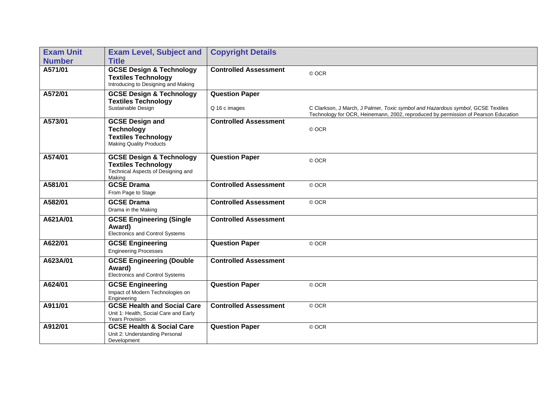| <b>Exam Unit</b><br><b>Number</b> | <b>Exam Level, Subject and</b><br><b>Title</b>                                                                    | <b>Copyright Details</b>               |                                                                                                                                                                       |
|-----------------------------------|-------------------------------------------------------------------------------------------------------------------|----------------------------------------|-----------------------------------------------------------------------------------------------------------------------------------------------------------------------|
| A571/01                           | <b>GCSE Design &amp; Technology</b><br><b>Textiles Technology</b><br>Introducing to Designing and Making          | <b>Controlled Assessment</b>           | © OCR                                                                                                                                                                 |
| A572/01                           | <b>GCSE Design &amp; Technology</b><br><b>Textiles Technology</b><br>Sustainable Design                           | <b>Question Paper</b><br>Q 16 c images | C Clarkson, J March, J Palmer, Toxic symbol and Hazardous symbol, GCSE Textiles<br>Technology for OCR, Heinemann, 2002, reproduced by permission of Pearson Education |
| A573/01                           | <b>GCSE Design and</b><br><b>Technology</b><br><b>Textiles Technology</b><br><b>Making Quality Products</b>       | <b>Controlled Assessment</b>           | © OCR                                                                                                                                                                 |
| A574/01                           | <b>GCSE Design &amp; Technology</b><br><b>Textiles Technology</b><br>Technical Aspects of Designing and<br>Making | <b>Question Paper</b>                  | © OCR                                                                                                                                                                 |
| A581/01                           | <b>GCSE Drama</b><br>From Page to Stage                                                                           | <b>Controlled Assessment</b>           | © OCR                                                                                                                                                                 |
| A582/01                           | <b>GCSE Drama</b><br>Drama in the Making                                                                          | <b>Controlled Assessment</b>           | © OCR                                                                                                                                                                 |
| A621A/01                          | <b>GCSE Engineering (Single</b><br>Award)<br><b>Electronics and Control Systems</b>                               | <b>Controlled Assessment</b>           |                                                                                                                                                                       |
| A622/01                           | <b>GCSE Engineering</b><br><b>Engineering Processes</b>                                                           | <b>Question Paper</b>                  | © OCR                                                                                                                                                                 |
| A623A/01                          | <b>GCSE Engineering (Double</b><br>Award)<br>Electronics and Control Systems                                      | <b>Controlled Assessment</b>           |                                                                                                                                                                       |
| A624/01                           | <b>GCSE Engineering</b><br>Impact of Modern Technologies on<br>Engineering                                        | <b>Question Paper</b>                  | © OCR                                                                                                                                                                 |
| A911/01                           | <b>GCSE Health and Social Care</b><br>Unit 1: Health, Social Care and Early<br><b>Years Provision</b>             | <b>Controlled Assessment</b>           | © OCR                                                                                                                                                                 |
| A912/01                           | <b>GCSE Health &amp; Social Care</b><br>Unit 2: Understanding Personal<br>Development                             | <b>Question Paper</b>                  | © OCR                                                                                                                                                                 |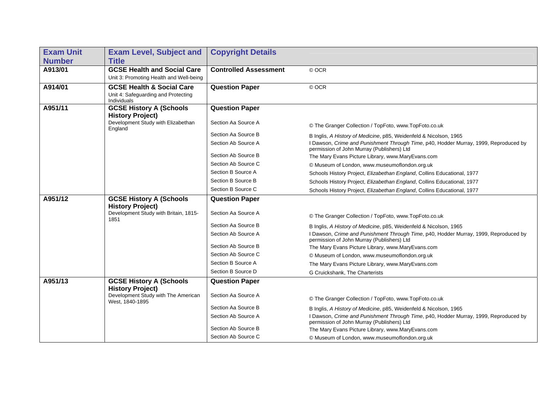| <b>Exam Unit</b> | <b>Exam Level, Subject and</b>                            | <b>Copyright Details</b>     |                                                                                                                                    |
|------------------|-----------------------------------------------------------|------------------------------|------------------------------------------------------------------------------------------------------------------------------------|
| <b>Number</b>    | <b>Title</b>                                              |                              |                                                                                                                                    |
| A913/01          | <b>GCSE Health and Social Care</b>                        | <b>Controlled Assessment</b> | © OCR                                                                                                                              |
|                  | Unit 3: Promoting Health and Well-being                   |                              |                                                                                                                                    |
| A914/01          | <b>GCSE Health &amp; Social Care</b>                      | <b>Question Paper</b>        | © OCR                                                                                                                              |
|                  | Unit 4: Safeguarding and Protecting<br>Individuals        |                              |                                                                                                                                    |
| A951/11          | <b>GCSE History A (Schools</b>                            | <b>Question Paper</b>        |                                                                                                                                    |
|                  | <b>History Project)</b>                                   |                              |                                                                                                                                    |
|                  | Development Study with Elizabethan<br>England             | Section Aa Source A          | © The Granger Collection / TopFoto, www.TopFoto.co.uk                                                                              |
|                  |                                                           | Section Aa Source B          | B Inglis, A History of Medicine, p85, Weidenfeld & Nicolson, 1965                                                                  |
|                  |                                                           | Section Ab Source A          | I Dawson, Crime and Punishment Through Time, p40, Hodder Murray, 1999, Reproduced by<br>permission of John Murray (Publishers) Ltd |
|                  |                                                           | Section Ab Source B          | The Mary Evans Picture Library, www.MaryEvans.com                                                                                  |
|                  |                                                           | Section Ab Source C          | © Museum of London, www.museumoflondon.org.uk                                                                                      |
|                  |                                                           | Section B Source A           | Schools History Project, Elizabethan England, Collins Educational, 1977                                                            |
|                  |                                                           | Section B Source B           | Schools History Project, Elizabethan England, Collins Educational, 1977                                                            |
|                  |                                                           | Section B Source C           | Schools History Project, Elizabethan England, Collins Educational, 1977                                                            |
| A951/12          | <b>GCSE History A (Schools</b><br><b>History Project)</b> | <b>Question Paper</b>        |                                                                                                                                    |
|                  | Development Study with Britain, 1815-<br>1851             | Section Aa Source A          | © The Granger Collection / TopFoto, www.TopFoto.co.uk                                                                              |
|                  |                                                           | Section Aa Source B          | B Inglis, A History of Medicine, p85, Weidenfeld & Nicolson, 1965                                                                  |
|                  |                                                           | Section Ab Source A          | I Dawson, Crime and Punishment Through Time, p40, Hodder Murray, 1999, Reproduced by<br>permission of John Murray (Publishers) Ltd |
|                  |                                                           | Section Ab Source B          | The Mary Evans Picture Library, www.MaryEvans.com                                                                                  |
|                  |                                                           | Section Ab Source C          | © Museum of London, www.museumoflondon.org.uk                                                                                      |
|                  |                                                           | Section B Source A           | The Mary Evans Picture Library, www.MaryEvans.com                                                                                  |
|                  |                                                           | Section B Source D           | G Cruickshank, The Charterists                                                                                                     |
| A951/13          | <b>GCSE History A (Schools</b>                            | <b>Question Paper</b>        |                                                                                                                                    |
|                  | <b>History Project)</b>                                   |                              |                                                                                                                                    |
|                  | Development Study with The American<br>West, 1840-1895    | Section Aa Source A          | © The Granger Collection / TopFoto, www.TopFoto.co.uk                                                                              |
|                  |                                                           | Section Aa Source B          | B Inglis, A History of Medicine, p85, Weidenfeld & Nicolson, 1965                                                                  |
|                  |                                                           | Section Ab Source A          | I Dawson, Crime and Punishment Through Time, p40, Hodder Murray, 1999, Reproduced by<br>permission of John Murray (Publishers) Ltd |
|                  |                                                           | Section Ab Source B          | The Mary Evans Picture Library, www.MaryEvans.com                                                                                  |
|                  |                                                           | Section Ab Source C          | © Museum of London, www.museumoflondon.org.uk                                                                                      |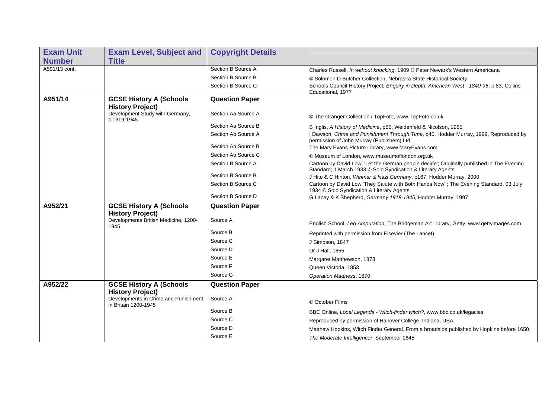| <b>Exam Unit</b> | <b>Exam Level, Subject and</b>                               | <b>Copyright Details</b> |                                                                                                                                                          |
|------------------|--------------------------------------------------------------|--------------------------|----------------------------------------------------------------------------------------------------------------------------------------------------------|
| <b>Number</b>    | <b>Title</b>                                                 |                          |                                                                                                                                                          |
| A591/13 cont.    |                                                              | Section B Source A       | Charles Russell, In without knocking, 1909 © Peter Newark's Western Americana                                                                            |
|                  |                                                              | Section B Source B       | © Solomon D Butcher Collection, Nebraska State Historical Society                                                                                        |
|                  |                                                              | Section B Source C       | Schools Council History Project, Enquiry in Depth: American West - 1840-95, p 83, Collins<br>Educational, 1977                                           |
| A951/14          | <b>GCSE History A (Schools</b><br><b>History Project)</b>    | <b>Question Paper</b>    |                                                                                                                                                          |
|                  | Development Study with Germany,<br>c.1919-1945               | Section Aa Source A      | © The Granger Collection / TopFoto, www.TopFoto.co.uk                                                                                                    |
|                  |                                                              | Section Aa Source B      | B Inglis, A History of Medicine, p85, Weidenfeld & Nicolson, 1965                                                                                        |
|                  |                                                              | Section Ab Source A      | I Dawson, Crime and Punishment Through Time, p40, Hodder Murray, 1999, Reproduced by<br>permission of John Murray (Publishers) Ltd                       |
|                  |                                                              | Section Ab Source B      | The Mary Evans Picture Library, www.MaryEvans.com                                                                                                        |
|                  |                                                              | Section Ab Source C      | © Museum of London, www.museumoflondon.org.uk                                                                                                            |
|                  |                                                              | Section B Source A       | Cartoon by David Low: 'Let the German people decide'; Originally published in The Evening<br>Standard; 1 March 1933 © Solo Syndication & Literary Agents |
|                  |                                                              | Section B Source B       | J Hite & C Hinton, Weimar & Nazi Germany, p167, Hodder Murray, 2000                                                                                      |
|                  |                                                              | Section B Source C       | Cartoon by David Low 'They Salute with Both Hands Now'; The Evening Standard, 03 July<br>1934 © Solo Syndication & Literary Agents                       |
|                  |                                                              | Section B Source D       | G Lacey & K Shepherd, Germany 1918-1945, Hodder Murray, 1997                                                                                             |
| A952/21          | <b>GCSE History A (Schools</b>                               | <b>Question Paper</b>    |                                                                                                                                                          |
|                  | <b>History Project)</b>                                      |                          |                                                                                                                                                          |
|                  | Developments British Medicine, 1200-<br>1945                 | Source A                 | English School, Leg Amputation, The Bridgeman Art Library, Getty, www.gettyimages.com                                                                    |
|                  |                                                              | Source B                 | Reprinted with permission from Elsevier (The Lancet)                                                                                                     |
|                  |                                                              | Source C                 | J Simpson, 1847                                                                                                                                          |
|                  |                                                              | Source D                 | Dr J Hall, 1855                                                                                                                                          |
|                  |                                                              | Source E                 | Margaret Matthewson, 1878                                                                                                                                |
|                  |                                                              | Source F                 | Queen Victoria, 1853                                                                                                                                     |
|                  |                                                              | Source G                 | Operation Madness, 1870                                                                                                                                  |
| A952/22          | <b>GCSE History A (Schools</b><br><b>History Project)</b>    | <b>Question Paper</b>    |                                                                                                                                                          |
|                  | Developments in Crime and Punishment<br>in Britain 1200-1945 | Source A                 | © October Films                                                                                                                                          |
|                  |                                                              | Source B                 | BBC Online, Local Legends - Witch-finder witch?, www.bbc.co.uk/legacies                                                                                  |
|                  |                                                              | Source C                 | Reproduced by permission of Hanover College, Indiana, USA                                                                                                |
|                  |                                                              | Source D                 | Matthew Hopkins, Witch Finder General. From a broadside published by Hopkins before 1650.                                                                |
|                  |                                                              | Source E                 | The Moderate Intelligencer, September 1645                                                                                                               |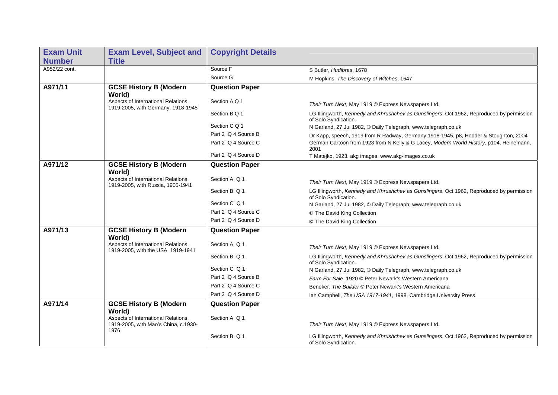| <b>Exam Unit</b> | <b>Exam Level, Subject and</b>                                                      | <b>Copyright Details</b> |                                                                                                                   |
|------------------|-------------------------------------------------------------------------------------|--------------------------|-------------------------------------------------------------------------------------------------------------------|
| <b>Number</b>    | <b>Title</b>                                                                        |                          |                                                                                                                   |
| A952/22 cont.    |                                                                                     | Source F                 | S Butler, Hudibras, 1678                                                                                          |
|                  |                                                                                     | Source G                 | M Hopkins, The Discovery of Witches, 1647                                                                         |
| A971/11          | <b>GCSE History B (Modern</b><br>World)                                             | <b>Question Paper</b>    |                                                                                                                   |
|                  | Aspects of International Relations,<br>1919-2005, with Germany, 1918-1945           | Section A Q 1            | Their Turn Next, May 1919 © Express Newspapers Ltd.                                                               |
|                  |                                                                                     | Section B Q 1            | LG Illingworth, Kennedy and Khrushchev as Gunslingers, Oct 1962, Reproduced by permission<br>of Solo Syndication. |
|                  |                                                                                     | Section C Q 1            | N Garland, 27 Jul 1982, © Daily Telegraph, www.telegraph.co.uk                                                    |
|                  |                                                                                     | Part 2 Q 4 Source B      | Dr Kapp, speech, 1919 from R Radway, Germany 1918-1945, p8, Hodder & Stoughton, 2004                              |
|                  |                                                                                     | Part 2 Q 4 Source C      | German Cartoon from 1923 from N Kelly & G Lacey, Modern World History, p104, Heinemann,<br>2001                   |
|                  |                                                                                     | Part 2 Q 4 Source D      | T Matejko, 1923. akg images. www.akg-images.co.uk                                                                 |
| A971/12          | <b>GCSE History B (Modern</b><br>World)                                             | <b>Question Paper</b>    |                                                                                                                   |
|                  | Aspects of International Relations,<br>1919-2005, with Russia, 1905-1941            | Section A Q 1            | Their Turn Next, May 1919 © Express Newspapers Ltd.                                                               |
|                  |                                                                                     | Section B Q 1            | LG Illingworth, Kennedy and Khrushchev as Gunslingers, Oct 1962, Reproduced by permission<br>of Solo Syndication. |
|                  |                                                                                     | Section C Q 1            | N Garland, 27 Jul 1982, © Daily Telegraph, www.telegraph.co.uk                                                    |
|                  |                                                                                     | Part 2 Q 4 Source C      | © The David King Collection                                                                                       |
|                  |                                                                                     | Part 2 Q 4 Source D      | © The David King Collection                                                                                       |
| A971/13          | <b>GCSE History B (Modern</b><br>World)                                             | <b>Question Paper</b>    |                                                                                                                   |
|                  | Aspects of International Relations,<br>1919-2005, with the USA, 1919-1941           | Section A Q 1            | Their Turn Next, May 1919 © Express Newspapers Ltd.                                                               |
|                  |                                                                                     | Section B Q 1            | LG Illingworth, Kennedy and Khrushchev as Gunslingers, Oct 1962, Reproduced by permission<br>of Solo Syndication. |
|                  |                                                                                     | Section C Q 1            | N Garland, 27 Jul 1982, © Daily Telegraph, www.telegraph.co.uk                                                    |
|                  |                                                                                     | Part 2 Q 4 Source B      | Farm For Sale, 1920 © Peter Newark's Western Americana                                                            |
|                  |                                                                                     | Part 2 Q 4 Source C      | Beneker, The Builder © Peter Newark's Western Americana                                                           |
|                  |                                                                                     | Part 2 Q 4 Source D      | Ian Campbell, The USA 1917-1941, 1998, Cambridge University Press.                                                |
| A971/14          | <b>GCSE History B (Modern</b><br>World)                                             | <b>Question Paper</b>    |                                                                                                                   |
|                  | Aspects of International Relations,<br>1919-2005, with Mao's China, c.1930-<br>1976 | Section A Q 1            | Their Turn Next, May 1919 © Express Newspapers Ltd.                                                               |
|                  |                                                                                     | Section B Q 1            | LG Illingworth, Kennedy and Khrushchev as Gunslingers, Oct 1962, Reproduced by permission<br>of Solo Syndication. |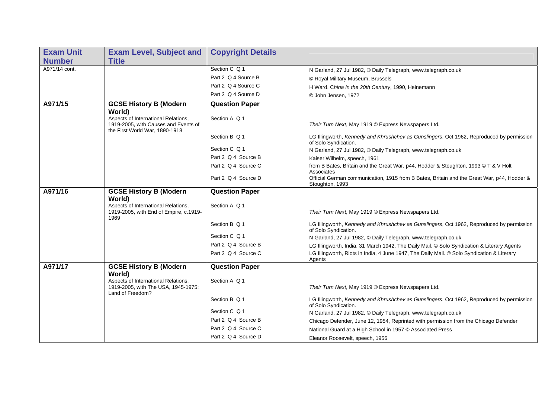| <b>Exam Unit</b> | <b>Exam Level, Subject and</b>                                                                                | <b>Copyright Details</b> |                                                                                                                   |
|------------------|---------------------------------------------------------------------------------------------------------------|--------------------------|-------------------------------------------------------------------------------------------------------------------|
| <b>Number</b>    | <b>Title</b>                                                                                                  |                          |                                                                                                                   |
| A971/14 cont.    |                                                                                                               | Section C Q 1            | N Garland, 27 Jul 1982, © Daily Telegraph, www.telegraph.co.uk                                                    |
|                  |                                                                                                               | Part 2 Q 4 Source B      | © Royal Military Museum, Brussels                                                                                 |
|                  |                                                                                                               | Part 2 Q 4 Source C      | H Ward, China in the 20th Century, 1990, Heinemann                                                                |
|                  |                                                                                                               | Part 2 Q 4 Source D      | © John Jensen, 1972                                                                                               |
| A971/15          | <b>GCSE History B (Modern</b><br>World)                                                                       | <b>Question Paper</b>    |                                                                                                                   |
|                  | Aspects of International Relations,<br>1919-2005, with Causes and Events of<br>the First World War, 1890-1918 | Section A Q 1            | Their Turn Next, May 1919 © Express Newspapers Ltd.                                                               |
|                  |                                                                                                               | Section B Q 1            | LG Illingworth, Kennedy and Khrushchev as Gunslingers, Oct 1962, Reproduced by permission<br>of Solo Syndication. |
|                  |                                                                                                               | Section C Q 1            | N Garland, 27 Jul 1982, © Daily Telegraph, www.telegraph.co.uk                                                    |
|                  |                                                                                                               | Part 2 Q 4 Source B      | Kaiser Wilhelm, speech, 1961                                                                                      |
|                  |                                                                                                               | Part 2 Q 4 Source C      | from B Bates, Britain and the Great War, p44, Hodder & Stoughton, 1993 © T & V Holt<br>Associates                 |
|                  |                                                                                                               | Part 2 Q 4 Source D      | Official German communication, 1915 from B Bates, Britain and the Great War, p44, Hodder &<br>Stoughton, 1993     |
| A971/16          | <b>GCSE History B (Modern</b>                                                                                 | <b>Question Paper</b>    |                                                                                                                   |
|                  | World)<br>Aspects of International Relations,<br>1919-2005, with End of Empire, c.1919-<br>1969               | Section A Q 1            | Their Turn Next, May 1919 © Express Newspapers Ltd.                                                               |
|                  |                                                                                                               | Section B Q 1            | LG Illingworth, Kennedy and Khrushchev as Gunslingers, Oct 1962, Reproduced by permission<br>of Solo Syndication. |
|                  |                                                                                                               | Section C Q 1            | N Garland, 27 Jul 1982, © Daily Telegraph, www.telegraph.co.uk                                                    |
|                  |                                                                                                               | Part 2 Q 4 Source B      | LG Illingworth, India, 31 March 1942, The Daily Mail. © Solo Syndication & Literary Agents                        |
|                  |                                                                                                               | Part 2 Q 4 Source C      | LG Illingworth, Riots in India, 4 June 1947, The Daily Mail. © Solo Syndication & Literary<br>Agents              |
| A971/17          | <b>GCSE History B (Modern</b><br>World)                                                                       | <b>Question Paper</b>    |                                                                                                                   |
|                  | Aspects of International Relations,<br>1919-2005, with The USA, 1945-1975:<br>Land of Freedom?                | Section A Q 1            | Their Turn Next, May 1919 © Express Newspapers Ltd.                                                               |
|                  |                                                                                                               | Section B Q 1            | LG Illingworth, Kennedy and Khrushchev as Gunslingers, Oct 1962, Reproduced by permission<br>of Solo Syndication. |
|                  |                                                                                                               | Section C Q 1            | N Garland, 27 Jul 1982, © Daily Telegraph, www.telegraph.co.uk                                                    |
|                  |                                                                                                               | Part 2 Q 4 Source B      | Chicago Defender, June 12, 1954, Reprinted with permission from the Chicago Defender                              |
|                  |                                                                                                               | Part 2 Q 4 Source C      | National Guard at a High School in 1957 © Associated Press                                                        |
|                  |                                                                                                               | Part 2 Q 4 Source D      | Eleanor Roosevelt, speech, 1956                                                                                   |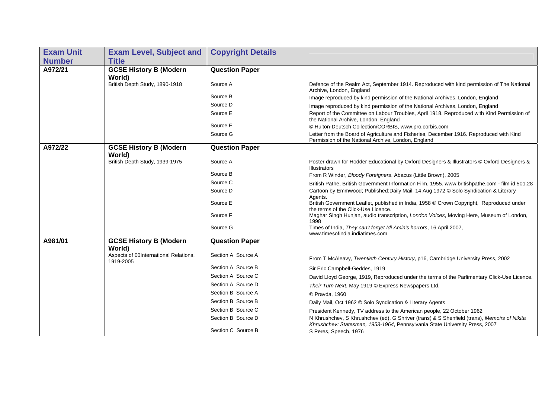| <b>Exam Unit</b> | <b>Exam Level, Subject and</b>                     | <b>Copyright Details</b> |                                                                                                                                                                            |
|------------------|----------------------------------------------------|--------------------------|----------------------------------------------------------------------------------------------------------------------------------------------------------------------------|
| <b>Number</b>    | <b>Title</b>                                       |                          |                                                                                                                                                                            |
| A972/21          | <b>GCSE History B (Modern</b>                      | <b>Question Paper</b>    |                                                                                                                                                                            |
|                  | World)                                             |                          |                                                                                                                                                                            |
|                  | British Depth Study, 1890-1918                     | Source A                 | Defence of the Realm Act, September 1914. Reproduced with kind permission of The National<br>Archive, London, England                                                      |
|                  |                                                    | Source B                 | Image reproduced by kind permission of the National Archives, London, England                                                                                              |
|                  |                                                    | Source D                 | Image reproduced by kind permission of the National Archives, London, England                                                                                              |
|                  |                                                    | Source E                 | Report of the Committee on Labour Troubles, April 1918. Reproduced with Kind Permission of<br>the National Archive, London, England                                        |
|                  |                                                    | Source F                 | © Hulton-Deutsch Collection/CORBIS, www.pro.corbis.com                                                                                                                     |
|                  |                                                    | Source G                 | Letter from the Board of Agriculture and Fisheries, December 1916. Reproduced with Kind<br>Permission of the National Archive, London, England                             |
| A972/22          | <b>GCSE History B (Modern</b><br>World)            | <b>Question Paper</b>    |                                                                                                                                                                            |
|                  | British Depth Study, 1939-1975                     | Source A                 | Poster drawn for Hodder Educational by Oxford Designers & Illustrators © Oxford Designers &<br><b>Illustrators</b>                                                         |
|                  |                                                    | Source B                 | From R Winder, Bloody Foreigners, Abacus (Little Brown), 2005                                                                                                              |
|                  |                                                    | Source C                 | British Pathe, British Government Information Film, 1955. www.britishpathe.com - film id 501.28                                                                            |
|                  |                                                    | Source D                 | Cartoon by Emmwood; Published: Daily Mail, 14 Aug 1972 C Solo Syndication & Literary<br>Agents.                                                                            |
|                  |                                                    | Source E                 | British Government Leaflet, published in India, 1958 © Crown Copyright, Reproduced under<br>the terms of the Click-Use Licence.                                            |
|                  |                                                    | Source F                 | Maghar Singh Hunjan, audio transcription, London Voices, Moving Here, Museum of London,<br>1998                                                                            |
|                  |                                                    | Source G                 | Times of India, They can't forget Idi Amin's horrors, 16 April 2007,<br>www.timesofindia.indiatimes.com                                                                    |
| A981/01          | <b>GCSE History B (Modern</b>                      | <b>Question Paper</b>    |                                                                                                                                                                            |
|                  | World)                                             |                          |                                                                                                                                                                            |
|                  | Aspects of 00International Relations,<br>1919-2005 | Section A Source A       | From T McAleavy, Twentieth Century History, p16, Cambridge University Press, 2002                                                                                          |
|                  |                                                    | Section A Source B       | Sir Eric Campbell-Geddes, 1919                                                                                                                                             |
|                  |                                                    | Section A Source C       | David Lloyd George, 1919, Reproduced under the terms of the Parlimentary Click-Use Licence.                                                                                |
|                  |                                                    | Section A Source D       | Their Turn Next, May 1919 © Express Newspapers Ltd.                                                                                                                        |
|                  |                                                    | Section B Source A       | © Pravda, 1960                                                                                                                                                             |
|                  |                                                    | Section B Source B       | Daily Mail, Oct 1962 C Solo Syndication & Literary Agents                                                                                                                  |
|                  |                                                    | Section B Source C       | President Kennedy, TV address to the American people, 22 October 1962                                                                                                      |
|                  |                                                    | Section B Source D       | N Khrushchev, S Khrushchev (ed), G Shriver (trans) & S Shenfield (trans), Memoirs of Nikita<br>Khrushchev: Statesman, 1953-1964, Pennsylvania State University Press, 2007 |
|                  |                                                    | Section C Source B       | S Peres, Speech, 1976                                                                                                                                                      |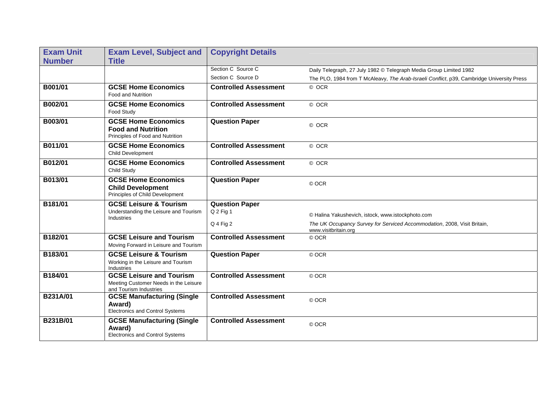| <b>Exam Unit</b> | <b>Exam Level, Subject and</b>                                                                     | <b>Copyright Details</b>     |                                                                                                  |
|------------------|----------------------------------------------------------------------------------------------------|------------------------------|--------------------------------------------------------------------------------------------------|
| <b>Number</b>    | <b>Title</b>                                                                                       |                              |                                                                                                  |
|                  |                                                                                                    | Section C Source C           | Daily Telegraph, 27 July 1982 © Telegraph Media Group Limited 1982                               |
|                  |                                                                                                    | Section C Source D           | The PLO, 1984 from T McAleavy, The Arab-Israeli Conflict, p39, Cambridge University Press        |
| B001/01          | <b>GCSE Home Economics</b><br><b>Food and Nutrition</b>                                            | <b>Controlled Assessment</b> | © OCR                                                                                            |
| B002/01          | <b>GCSE Home Economics</b><br>Food Study                                                           | <b>Controlled Assessment</b> | © OCR                                                                                            |
| B003/01          | <b>GCSE Home Economics</b><br><b>Food and Nutrition</b><br>Principles of Food and Nutrition        | <b>Question Paper</b>        | © OCR                                                                                            |
| B011/01          | <b>GCSE Home Economics</b><br>Child Development                                                    | <b>Controlled Assessment</b> | © OCR                                                                                            |
| B012/01          | <b>GCSE Home Economics</b><br>Child Study                                                          | <b>Controlled Assessment</b> | © OCR                                                                                            |
| B013/01          | <b>GCSE Home Economics</b><br><b>Child Development</b><br>Principles of Child Development          | <b>Question Paper</b>        | © OCR                                                                                            |
| B181/01          | <b>GCSE Leisure &amp; Tourism</b>                                                                  | <b>Question Paper</b>        |                                                                                                  |
|                  | Understanding the Leisure and Tourism                                                              | Q 2 Fig 1                    | © Halina Yakushevich, istock, www.istockphoto.com                                                |
|                  | Industries                                                                                         | Q 4 Fig 2                    | The UK Occupancy Survey for Serviced Accommodation, 2008, Visit Britain,<br>www.visitbritain.org |
| B182/01          | <b>GCSE Leisure and Tourism</b><br>Moving Forward in Leisure and Tourism                           | <b>Controlled Assessment</b> | © OCR                                                                                            |
| B183/01          | <b>GCSE Leisure &amp; Tourism</b><br>Working in the Leisure and Tourism<br>Industries              | <b>Question Paper</b>        | © OCR                                                                                            |
| B184/01          | <b>GCSE Leisure and Tourism</b><br>Meeting Customer Needs in the Leisure<br>and Tourism Industries | <b>Controlled Assessment</b> | © OCR                                                                                            |
| B231A/01         | <b>GCSE Manufacturing (Single</b><br>Award)<br>Electronics and Control Systems                     | <b>Controlled Assessment</b> | © OCR                                                                                            |
| <b>B231B/01</b>  | <b>GCSE Manufacturing (Single</b><br>Award)<br>Electronics and Control Systems                     | <b>Controlled Assessment</b> | © OCR                                                                                            |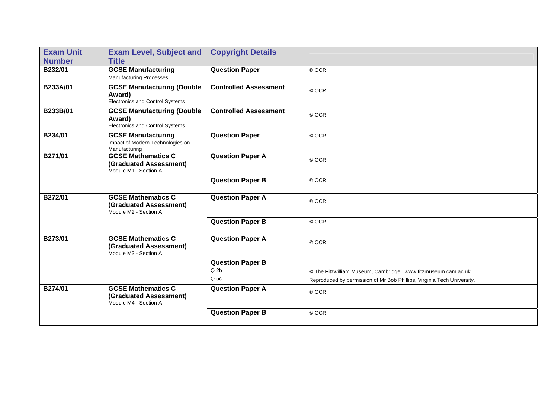| <b>Exam Unit</b> | <b>Exam Level, Subject and</b>                                                 | <b>Copyright Details</b>     |                                                                        |
|------------------|--------------------------------------------------------------------------------|------------------------------|------------------------------------------------------------------------|
| <b>Number</b>    | <b>Title</b>                                                                   |                              |                                                                        |
| B232/01          | <b>GCSE Manufacturing</b><br><b>Manufacturing Processes</b>                    | <b>Question Paper</b>        | © OCR                                                                  |
| B233A/01         | <b>GCSE Manufacturing (Double</b><br>Award)<br>Electronics and Control Systems | <b>Controlled Assessment</b> | © OCR                                                                  |
| B233B/01         | <b>GCSE Manufacturing (Double</b><br>Award)<br>Electronics and Control Systems | <b>Controlled Assessment</b> | © OCR                                                                  |
| B234/01          | <b>GCSE Manufacturing</b><br>Impact of Modern Technologies on<br>Manufacturing | <b>Question Paper</b>        | © OCR                                                                  |
| B271/01          | <b>GCSE Mathematics C</b><br>(Graduated Assessment)<br>Module M1 - Section A   | <b>Question Paper A</b>      | © OCR                                                                  |
|                  |                                                                                | <b>Question Paper B</b>      | © OCR                                                                  |
| B272/01          | <b>GCSE Mathematics C</b><br>(Graduated Assessment)<br>Module M2 - Section A   | <b>Question Paper A</b>      | © OCR                                                                  |
|                  |                                                                                | <b>Question Paper B</b>      | © OCR                                                                  |
| B273/01          | <b>GCSE Mathematics C</b><br>(Graduated Assessment)<br>Module M3 - Section A   | <b>Question Paper A</b>      | © OCR                                                                  |
|                  |                                                                                | <b>Question Paper B</b>      |                                                                        |
|                  |                                                                                | Q <sub>2b</sub>              | © The Fitzwilliam Museum, Cambridge, www.fitzmuseum.cam.ac.uk          |
|                  |                                                                                | Q <sub>5c</sub>              | Reproduced by permission of Mr Bob Phillips, Virginia Tech University. |
| B274/01          | <b>GCSE Mathematics C</b><br>(Graduated Assessment)<br>Module M4 - Section A   | <b>Question Paper A</b>      | © OCR                                                                  |
|                  |                                                                                | <b>Question Paper B</b>      | © OCR                                                                  |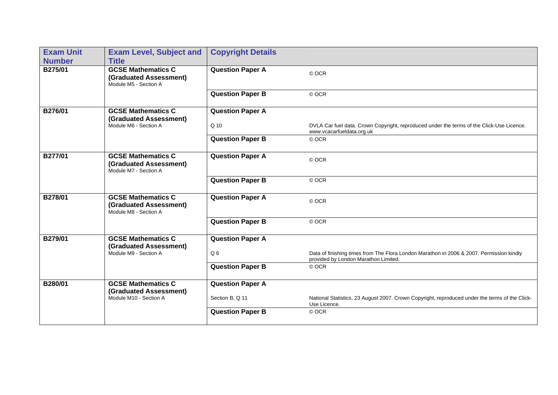| <b>Exam Unit</b> | <b>Exam Level, Subject and</b>                                               | <b>Copyright Details</b> |                                                                                                                                  |
|------------------|------------------------------------------------------------------------------|--------------------------|----------------------------------------------------------------------------------------------------------------------------------|
| <b>Number</b>    | <b>Title</b>                                                                 |                          |                                                                                                                                  |
| B275/01          | <b>GCSE Mathematics C</b><br>(Graduated Assessment)<br>Module M5 - Section A | <b>Question Paper A</b>  | © OCR                                                                                                                            |
|                  |                                                                              | <b>Question Paper B</b>  | © OCR                                                                                                                            |
| B276/01          | <b>GCSE Mathematics C</b><br>(Graduated Assessment)                          | <b>Question Paper A</b>  |                                                                                                                                  |
|                  | Module M6 - Section A                                                        | Q 10                     | DVLA Car fuel data. Crown Copyright, reproduced under the terms of the Click-Use Licence.<br>www.vcacarfueldata.org.uk           |
|                  |                                                                              | <b>Question Paper B</b>  | © OCR                                                                                                                            |
| B277/01          | <b>GCSE Mathematics C</b><br>(Graduated Assessment)<br>Module M7 - Section A | <b>Question Paper A</b>  | © OCR                                                                                                                            |
|                  |                                                                              | <b>Question Paper B</b>  | © OCR                                                                                                                            |
| B278/01          | <b>GCSE Mathematics C</b><br>(Graduated Assessment)<br>Module M8 - Section A | <b>Question Paper A</b>  | © OCR                                                                                                                            |
|                  |                                                                              | <b>Question Paper B</b>  | © OCR                                                                                                                            |
| B279/01          | <b>GCSE Mathematics C</b><br>(Graduated Assessment)                          | <b>Question Paper A</b>  |                                                                                                                                  |
|                  | Module M9 - Section A                                                        | Q <sub>6</sub>           | Data of finishing times from The Flora London Marathon in 2006 & 2007. Permission kindly<br>provided by London Marathon Limited. |
|                  |                                                                              | <b>Question Paper B</b>  | © OCR                                                                                                                            |
| B280/01          | <b>GCSE Mathematics C</b><br>(Graduated Assessment)                          | <b>Question Paper A</b>  |                                                                                                                                  |
|                  | Module M10 - Section A                                                       | Section B, Q 11          | National Statistics, 23 August 2007. Crown Copyright, reproduced under the terms of the Click-<br>Use Licence.                   |
|                  |                                                                              | <b>Question Paper B</b>  | © OCR                                                                                                                            |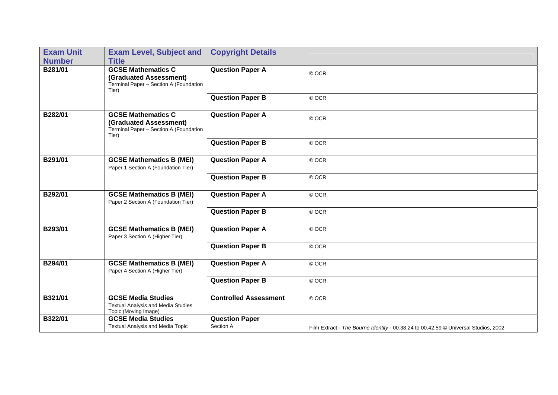| <b>Exam Unit</b> | <b>Exam Level, Subject and</b>                                                                         | <b>Copyright Details</b>           |                                                                                     |
|------------------|--------------------------------------------------------------------------------------------------------|------------------------------------|-------------------------------------------------------------------------------------|
| <b>Number</b>    | <b>Title</b>                                                                                           |                                    |                                                                                     |
| B281/01          | <b>GCSE Mathematics C</b><br>(Graduated Assessment)<br>Terminal Paper - Section A (Foundation<br>Tier) | <b>Question Paper A</b>            | © OCR                                                                               |
|                  |                                                                                                        | <b>Question Paper B</b>            | © OCR                                                                               |
| B282/01          | <b>GCSE Mathematics C</b><br>(Graduated Assessment)<br>Terminal Paper - Section A (Foundation<br>Tier) | <b>Question Paper A</b>            | © OCR                                                                               |
|                  |                                                                                                        | <b>Question Paper B</b>            | © OCR                                                                               |
| B291/01          | <b>GCSE Mathematics B (MEI)</b><br>Paper 1 Section A (Foundation Tier)                                 | <b>Question Paper A</b>            | © OCR                                                                               |
|                  |                                                                                                        | <b>Question Paper B</b>            | © OCR                                                                               |
| B292/01          | <b>GCSE Mathematics B (MEI)</b><br>Paper 2 Section A (Foundation Tier)                                 | <b>Question Paper A</b>            | © OCR                                                                               |
|                  |                                                                                                        | <b>Question Paper B</b>            | © OCR                                                                               |
| B293/01          | <b>GCSE Mathematics B (MEI)</b><br>Paper 3 Section A (Higher Tier)                                     | <b>Question Paper A</b>            | © OCR                                                                               |
|                  |                                                                                                        | <b>Question Paper B</b>            | © OCR                                                                               |
| B294/01          | <b>GCSE Mathematics B (MEI)</b><br>Paper 4 Section A (Higher Tier)                                     | <b>Question Paper A</b>            | © OCR                                                                               |
|                  |                                                                                                        | <b>Question Paper B</b>            | © OCR                                                                               |
| B321/01          | <b>GCSE Media Studies</b><br><b>Textual Analysis and Media Studies</b><br>Topic (Moving Image)         | <b>Controlled Assessment</b>       | © OCR                                                                               |
| B322/01          | <b>GCSE Media Studies</b><br><b>Textual Analysis and Media Topic</b>                                   | <b>Question Paper</b><br>Section A | Film Extract - The Bourne Identity - 00.38.24 to 00.42.59 © Universal Studios, 2002 |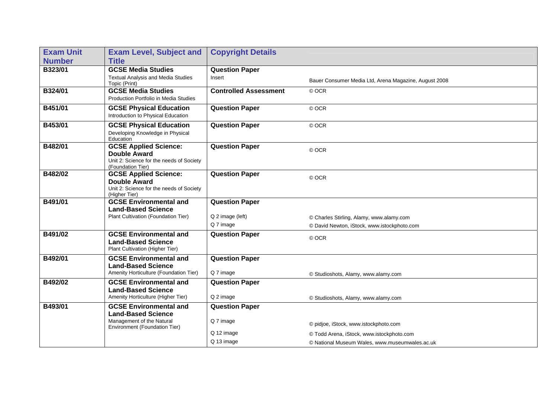| <b>Exam Unit</b> | <b>Exam Level, Subject and</b>                                                                                       | <b>Copyright Details</b>           |                                                       |
|------------------|----------------------------------------------------------------------------------------------------------------------|------------------------------------|-------------------------------------------------------|
| <b>Number</b>    | <b>Title</b>                                                                                                         |                                    |                                                       |
| B323/01          | <b>GCSE Media Studies</b>                                                                                            | <b>Question Paper</b>              |                                                       |
|                  | <b>Textual Analysis and Media Studies</b><br>Topic (Print)                                                           | Insert                             | Bauer Consumer Media Ltd, Arena Magazine, August 2008 |
| B324/01          | <b>GCSE Media Studies</b><br>Production Portfolio in Media Studies                                                   | <b>Controlled Assessment</b>       | © OCR                                                 |
| B451/01          | <b>GCSE Physical Education</b><br>Introduction to Physical Education                                                 | <b>Question Paper</b>              | © OCR                                                 |
| B453/01          | <b>GCSE Physical Education</b><br>Developing Knowledge in Physical<br>Education                                      | <b>Question Paper</b>              | © OCR                                                 |
| B482/01          | <b>GCSE Applied Science:</b><br><b>Double Award</b><br>Unit 2: Science for the needs of Society<br>(Foundation Tier) | <b>Question Paper</b>              | © OCR                                                 |
| B482/02          | <b>GCSE Applied Science:</b><br><b>Double Award</b><br>Unit 2: Science for the needs of Society<br>(Higher Tier)     | <b>Question Paper</b>              | © OCR                                                 |
| B491/01          | <b>GCSE Environmental and</b><br><b>Land-Based Science</b>                                                           | <b>Question Paper</b>              |                                                       |
|                  | Plant Cultivation (Foundation Tier)                                                                                  | Q 2 image (left)                   | © Charles Stirling, Alamy, www.alamy.com              |
|                  |                                                                                                                      | Q 7 image                          | © David Newton, iStock, www.istockphoto.com           |
| B491/02          | <b>GCSE Environmental and</b><br><b>Land-Based Science</b><br>Plant Cultivation (Higher Tier)                        | <b>Question Paper</b>              | © OCR                                                 |
| B492/01          | <b>GCSE Environmental and</b><br><b>Land-Based Science</b><br>Amenity Horticulture (Foundation Tier)                 | <b>Question Paper</b><br>Q 7 image | © Studioshots, Alamy, www.alamy.com                   |
| B492/02          | <b>GCSE Environmental and</b><br><b>Land-Based Science</b><br>Amenity Horticulture (Higher Tier)                     | <b>Question Paper</b><br>Q 2 image |                                                       |
| B493/01          | <b>GCSE Environmental and</b>                                                                                        | <b>Question Paper</b>              | © Studioshots, Alamy, www.alamy.com                   |
|                  | <b>Land-Based Science</b>                                                                                            |                                    |                                                       |
|                  | Management of the Natural<br>Environment (Foundation Tier)                                                           | Q 7 image                          | © pidjoe, iStock, www.istockphoto.com                 |
|                  |                                                                                                                      | Q 12 image                         | © Todd Arena, iStock, www.istockphoto.com             |
|                  |                                                                                                                      | Q 13 image                         | © National Museum Wales, www.museumwales.ac.uk        |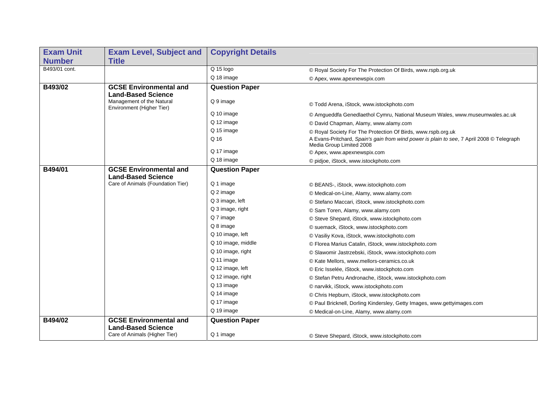| <b>Exam Unit</b> | <b>Exam Level, Subject and</b>                         | <b>Copyright Details</b> |                                                                                                                       |
|------------------|--------------------------------------------------------|--------------------------|-----------------------------------------------------------------------------------------------------------------------|
| <b>Number</b>    | <b>Title</b>                                           |                          |                                                                                                                       |
| B493/01 cont.    |                                                        | Q 15 logo                | © Royal Society For The Protection Of Birds, www.rspb.org.uk                                                          |
|                  |                                                        | Q 18 image               | © Apex, www.apexnewspix.com                                                                                           |
| B493/02          | <b>GCSE Environmental and</b>                          | <b>Question Paper</b>    |                                                                                                                       |
|                  | <b>Land-Based Science</b>                              |                          |                                                                                                                       |
|                  | Management of the Natural<br>Environment (Higher Tier) | Q 9 image                | © Todd Arena, iStock, www.istockphoto.com                                                                             |
|                  |                                                        | Q 10 image               | © Amgueddfa Genedlaethol Cymru, National Museum Wales, www.museumwales.ac.uk                                          |
|                  |                                                        | Q 12 image               | © David Chapman, Alamy, www.alamy.com                                                                                 |
|                  |                                                        | Q 15 image               | © Royal Society For The Protection Of Birds, www.rspb.org.uk                                                          |
|                  |                                                        | Q 16                     | A Evans-Pritchard, Spain's gain from wind power is plain to see, 7 April 2008 © Telegraph<br>Media Group Limited 2008 |
|                  |                                                        | Q 17 image               | © Apex, www.apexnewspix.com                                                                                           |
|                  |                                                        | Q 18 image               | © pidjoe, iStock, www.istockphoto.com                                                                                 |
| B494/01          | <b>GCSE Environmental and</b>                          | <b>Question Paper</b>    |                                                                                                                       |
|                  | <b>Land-Based Science</b>                              |                          |                                                                                                                       |
|                  | Care of Animals (Foundation Tier)                      | Q 1 image                | © BEANS-, iStock, www.istockphoto.com                                                                                 |
|                  |                                                        | Q 2 image                | © Medical-on-Line, Alamy, www.alamy.com                                                                               |
|                  |                                                        | Q 3 image, left          | © Stefano Maccari, iStock, www.istockphoto.com                                                                        |
|                  |                                                        | Q 3 image, right         | © Sam Toren, Alamy, www.alamy.com                                                                                     |
|                  |                                                        | Q 7 image                | © Steve Shepard, iStock, www.istockphoto.com                                                                          |
|                  |                                                        | Q 8 image                | © suemack, iStock, www.istockphoto.com                                                                                |
|                  |                                                        | Q 10 image, left         | © Vasiliy Kova, iStock, www.istockphoto.com                                                                           |
|                  |                                                        | Q 10 image, middle       | © Florea Marius Catalin, iStock, www.istockphoto.com                                                                  |
|                  |                                                        | Q 10 image, right        | © Slawomir Jastrzebski, iStock, www.istockphoto.com                                                                   |
|                  |                                                        | Q 11 image               | © Kate Mellors, www.mellors-ceramics.co.uk                                                                            |
|                  |                                                        | Q 12 image, left         | © Eric Isselée, iStock, www.istockphoto.com                                                                           |
|                  |                                                        | Q 12 image, right        | © Stefan Petru Andronache, iStock, www.istockphoto.com                                                                |
|                  |                                                        | Q 13 image               | © narvikk, iStock, www.istockphoto.com                                                                                |
|                  |                                                        | Q 14 image               | © Chris Hepburn, iStock, www.istockphoto.com                                                                          |
|                  |                                                        | Q 17 image               | © Paul Bricknell, Dorling Kindersley, Getty Images, www.gettyimages.com                                               |
|                  |                                                        | Q 19 image               | © Medical-on-Line, Alamy, www.alamy.com                                                                               |
| B494/02          | <b>GCSE Environmental and</b>                          | <b>Question Paper</b>    |                                                                                                                       |
|                  | <b>Land-Based Science</b>                              |                          |                                                                                                                       |
|                  | Care of Animals (Higher Tier)                          | Q 1 image                | © Steve Shepard, iStock, www.istockphoto.com                                                                          |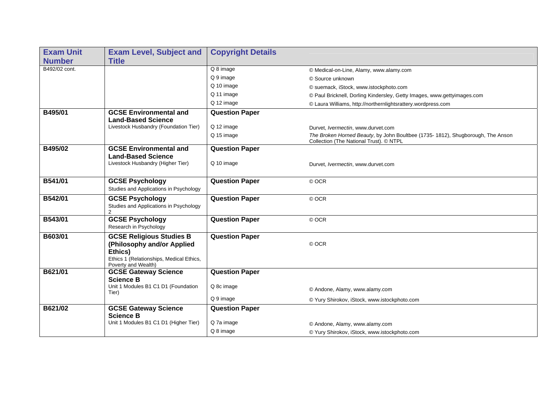| <b>Exam Unit</b> | <b>Exam Level, Subject and</b>                                  | <b>Copyright Details</b> |                                                                                                                           |
|------------------|-----------------------------------------------------------------|--------------------------|---------------------------------------------------------------------------------------------------------------------------|
| <b>Number</b>    | <b>Title</b>                                                    |                          |                                                                                                                           |
| B492/02 cont.    |                                                                 | Q 8 image                | © Medical-on-Line, Alamy, www.alamy.com                                                                                   |
|                  |                                                                 | Q 9 image                | © Source unknown                                                                                                          |
|                  |                                                                 | Q 10 image               | © suemack, iStock, www.istockphoto.com                                                                                    |
|                  |                                                                 | Q 11 image               | © Paul Bricknell, Dorling Kindersley, Getty Images, www.gettyimages.com                                                   |
|                  |                                                                 | Q 12 image               | © Laura Williams, http://northernlightsrattery.wordpress.com                                                              |
| B495/01          | <b>GCSE Environmental and</b>                                   | <b>Question Paper</b>    |                                                                                                                           |
|                  | <b>Land-Based Science</b>                                       |                          |                                                                                                                           |
|                  | Livestock Husbandry (Foundation Tier)                           | Q 12 image               | Durvet, Ivermectin, www.durvet.com                                                                                        |
|                  |                                                                 | Q 15 image               | The Broken Horned Beauty, by John Boultbee (1735-1812), Shugborough, The Anson<br>Collection (The National Trust). © NTPL |
| B495/02          | <b>GCSE Environmental and</b>                                   | <b>Question Paper</b>    |                                                                                                                           |
|                  | <b>Land-Based Science</b>                                       |                          |                                                                                                                           |
|                  | Livestock Husbandry (Higher Tier)                               | Q 10 image               | Durvet, Ivermectin, www.durvet.com                                                                                        |
|                  |                                                                 |                          |                                                                                                                           |
| <b>B541/01</b>   | <b>GCSE Psychology</b>                                          | <b>Question Paper</b>    | © OCR                                                                                                                     |
|                  | Studies and Applications in Psychology                          |                          |                                                                                                                           |
| B542/01          | <b>GCSE Psychology</b>                                          | <b>Question Paper</b>    | © OCR                                                                                                                     |
|                  | Studies and Applications in Psychology<br>$\mathcal{P}$         |                          |                                                                                                                           |
| B543/01          | <b>GCSE Psychology</b>                                          | <b>Question Paper</b>    | © OCR                                                                                                                     |
|                  | Research in Psychology                                          |                          |                                                                                                                           |
| B603/01          | <b>GCSE Religious Studies B</b>                                 | <b>Question Paper</b>    |                                                                                                                           |
|                  | (Philosophy and/or Applied                                      |                          | © OCR                                                                                                                     |
|                  | Ethics)                                                         |                          |                                                                                                                           |
|                  | Ethics 1 (Relationships, Medical Ethics,<br>Poverty and Wealth) |                          |                                                                                                                           |
| B621/01          | <b>GCSE Gateway Science</b>                                     | <b>Question Paper</b>    |                                                                                                                           |
|                  | <b>Science B</b>                                                |                          |                                                                                                                           |
|                  | Unit 1 Modules B1 C1 D1 (Foundation                             | Q 8c image               | © Andone, Alamy, www.alamy.com                                                                                            |
|                  | Tier)                                                           | Q 9 image                | © Yury Shirokov, iStock, www.istockphoto.com                                                                              |
| B621/02          | <b>GCSE Gateway Science</b>                                     | <b>Question Paper</b>    |                                                                                                                           |
|                  | <b>Science B</b>                                                |                          |                                                                                                                           |
|                  | Unit 1 Modules B1 C1 D1 (Higher Tier)                           | Q 7a image               | © Andone, Alamy, www.alamy.com                                                                                            |
|                  |                                                                 | Q 8 image                | © Yury Shirokov, iStock, www.istockphoto.com                                                                              |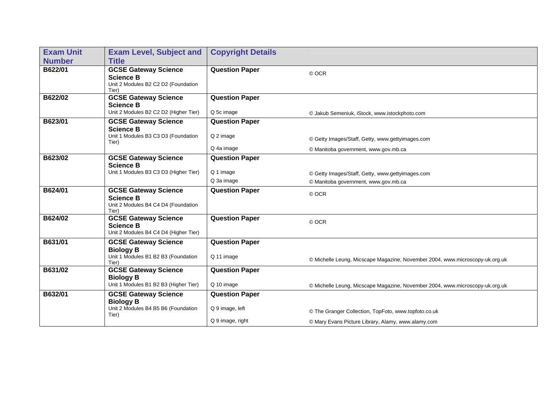| <b>Exam Unit</b> | <b>Exam Level, Subject and</b>                                                                  | <b>Copyright Details</b>                                     |                                                                                                            |
|------------------|-------------------------------------------------------------------------------------------------|--------------------------------------------------------------|------------------------------------------------------------------------------------------------------------|
| <b>Number</b>    | <b>Title</b>                                                                                    |                                                              |                                                                                                            |
| B622/01          | <b>GCSE Gateway Science</b><br><b>Science B</b><br>Unit 2 Modules B2 C2 D2 (Foundation<br>Tier) | <b>Question Paper</b>                                        | © OCR                                                                                                      |
| B622/02          | <b>GCSE Gateway Science</b><br><b>Science B</b><br>Unit 2 Modules B2 C2 D2 (Higher Tier)        | <b>Question Paper</b><br>Q 5c image                          | © Jakub Semeniuk, iStock, www.istockphoto.com                                                              |
| B623/01          | <b>GCSE Gateway Science</b><br><b>Science B</b><br>Unit 1 Modules B3 C3 D3 (Foundation<br>Tier) | <b>Question Paper</b><br>Q 2 image<br>Q 4a image             | © Getty Images/Staff, Getty, www.gettyimages.com<br>© Manitoba government, www.gov.mb.ca                   |
| B623/02          | <b>GCSE Gateway Science</b><br><b>Science B</b><br>Unit 1 Modules B3 C3 D3 (Higher Tier)        | <b>Question Paper</b><br>Q 1 image<br>Q 3a image             | © Getty Images/Staff, Getty, www.gettyimages.com<br>© Manitoba government, www.gov.mb.ca                   |
| B624/01          | <b>GCSE Gateway Science</b><br><b>Science B</b><br>Unit 2 Modules B4 C4 D4 (Foundation<br>Tier) | <b>Question Paper</b>                                        | © OCR                                                                                                      |
| B624/02          | <b>GCSE Gateway Science</b><br><b>Science B</b><br>Unit 2 Modules B4 C4 D4 (Higher Tier)        | <b>Question Paper</b>                                        | © OCR                                                                                                      |
| B631/01          | <b>GCSE Gateway Science</b><br><b>Biology B</b><br>Unit 1 Modules B1 B2 B3 (Foundation<br>Tier) | <b>Question Paper</b><br>Q 11 image                          | © Michelle Leung, Micscape Magazine, November 2004, www.microscopy-uk.org.uk                               |
| B631/02          | <b>GCSE Gateway Science</b><br><b>Biology B</b><br>Unit 1 Modules B1 B2 B3 (Higher Tier)        | <b>Question Paper</b><br>Q 10 image                          | © Michelle Leung, Micscape Magazine, November 2004, www.microscopy-uk.org.uk                               |
| B632/01          | <b>GCSE Gateway Science</b><br><b>Biology B</b><br>Unit 2 Modules B4 B5 B6 (Foundation<br>Tier) | <b>Question Paper</b><br>Q 9 image, left<br>Q 9 image, right | © The Granger Collection, TopFoto, www.topfoto.co.uk<br>© Mary Evans Picture Library, Alamy, www.alamy.com |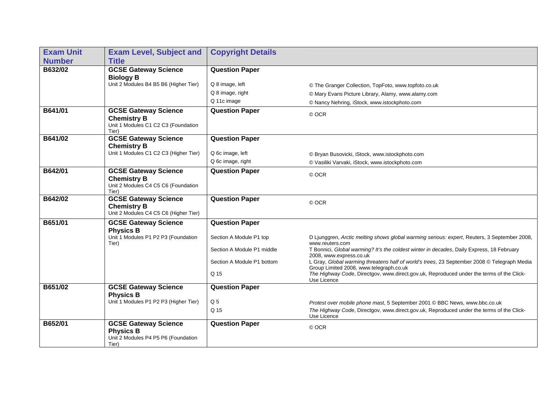| <b>Exam Unit</b> | <b>Exam Level, Subject and</b>                                                                    | <b>Copyright Details</b>                              |                                                                                                                                                                                                              |
|------------------|---------------------------------------------------------------------------------------------------|-------------------------------------------------------|--------------------------------------------------------------------------------------------------------------------------------------------------------------------------------------------------------------|
| <b>Number</b>    | <b>Title</b>                                                                                      |                                                       |                                                                                                                                                                                                              |
| B632/02          | <b>GCSE Gateway Science</b><br><b>Biology B</b><br>Unit 2 Modules B4 B5 B6 (Higher Tier)          | <b>Question Paper</b><br>Q 8 image, left              | © The Granger Collection, TopFoto, www.topfoto.co.uk                                                                                                                                                         |
|                  |                                                                                                   | Q 8 image, right                                      |                                                                                                                                                                                                              |
|                  |                                                                                                   | Q 11c image                                           | © Mary Evans Picture Library, Alamy, www.alamy.com<br>© Nancy Nehring, iStock, www.istockphoto.com                                                                                                           |
| B641/01          | <b>GCSE Gateway Science</b>                                                                       | <b>Question Paper</b>                                 |                                                                                                                                                                                                              |
|                  | <b>Chemistry B</b><br>Unit 1 Modules C1 C2 C3 (Foundation<br>Tier)                                |                                                       | © OCR                                                                                                                                                                                                        |
| B641/02          | <b>GCSE Gateway Science</b><br><b>Chemistry B</b>                                                 | <b>Question Paper</b>                                 |                                                                                                                                                                                                              |
|                  | Unit 1 Modules C1 C2 C3 (Higher Tier)                                                             | Q 6c image, left                                      | © Bryan Busovicki, iStock, www.istockphoto.com                                                                                                                                                               |
|                  |                                                                                                   | Q 6c image, right                                     | © Vasiliki Varvaki, iStock, www.istockphoto.com                                                                                                                                                              |
| B642/01          | <b>GCSE Gateway Science</b><br><b>Chemistry B</b><br>Unit 2 Modules C4 C5 C6 (Foundation<br>Tier) | <b>Question Paper</b>                                 | © OCR                                                                                                                                                                                                        |
| B642/02          | <b>GCSE Gateway Science</b><br><b>Chemistry B</b><br>Unit 2 Modules C4 C5 C6 (Higher Tier)        | <b>Question Paper</b>                                 | © OCR                                                                                                                                                                                                        |
| B651/01          | <b>GCSE Gateway Science</b><br><b>Physics B</b>                                                   | <b>Question Paper</b>                                 |                                                                                                                                                                                                              |
|                  | Unit 1 Modules P1 P2 P3 (Foundation<br>Tier)                                                      | Section A Module P1 top<br>Section A Module P1 middle | D Ljunggren, Arctic melting shows global warming serious: expert, Reuters, 3 September 2008,<br>www.reuters.com<br>T Bonnici, Global warming? It's the coldest winter in decades, Daily Express, 18 February |
|                  |                                                                                                   |                                                       | 2008, www.express.co.uk                                                                                                                                                                                      |
|                  |                                                                                                   | Section A Module P1 bottom                            | L Gray, Global warming threatens half of world's trees, 23 September 2008 © Telegraph Media<br>Group Limited 2008, www.telegraph.co.uk                                                                       |
|                  |                                                                                                   | Q 15                                                  | The Highway Code, Directgov, www.direct.gov.uk, Reproduced under the terms of the Click-<br>Use Licence                                                                                                      |
| B651/02          | <b>GCSE Gateway Science</b><br><b>Physics B</b>                                                   | <b>Question Paper</b>                                 |                                                                                                                                                                                                              |
|                  | Unit 1 Modules P1 P2 P3 (Higher Tier)                                                             | Q <sub>5</sub>                                        | Protest over mobile phone mast, 5 September 2001 © BBC News, www.bbc.co.uk                                                                                                                                   |
|                  |                                                                                                   | Q 15                                                  | The Highway Code, Directgov, www.direct.gov.uk, Reproduced under the terms of the Click-<br>Use Licence                                                                                                      |
| B652/01          | <b>GCSE Gateway Science</b><br><b>Physics B</b><br>Unit 2 Modules P4 P5 P6 (Foundation<br>Tier)   | <b>Question Paper</b>                                 | © OCR                                                                                                                                                                                                        |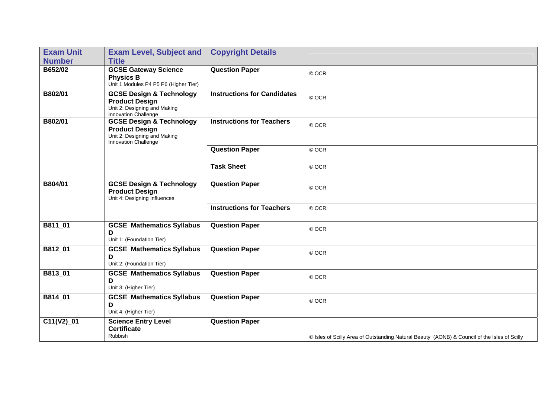| <b>Exam Unit</b> | <b>Exam Level, Subject and</b>                                                                                       | <b>Copyright Details</b>           |                                                                                              |
|------------------|----------------------------------------------------------------------------------------------------------------------|------------------------------------|----------------------------------------------------------------------------------------------|
| <b>Number</b>    | <b>Title</b>                                                                                                         |                                    |                                                                                              |
| B652/02          | <b>GCSE Gateway Science</b><br><b>Physics B</b><br>Unit 1 Modules P4 P5 P6 (Higher Tier)                             | <b>Question Paper</b>              | © OCR                                                                                        |
| B802/01          | <b>GCSE Design &amp; Technology</b><br><b>Product Design</b><br>Unit 2: Designing and Making<br>Innovation Challenge | <b>Instructions for Candidates</b> | © OCR                                                                                        |
| B802/01          | <b>GCSE Design &amp; Technology</b><br><b>Product Design</b><br>Unit 2: Designing and Making<br>Innovation Challenge | <b>Instructions for Teachers</b>   | © OCR                                                                                        |
|                  |                                                                                                                      | <b>Question Paper</b>              | © OCR                                                                                        |
|                  |                                                                                                                      | <b>Task Sheet</b>                  | © OCR                                                                                        |
| B804/01          | <b>GCSE Design &amp; Technology</b><br><b>Product Design</b><br>Unit 4: Designing Influences                         | <b>Question Paper</b>              | © OCR                                                                                        |
|                  |                                                                                                                      | <b>Instructions for Teachers</b>   | © OCR                                                                                        |
| B811_01          | <b>GCSE Mathematics Syllabus</b><br>D<br>Unit 1: (Foundation Tier)                                                   | <b>Question Paper</b>              | © OCR                                                                                        |
| B812_01          | <b>GCSE Mathematics Syllabus</b><br>D<br>Unit 2: (Foundation Tier)                                                   | <b>Question Paper</b>              | © OCR                                                                                        |
| B813_01          | <b>GCSE Mathematics Syllabus</b><br>D<br>Unit 3: (Higher Tier)                                                       | <b>Question Paper</b>              | © OCR                                                                                        |
| B814 01          | <b>GCSE Mathematics Syllabus</b><br>D<br>Unit 4: (Higher Tier)                                                       | <b>Question Paper</b>              | © OCR                                                                                        |
| $C11(V2)$ _01    | Science Entry Level<br><b>Certificate</b><br><b>Rubbish</b>                                                          | <b>Question Paper</b>              | © Isles of Scilly Area of Outstanding Natural Beauty (AONB) & Council of the Isles of Scilly |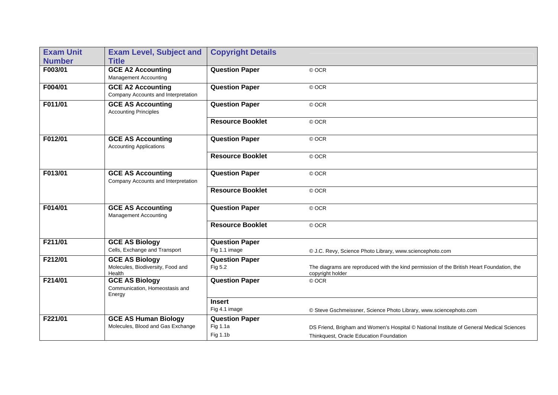| <b>Exam Unit</b> | <b>Exam Level, Subject and</b>                                    | <b>Copyright Details</b> |                                                                                                               |
|------------------|-------------------------------------------------------------------|--------------------------|---------------------------------------------------------------------------------------------------------------|
| <b>Number</b>    | <b>Title</b>                                                      |                          |                                                                                                               |
| F003/01          | <b>GCE A2 Accounting</b><br><b>Management Accounting</b>          | <b>Question Paper</b>    | © OCR                                                                                                         |
| F004/01          | <b>GCE A2 Accounting</b><br>Company Accounts and Interpretation   | <b>Question Paper</b>    | © OCR                                                                                                         |
| F011/01          | <b>GCE AS Accounting</b><br><b>Accounting Principles</b>          | <b>Question Paper</b>    | © OCR                                                                                                         |
|                  |                                                                   | <b>Resource Booklet</b>  | © OCR                                                                                                         |
| F012/01          | <b>GCE AS Accounting</b><br><b>Accounting Applications</b>        | <b>Question Paper</b>    | © OCR                                                                                                         |
|                  |                                                                   | <b>Resource Booklet</b>  | © OCR                                                                                                         |
| F013/01          | <b>GCE AS Accounting</b><br>Company Accounts and Interpretation   | <b>Question Paper</b>    | © OCR                                                                                                         |
|                  |                                                                   | <b>Resource Booklet</b>  | © OCR                                                                                                         |
| F014/01          | <b>GCE AS Accounting</b><br><b>Management Accounting</b>          | <b>Question Paper</b>    | © OCR                                                                                                         |
|                  |                                                                   | <b>Resource Booklet</b>  | © OCR                                                                                                         |
| F211/01          | <b>GCE AS Biology</b>                                             | <b>Question Paper</b>    |                                                                                                               |
|                  | Cells, Exchange and Transport                                     | Fig 1.1 image            | © J.C. Revy, Science Photo Library, www.sciencephoto.com                                                      |
| F212/01          | <b>GCE AS Biology</b>                                             | <b>Question Paper</b>    |                                                                                                               |
|                  | Molecules, Biodiversity, Food and<br>Health                       | Fig 5.2                  | The diagrams are reproduced with the kind permission of the British Heart Foundation, the<br>copyright holder |
| F214/01          | <b>GCE AS Biology</b><br>Communication, Homeostasis and<br>Energy | <b>Question Paper</b>    | © OCR                                                                                                         |
|                  |                                                                   | <b>Insert</b>            |                                                                                                               |
|                  |                                                                   | Fig 4.1 image            | © Steve Gschmeissner, Science Photo Library, www.sciencephoto.com                                             |
| F221/01          | <b>GCE AS Human Biology</b>                                       | <b>Question Paper</b>    |                                                                                                               |
|                  | Molecules, Blood and Gas Exchange                                 | <b>Fig 1.1a</b>          | DS Friend, Brigham and Women's Hospital © National Institute of General Medical Sciences                      |
|                  |                                                                   | Fig 1.1b                 | Thinkquest, Oracle Education Foundation                                                                       |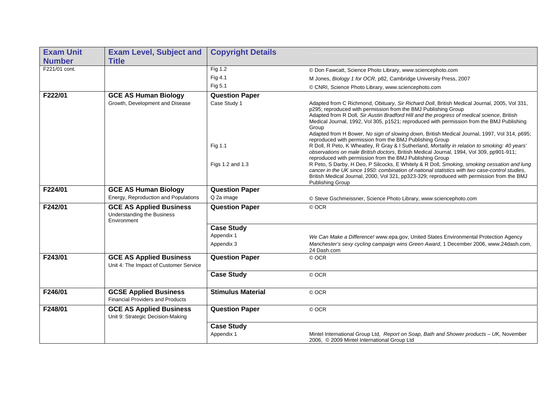| <b>Exam Unit</b> | <b>Exam Level, Subject and</b>                                                     | <b>Copyright Details</b>                    |                                                                                                                                                                                                                                                                                                                                                                                                                                                                                                                                                                                                                                                                                                                                                                                                                                                                                                                                                                                                                                                                                                             |
|------------------|------------------------------------------------------------------------------------|---------------------------------------------|-------------------------------------------------------------------------------------------------------------------------------------------------------------------------------------------------------------------------------------------------------------------------------------------------------------------------------------------------------------------------------------------------------------------------------------------------------------------------------------------------------------------------------------------------------------------------------------------------------------------------------------------------------------------------------------------------------------------------------------------------------------------------------------------------------------------------------------------------------------------------------------------------------------------------------------------------------------------------------------------------------------------------------------------------------------------------------------------------------------|
| <b>Number</b>    | <b>Title</b>                                                                       |                                             |                                                                                                                                                                                                                                                                                                                                                                                                                                                                                                                                                                                                                                                                                                                                                                                                                                                                                                                                                                                                                                                                                                             |
| F221/01 cont.    |                                                                                    | Fig 1.2                                     | © Don Fawcatt, Science Photo Library, www.sciencephoto.com                                                                                                                                                                                                                                                                                                                                                                                                                                                                                                                                                                                                                                                                                                                                                                                                                                                                                                                                                                                                                                                  |
|                  |                                                                                    | Fig 4.1                                     | M Jones, Biology 1 for OCR, p82, Cambridge University Press, 2007                                                                                                                                                                                                                                                                                                                                                                                                                                                                                                                                                                                                                                                                                                                                                                                                                                                                                                                                                                                                                                           |
|                  |                                                                                    | Fig 5.1                                     | © CNRI, Science Photo Library, www.sciencephoto.com                                                                                                                                                                                                                                                                                                                                                                                                                                                                                                                                                                                                                                                                                                                                                                                                                                                                                                                                                                                                                                                         |
| F222/01          | <b>GCE AS Human Biology</b>                                                        | <b>Question Paper</b>                       |                                                                                                                                                                                                                                                                                                                                                                                                                                                                                                                                                                                                                                                                                                                                                                                                                                                                                                                                                                                                                                                                                                             |
|                  | Growth, Development and Disease                                                    | Case Study 1<br>Fig 1.1<br>Figs 1.2 and 1.3 | Adapted from C Richmond, Obituary, Sir Richard Doll, British Medical Journal, 2005, Vol 331,<br>p295; reproduced with permission from the BMJ Publishing Group<br>Adapted from R Doll, Sir Austin Bradford Hill and the progress of medical science, British<br>Medical Journal, 1992, Vol 305, p1521; reproduced with permission from the BMJ Publishing<br>Group<br>Adapted from H Bower, No sign of slowing down, British Medical Journal, 1997, Vol 314, p695;<br>reproduced with permission from the BMJ Publishing Group<br>R Doll, R Peto, K Wheatley, R Gray & I Sutherland, Mortality in relation to smoking: 40 years'<br>observations on male British doctors, British Medical Journal, 1994, Vol 309, pp901-911;<br>reproduced with permission from the BMJ Publishing Group<br>R Peto, S Darby, H Deo, P Silcocks, E Whitely & R Doll, Smoking, smoking cessation and lung<br>cancer in the UK since 1950: combination of national statistics with two case-control studies,<br>British Medical Journal, 2000, Vol 321, pp323-329; reproduced with permission from the BMJ<br>Publishing Group |
| F224/01          | <b>GCE AS Human Biology</b><br>Energy, Reproduction and Populations                | <b>Question Paper</b><br>Q 2a image         | © Steve Gschmeissner, Science Photo Library, www.sciencephoto.com                                                                                                                                                                                                                                                                                                                                                                                                                                                                                                                                                                                                                                                                                                                                                                                                                                                                                                                                                                                                                                           |
| F242/01          | <b>GCE AS Applied Business</b><br><b>Understanding the Business</b><br>Environment | <b>Question Paper</b>                       | © OCR                                                                                                                                                                                                                                                                                                                                                                                                                                                                                                                                                                                                                                                                                                                                                                                                                                                                                                                                                                                                                                                                                                       |
|                  |                                                                                    | <b>Case Study</b>                           |                                                                                                                                                                                                                                                                                                                                                                                                                                                                                                                                                                                                                                                                                                                                                                                                                                                                                                                                                                                                                                                                                                             |
|                  |                                                                                    | Appendix 1                                  | We Can Make a Difference! www.epa.gov, United States Environmental Protection Agency                                                                                                                                                                                                                                                                                                                                                                                                                                                                                                                                                                                                                                                                                                                                                                                                                                                                                                                                                                                                                        |
|                  |                                                                                    | Appendix 3                                  | Manchester's sexy cycling campaign wins Green Award, 1 December 2006, www.24dash.com,<br>24 Dash.com                                                                                                                                                                                                                                                                                                                                                                                                                                                                                                                                                                                                                                                                                                                                                                                                                                                                                                                                                                                                        |
| F243/01          | <b>GCE AS Applied Business</b><br>Unit 4: The Impact of Customer Service           | <b>Question Paper</b>                       | © OCR                                                                                                                                                                                                                                                                                                                                                                                                                                                                                                                                                                                                                                                                                                                                                                                                                                                                                                                                                                                                                                                                                                       |
|                  |                                                                                    | <b>Case Study</b>                           | © OCR                                                                                                                                                                                                                                                                                                                                                                                                                                                                                                                                                                                                                                                                                                                                                                                                                                                                                                                                                                                                                                                                                                       |
| F246/01          | <b>GCSE Applied Business</b><br><b>Financial Providers and Products</b>            | <b>Stimulus Material</b>                    | © OCR                                                                                                                                                                                                                                                                                                                                                                                                                                                                                                                                                                                                                                                                                                                                                                                                                                                                                                                                                                                                                                                                                                       |
| F248/01          | <b>GCE AS Applied Business</b><br>Unit 9: Strategic Decision-Making                | <b>Question Paper</b>                       | © OCR                                                                                                                                                                                                                                                                                                                                                                                                                                                                                                                                                                                                                                                                                                                                                                                                                                                                                                                                                                                                                                                                                                       |
|                  |                                                                                    | <b>Case Study</b><br>Appendix 1             | Mintel International Group Ltd, Report on Soap, Bath and Shower products - UK, November<br>2006, © 2009 Mintel International Group Ltd                                                                                                                                                                                                                                                                                                                                                                                                                                                                                                                                                                                                                                                                                                                                                                                                                                                                                                                                                                      |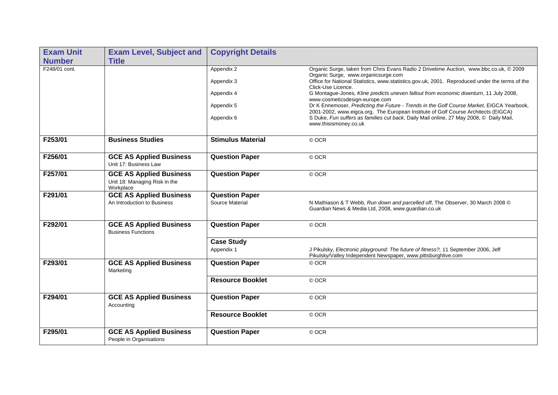| <b>Exam Unit</b> | <b>Exam Level, Subject and</b>                                               | <b>Copyright Details</b> |                                                                                                                                                                                 |
|------------------|------------------------------------------------------------------------------|--------------------------|---------------------------------------------------------------------------------------------------------------------------------------------------------------------------------|
| <b>Number</b>    | <b>Title</b>                                                                 |                          |                                                                                                                                                                                 |
| F248/01 cont.    |                                                                              | Appendix 2               | Organic Surge, taken from Chris Evans Radio 2 Drivetime Auction, www.bbc.co.uk, © 2009<br>Organic Surge, www.organicsurge.com                                                   |
|                  |                                                                              | Appendix 3               | Office for National Statistics, www.statistics.gov.uk, 2001. Reproduced under the terms of the<br>Click-Use Licence.                                                            |
|                  |                                                                              | Appendix 4               | G Montague-Jones, Kline predicts uneven fallout from economic downturn, 11 July 2008,<br>www.cosmeticsdesign-europe.com                                                         |
|                  |                                                                              | Appendix 5               | Dr K Ennemoser, Predicting the Future - Trends in the Golf Course Market, EIGCA Yearbook,<br>2001-2002, www.eigca.org, The European Institute of Golf Course Architects (EIGCA) |
|                  |                                                                              | Appendix 6               | S Duke, Fun suffers as families cut back, Daily Mail online, 27 May 2008, © Daily Mail,<br>www.thisismoney.co.uk                                                                |
| F253/01          | <b>Business Studies</b>                                                      | <b>Stimulus Material</b> | © OCR                                                                                                                                                                           |
| F256/01          | <b>GCE AS Applied Business</b><br>Unit 17: Business Law                      | <b>Question Paper</b>    | © OCR                                                                                                                                                                           |
| F257/01          | <b>GCE AS Applied Business</b><br>Unit 18: Managing Risk in the<br>Workplace | <b>Question Paper</b>    | © OCR                                                                                                                                                                           |
| F291/01          | <b>GCE AS Applied Business</b>                                               | <b>Question Paper</b>    |                                                                                                                                                                                 |
|                  | An Introduction to Business                                                  | Source Material          | N Mathiason & T Webb, Run down and parcelled off, The Observer, 30 March 2008 ©<br>Guardian News & Media Ltd, 2008, www.guardian.co.uk                                          |
| F292/01          | <b>GCE AS Applied Business</b><br><b>Business Functions</b>                  | <b>Question Paper</b>    | © OCR                                                                                                                                                                           |
|                  |                                                                              | <b>Case Study</b>        |                                                                                                                                                                                 |
|                  |                                                                              | Appendix 1               | J Pikulsky, Electronic playground: The future of fitness?, 11 September 2006, Jeff<br>Pikulsky/Valley Independent Newspaper, www.pittsburghlive.com                             |
| F293/01          | <b>GCE AS Applied Business</b><br>Marketing                                  | <b>Question Paper</b>    | © OCR                                                                                                                                                                           |
|                  |                                                                              | <b>Resource Booklet</b>  | © OCR                                                                                                                                                                           |
| F294/01          | <b>GCE AS Applied Business</b><br>Accounting                                 | <b>Question Paper</b>    | © OCR                                                                                                                                                                           |
|                  |                                                                              | <b>Resource Booklet</b>  | © OCR                                                                                                                                                                           |
| F295/01          | <b>GCE AS Applied Business</b><br>People in Organisations                    | <b>Question Paper</b>    | © OCR                                                                                                                                                                           |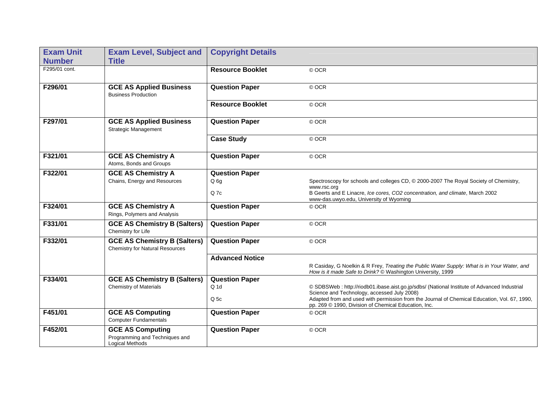| <b>Exam Unit</b><br><b>Number</b> | <b>Exam Level, Subject and</b><br><b>Title</b>                                      | <b>Copyright Details</b> |                                                                                                                                                            |
|-----------------------------------|-------------------------------------------------------------------------------------|--------------------------|------------------------------------------------------------------------------------------------------------------------------------------------------------|
| F295/01 cont.                     |                                                                                     | <b>Resource Booklet</b>  | © OCR                                                                                                                                                      |
| F296/01                           | <b>GCE AS Applied Business</b><br><b>Business Production</b>                        | <b>Question Paper</b>    | © OCR                                                                                                                                                      |
|                                   |                                                                                     | <b>Resource Booklet</b>  | © OCR                                                                                                                                                      |
| F297/01                           | <b>GCE AS Applied Business</b><br><b>Strategic Management</b>                       | <b>Question Paper</b>    | © OCR                                                                                                                                                      |
|                                   |                                                                                     | <b>Case Study</b>        | © OCR                                                                                                                                                      |
| F321/01                           | <b>GCE AS Chemistry A</b><br>Atoms, Bonds and Groups                                | <b>Question Paper</b>    | © OCR                                                                                                                                                      |
| F322/01                           | <b>GCE AS Chemistry A</b>                                                           | <b>Question Paper</b>    |                                                                                                                                                            |
|                                   | Chains, Energy and Resources                                                        | Q <sub>6g</sub>          | Spectroscopy for schools and colleges CD, @ 2000-2007 The Royal Society of Chemistry,                                                                      |
|                                   |                                                                                     | Q 7c                     | www.rsc.org<br>B Geerts and E Linacre, Ice cores, CO2 concentration, and climate, March 2002<br>www-das.uwyo.edu, University of Wyoming                    |
| F324/01                           | <b>GCE AS Chemistry A</b><br>Rings, Polymers and Analysis                           | <b>Question Paper</b>    | © OCR                                                                                                                                                      |
| F331/01                           | <b>GCE AS Chemistry B (Salters)</b><br>Chemistry for Life                           | <b>Question Paper</b>    | © OCR                                                                                                                                                      |
| F332/01                           | <b>GCE AS Chemistry B (Salters)</b><br><b>Chemistry for Natural Resources</b>       | <b>Question Paper</b>    | © OCR                                                                                                                                                      |
|                                   |                                                                                     | <b>Advanced Notice</b>   |                                                                                                                                                            |
|                                   |                                                                                     |                          | R Casiday, G Noelkin & R Frey, Treating the Public Water Supply: What is in Your Water, and<br>How is it made Safe to Drink? © Washington University, 1999 |
| F334/01                           | <b>GCE AS Chemistry B (Salters)</b>                                                 | <b>Question Paper</b>    |                                                                                                                                                            |
|                                   | <b>Chemistry of Materials</b>                                                       | $Q$ 1d                   | © SDBSWeb : http://riodb01.ibase.aist.go.jp/sdbs/ (National Institute of Advanced Industrial<br>Science and Technology, accessed July 2008)                |
|                                   |                                                                                     | Q 5c                     | Adapted from and used with permission from the Journal of Chemical Education, Vol. 67, 1990,<br>pp. 269 © 1990, Division of Chemical Education, Inc.       |
| F451/01                           | <b>GCE AS Computing</b><br><b>Computer Fundamentals</b>                             | <b>Question Paper</b>    | © OCR                                                                                                                                                      |
| F452/01                           | <b>GCE AS Computing</b><br>Programming and Techniques and<br><b>Logical Methods</b> | <b>Question Paper</b>    | © OCR                                                                                                                                                      |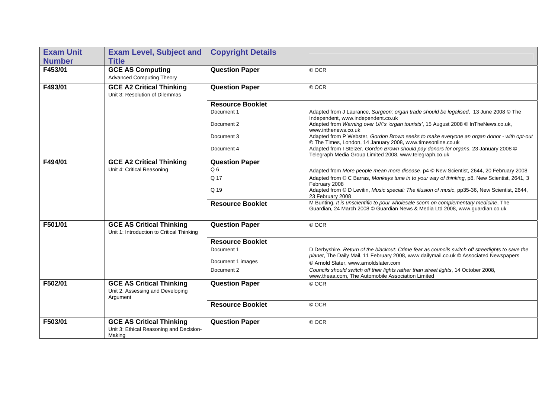| <b>Exam Unit</b> | <b>Exam Level, Subject and</b>                                                       | <b>Copyright Details</b> |                                                                                                                                                                                           |
|------------------|--------------------------------------------------------------------------------------|--------------------------|-------------------------------------------------------------------------------------------------------------------------------------------------------------------------------------------|
| <b>Number</b>    | <b>Title</b>                                                                         |                          |                                                                                                                                                                                           |
| F453/01          | <b>GCE AS Computing</b><br><b>Advanced Computing Theory</b>                          | <b>Question Paper</b>    | © OCR                                                                                                                                                                                     |
| F493/01          | <b>GCE A2 Critical Thinking</b><br>Unit 3: Resolution of Dilemmas                    | <b>Question Paper</b>    | © OCR                                                                                                                                                                                     |
|                  |                                                                                      | <b>Resource Booklet</b>  |                                                                                                                                                                                           |
|                  |                                                                                      | Document 1               | Adapted from J Laurance, Surgeon: organ trade should be legalised, 13 June 2008 © The<br>Independent, www.independent.co.uk                                                               |
|                  |                                                                                      | Document 2               | Adapted from Warning over UK's 'organ tourists', 15 August 2008 © InTheNews.co.uk,<br>www.inthenews.co.uk                                                                                 |
|                  |                                                                                      | Document 3               | Adapted from P Webster, Gordon Brown seeks to make everyone an organ donor - with opt-out<br>© The Times, London, 14 January 2008, www.timesonline.co.uk                                  |
|                  |                                                                                      | Document 4               | Adapted from I Stelzer, Gordon Brown should pay donors for organs, 23 January 2008 ©<br>Telegraph Media Group Limited 2008, www.telegraph.co.uk                                           |
| F494/01          | <b>GCE A2 Critical Thinking</b>                                                      | <b>Question Paper</b>    |                                                                                                                                                                                           |
|                  | Unit 4: Critical Reasoning                                                           | Q <sub>6</sub>           | Adapted from More people mean more disease, p4 © New Scientist, 2644, 20 February 2008                                                                                                    |
|                  |                                                                                      | Q 17                     | Adapted from © C Barras, Monkeys tune in to your way of thinking, p8, New Scientist, 2641, 3<br>February 2008                                                                             |
|                  |                                                                                      | Q 19                     | Adapted from © D Levitin, Music special: The illusion of music, pp35-36, New Scientist, 2644,<br>23 February 2008                                                                         |
|                  |                                                                                      | <b>Resource Booklet</b>  | M Bunting, It is unscientific to pour wholesale scorn on complementary medicine, The<br>Guardian, 24 March 2008 @ Guardian News & Media Ltd 2008, www.guardian.co.uk                      |
| F501/01          | <b>GCE AS Critical Thinking</b><br>Unit 1: Introduction to Critical Thinking         | <b>Question Paper</b>    | © OCR                                                                                                                                                                                     |
|                  |                                                                                      | <b>Resource Booklet</b>  |                                                                                                                                                                                           |
|                  |                                                                                      | Document 1               | D Derbyshire, Return of the blackout: Crime fear as councils switch off streetlights to save the<br>planet, The Daily Mail, 11 February 2008, www.dailymail.co.uk © Associated Newspapers |
|                  |                                                                                      | Document 1 images        | © Arnold Slater, www.arnoldslater.com                                                                                                                                                     |
|                  |                                                                                      | Document 2               | Councils should switch off their lights rather than street lights, 14 October 2008,<br>www.theaa.com, The Automobile Association Limited                                                  |
| F502/01          | <b>GCE AS Critical Thinking</b><br>Unit 2: Assessing and Developing<br>Argument      | <b>Question Paper</b>    | © OCR                                                                                                                                                                                     |
|                  |                                                                                      | <b>Resource Booklet</b>  | © OCR                                                                                                                                                                                     |
| F503/01          | <b>GCE AS Critical Thinking</b><br>Unit 3: Ethical Reasoning and Decision-<br>Making | <b>Question Paper</b>    | © OCR                                                                                                                                                                                     |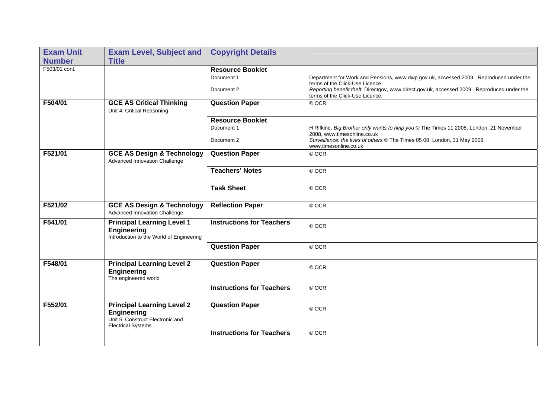| <b>Exam Unit</b> | <b>Exam Level, Subject and</b>                                                                                           | <b>Copyright Details</b>         |                                                                                                                               |
|------------------|--------------------------------------------------------------------------------------------------------------------------|----------------------------------|-------------------------------------------------------------------------------------------------------------------------------|
| <b>Number</b>    | <b>Title</b>                                                                                                             |                                  |                                                                                                                               |
| F503/01 cont.    |                                                                                                                          | <b>Resource Booklet</b>          |                                                                                                                               |
|                  |                                                                                                                          | Document 1                       | Department for Work and Pensions, www.dwp.gov.uk, accessed 2009. Reproduced under the<br>terms of the Click-Use Licence.      |
|                  |                                                                                                                          | Document 2                       | Reporting benefit theft, Directgov, www.direct.gov.uk, accessed 2009. Reproduced under the<br>terms of the Click-Use Licence. |
| F504/01          | <b>GCE AS Critical Thinking</b><br>Unit 4: Critical Reasoning                                                            | <b>Question Paper</b>            | © OCR                                                                                                                         |
|                  |                                                                                                                          | <b>Resource Booklet</b>          |                                                                                                                               |
|                  |                                                                                                                          | Document 1                       | H Rifkind, Big Brother only wants to help you © The Times 11 2008, London, 21 November<br>2008, www.timesonline.co.uk         |
|                  |                                                                                                                          | Document 2                       | Surveillance: the lives of others © The Times 05 08, London, 31 May 2008,<br>www.timesonline.co.uk                            |
| F521/01          | <b>GCE AS Design &amp; Technology</b><br>Advanced Innovation Challenge                                                   | <b>Question Paper</b>            | © OCR                                                                                                                         |
|                  |                                                                                                                          | <b>Teachers' Notes</b>           | © OCR                                                                                                                         |
|                  |                                                                                                                          | <b>Task Sheet</b>                | © OCR                                                                                                                         |
| F521/02          | <b>GCE AS Design &amp; Technology</b><br>Advanced Innovation Challenge                                                   | <b>Reflection Paper</b>          | © OCR                                                                                                                         |
| F541/01          | <b>Principal Learning Level 1</b><br><b>Engineering</b><br>Introduction to the World of Engineering                      | <b>Instructions for Teachers</b> | © OCR                                                                                                                         |
|                  |                                                                                                                          | <b>Question Paper</b>            | © OCR                                                                                                                         |
| F548/01          | <b>Principal Learning Level 2</b><br><b>Engineering</b><br>The engineered world                                          | <b>Question Paper</b>            | © OCR                                                                                                                         |
|                  |                                                                                                                          | <b>Instructions for Teachers</b> | © OCR                                                                                                                         |
| F552/01          | <b>Principal Learning Level 2</b><br><b>Engineering</b><br>Unit 5: Construct Electronic and<br><b>Electrical Systems</b> | <b>Question Paper</b>            | © OCR                                                                                                                         |
|                  |                                                                                                                          | <b>Instructions for Teachers</b> | © OCR                                                                                                                         |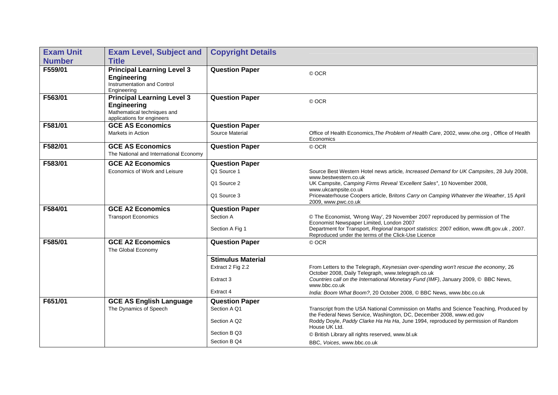| <b>Exam Unit</b> | <b>Exam Level, Subject and</b>                                                                                       | <b>Copyright Details</b>     |                                                                                                                                                                                                                                                                                   |
|------------------|----------------------------------------------------------------------------------------------------------------------|------------------------------|-----------------------------------------------------------------------------------------------------------------------------------------------------------------------------------------------------------------------------------------------------------------------------------|
| <b>Number</b>    | <b>Title</b>                                                                                                         |                              |                                                                                                                                                                                                                                                                                   |
| F559/01          | <b>Principal Learning Level 3</b><br><b>Engineering</b><br>Instrumentation and Control<br>Engineering                | <b>Question Paper</b>        | © OCR                                                                                                                                                                                                                                                                             |
| F563/01          | <b>Principal Learning Level 3</b><br><b>Engineering</b><br>Mathematical techniques and<br>applications for engineers | <b>Question Paper</b>        | © OCR                                                                                                                                                                                                                                                                             |
| F581/01          | <b>GCE AS Economics</b>                                                                                              | <b>Question Paper</b>        |                                                                                                                                                                                                                                                                                   |
|                  | Markets in Action                                                                                                    | Source Material              | Office of Health Economics, The Problem of Health Care, 2002, www.ohe.org, Office of Health<br>Economics                                                                                                                                                                          |
| F582/01          | <b>GCE AS Economics</b><br>The National and International Economy                                                    | <b>Question Paper</b>        | © OCR                                                                                                                                                                                                                                                                             |
| F583/01          | <b>GCE A2 Economics</b>                                                                                              | <b>Question Paper</b>        |                                                                                                                                                                                                                                                                                   |
|                  | Economics of Work and Leisure                                                                                        | Q1 Source 1                  | Source Best Western Hotel news article, Increased Demand for UK Campsites, 28 July 2008,<br>www.bestwestern.co.uk                                                                                                                                                                 |
|                  |                                                                                                                      | Q1 Source 2                  | UK Campsite, Camping Firms Reveal 'Excellent Sales', 10 November 2008,<br>www.ukcampsite.co.uk                                                                                                                                                                                    |
|                  |                                                                                                                      | Q1 Source 3                  | Pricewaterhouse Coopers article, Britons Carry on Camping Whatever the Weather, 15 April<br>2009, www.pwc.co.uk                                                                                                                                                                   |
| F584/01          | <b>GCE A2 Economics</b>                                                                                              | <b>Question Paper</b>        |                                                                                                                                                                                                                                                                                   |
|                  | <b>Transport Economics</b>                                                                                           | Section A<br>Section A Fig 1 | © The Economist, 'Wrong Way', 29 November 2007 reproduced by permission of The<br>Economist Newspaper Limited, London 2007<br>Department for Transport, Regional transport statistics: 2007 edition, www.dft.gov.uk, 2007.<br>Reproduced under the terms of the Click-Use Licence |
| F585/01          | <b>GCE A2 Economics</b><br>The Global Economy                                                                        | <b>Question Paper</b>        | © OCR                                                                                                                                                                                                                                                                             |
|                  |                                                                                                                      | <b>Stimulus Material</b>     |                                                                                                                                                                                                                                                                                   |
|                  |                                                                                                                      | Extract 2 Fig 2.2            | From Letters to the Telegraph, Keynesian over-spending won't rescue the economy, 26<br>October 2008, Daily Telegraph, www.telegraph.co.uk                                                                                                                                         |
|                  |                                                                                                                      | Extract 3                    | Countries call on the International Monetary Fund (IMF), January 2009, C BBC News,<br>www.bbc.co.uk                                                                                                                                                                               |
|                  |                                                                                                                      | Extract 4                    | India: Boom What Boom?, 20 October 2008, © BBC News, www.bbc.co.uk                                                                                                                                                                                                                |
| F651/01          | <b>GCE AS English Language</b>                                                                                       | <b>Question Paper</b>        |                                                                                                                                                                                                                                                                                   |
|                  | The Dynamics of Speech                                                                                               | Section A Q1                 | Transcript from the USA National Commission on Maths and Science Teaching, Produced by<br>the Federal News Service, Washington, DC, December 2008, www.ed.gov                                                                                                                     |
|                  |                                                                                                                      | Section A Q2                 | Roddy Doyle, Paddy Clarke Ha Ha Ha, June 1994, reproduced by permission of Random<br>House UK Ltd.                                                                                                                                                                                |
|                  |                                                                                                                      | Section B Q3                 | © British Library all rights reserved, www.bl.uk                                                                                                                                                                                                                                  |
|                  |                                                                                                                      | Section B Q4                 | BBC. Voices. www.bbc.co.uk                                                                                                                                                                                                                                                        |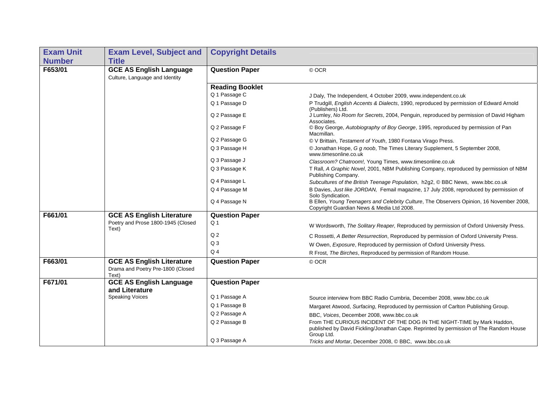| <b>Exam Unit</b> | <b>Exam Level, Subject and</b>                                                 | <b>Copyright Details</b> |                                                                                                                                                                                |
|------------------|--------------------------------------------------------------------------------|--------------------------|--------------------------------------------------------------------------------------------------------------------------------------------------------------------------------|
| <b>Number</b>    | <b>Title</b>                                                                   |                          |                                                                                                                                                                                |
| F653/01          | <b>GCE AS English Language</b>                                                 | <b>Question Paper</b>    | © OCR                                                                                                                                                                          |
|                  | Culture, Language and Identity                                                 |                          |                                                                                                                                                                                |
|                  |                                                                                | <b>Reading Booklet</b>   |                                                                                                                                                                                |
|                  |                                                                                | Q 1 Passage C            | J Daly, The Independent, 4 October 2009, www.independent.co.uk                                                                                                                 |
|                  |                                                                                | Q 1 Passage D            | P Trudgill, <i>English Accents &amp; Dialects</i> , 1990, reproduced by permission of Edward Arnold<br>(Publishers) Ltd.                                                       |
|                  |                                                                                | Q 2 Passage E            | J Lumley, No Room for Secrets, 2004, Penguin, reproduced by permission of David Higham<br>Associates.                                                                          |
|                  |                                                                                | Q 2 Passage F            | © Boy George, Autobiography of Boy George, 1995, reproduced by permission of Pan<br>Macmillan.                                                                                 |
|                  |                                                                                | Q 2 Passage G            | © V Brittain, Testament of Youth, 1980 Fontana Virago Press.                                                                                                                   |
|                  |                                                                                | Q 3 Passage H            | © Jonathan Hope, G g noob, The Times Literary Supplement, 5 September 2008,<br>www.timesonline.co.uk                                                                           |
|                  |                                                                                | Q 3 Passage J            | Classroom? Chatroom!, Young Times, www.timesonline.co.uk                                                                                                                       |
|                  |                                                                                | Q 3 Passage K            | T Rall, A Graphic Novel, 2001, NBM Publishing Company, reproduced by permission of NBM<br>Publishing Company.                                                                  |
|                  |                                                                                | Q 4 Passage L            | Subcultures of the British Teenage Population, h2g2, © BBC News, www.bbc.co.uk                                                                                                 |
|                  |                                                                                | Q 4 Passage M            | B Davies, Just like JORDAN, Femail magazine, 17 July 2008, reproduced by permission of<br>Solo Syndication.                                                                    |
|                  |                                                                                | Q 4 Passage N            | B Ellen, Young Teenagers and Celebrity Culture, The Observers Opinion, 16 November 2008,<br>Copyright Guardian News & Media Ltd 2008.                                          |
| F661/01          | <b>GCE AS English Literature</b>                                               | <b>Question Paper</b>    |                                                                                                                                                                                |
|                  | Poetry and Prose 1800-1945 (Closed<br>Text)                                    | Q <sub>1</sub>           | W Wordsworth, The Solitary Reaper, Reproduced by permission of Oxford University Press.                                                                                        |
|                  |                                                                                | Q <sub>2</sub>           | C Rossetti, A Better Resurrection, Reproduced by permission of Oxford University Press.                                                                                        |
|                  |                                                                                | Q <sub>3</sub>           | W Owen, Exposure, Reproduced by permission of Oxford University Press.                                                                                                         |
|                  |                                                                                | Q <sub>4</sub>           | R Frost, The Birches, Reproduced by permission of Random House.                                                                                                                |
| F663/01          | <b>GCE AS English Literature</b><br>Drama and Poetry Pre-1800 (Closed<br>Text) | <b>Question Paper</b>    | © OCR                                                                                                                                                                          |
| F671/01          | <b>GCE AS English Language</b><br>and Literature                               | <b>Question Paper</b>    |                                                                                                                                                                                |
|                  | <b>Speaking Voices</b>                                                         | Q 1 Passage A            | Source interview from BBC Radio Cumbria, December 2008, www.bbc.co.uk                                                                                                          |
|                  |                                                                                | Q 1 Passage B            | Margaret Atwood, Surfacing, Reproduced by permission of Carlton Publishing Group.                                                                                              |
|                  |                                                                                | Q 2 Passage A            | BBC, Voices, December 2008, www.bbc.co.uk                                                                                                                                      |
|                  |                                                                                | Q 2 Passage B            | From THE CURIOUS INCIDENT OF THE DOG IN THE NIGHT-TIME by Mark Haddon,<br>published by David Fickling/Jonathan Cape. Reprinted by permission of The Random House<br>Group Ltd. |
|                  |                                                                                | Q 3 Passage A            | Tricks and Mortar, December 2008, © BBC, www.bbc.co.uk                                                                                                                         |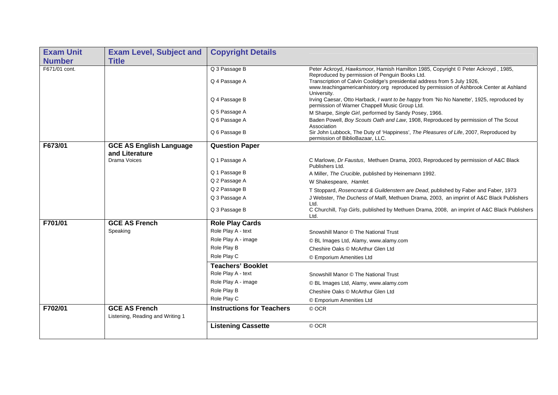| <b>Exam Unit</b> | <b>Exam Level, Subject and</b>                           | <b>Copyright Details</b>         |                                                                                                                                                                                                                                                                                                           |
|------------------|----------------------------------------------------------|----------------------------------|-----------------------------------------------------------------------------------------------------------------------------------------------------------------------------------------------------------------------------------------------------------------------------------------------------------|
| <b>Number</b>    | <b>Title</b>                                             |                                  |                                                                                                                                                                                                                                                                                                           |
| F671/01 cont.    |                                                          | Q 3 Passage B<br>Q 4 Passage A   | Peter Ackroyd, Hawksmoor, Hamish Hamilton 1985, Copyright © Peter Ackroyd, 1985,<br>Reproduced by permission of Penguin Books Ltd.<br>Transcription of Calvin Coolidge's presidential address from 5 July 1926,<br>www.teachingamericanhistory.org reproduced by permission of Ashbrook Center at Ashland |
|                  |                                                          | Q 4 Passage B                    | University.<br>Irving Caesar, Otto Harback, I want to be happy from 'No No Nanette', 1925, reproduced by<br>permission of Warner Chappell Music Group Ltd.                                                                                                                                                |
|                  |                                                          | Q 5 Passage A                    | M Sharpe, Single Girl, performed by Sandy Posey, 1966.                                                                                                                                                                                                                                                    |
|                  |                                                          | Q 6 Passage A                    | Baden Powell, Boy Scouts Oath and Law, 1908, Reproduced by permission of The Scout<br>Association                                                                                                                                                                                                         |
|                  |                                                          | Q 6 Passage B                    | Sir John Lubbock, The Duty of 'Happiness', The Pleasures of Life, 2007, Reproduced by<br>permission of BiblioBazaar, LLC.                                                                                                                                                                                 |
| F673/01          | <b>GCE AS English Language</b><br>and Literature         | <b>Question Paper</b>            |                                                                                                                                                                                                                                                                                                           |
|                  | <b>Drama Voices</b>                                      | Q 1 Passage A                    | C Marlowe, Dr Faustus, Methuen Drama, 2003, Reproduced by permission of A&C Black<br>Publishers Ltd.                                                                                                                                                                                                      |
|                  |                                                          | Q 1 Passage B                    | A Miller, The Crucible, published by Heinemann 1992.                                                                                                                                                                                                                                                      |
|                  |                                                          | Q 2 Passage A                    | W Shakespeare, Hamlet.                                                                                                                                                                                                                                                                                    |
|                  |                                                          | Q 2 Passage B                    | T Stoppard, Rosencrantz & Guildenstern are Dead, published by Faber and Faber, 1973                                                                                                                                                                                                                       |
|                  |                                                          | Q 3 Passage A                    | J Webster, The Duchess of Malfi, Methuen Drama, 2003, an imprint of A&C Black Publishers<br>Ltd.                                                                                                                                                                                                          |
|                  |                                                          | Q 3 Passage B                    | C Churchill, Top Girls, published by Methuen Drama, 2008, an imprint of A&C Black Publishers<br>Ltd.                                                                                                                                                                                                      |
| F701/01          | <b>GCE AS French</b>                                     | <b>Role Play Cards</b>           |                                                                                                                                                                                                                                                                                                           |
|                  | Speaking                                                 | Role Play A - text               | Snowshill Manor © The National Trust                                                                                                                                                                                                                                                                      |
|                  |                                                          | Role Play A - image              | © BL Images Ltd, Alamy, www.alamy.com                                                                                                                                                                                                                                                                     |
|                  |                                                          | Role Play B                      | Cheshire Oaks © McArthur Glen Ltd                                                                                                                                                                                                                                                                         |
|                  |                                                          | Role Play C                      | © Emporium Amenities Ltd                                                                                                                                                                                                                                                                                  |
|                  |                                                          | <b>Teachers' Booklet</b>         |                                                                                                                                                                                                                                                                                                           |
|                  |                                                          | Role Play A - text               | Snowshill Manor © The National Trust                                                                                                                                                                                                                                                                      |
|                  |                                                          | Role Play A - image              | © BL Images Ltd, Alamy, www.alamy.com                                                                                                                                                                                                                                                                     |
|                  |                                                          | Role Play B                      | Cheshire Oaks © McArthur Glen Ltd                                                                                                                                                                                                                                                                         |
|                  |                                                          | Role Play C                      | © Emporium Amenities Ltd                                                                                                                                                                                                                                                                                  |
| F702/01          | <b>GCE AS French</b><br>Listening, Reading and Writing 1 | <b>Instructions for Teachers</b> | © OCR                                                                                                                                                                                                                                                                                                     |
|                  |                                                          | <b>Listening Cassette</b>        | © OCR                                                                                                                                                                                                                                                                                                     |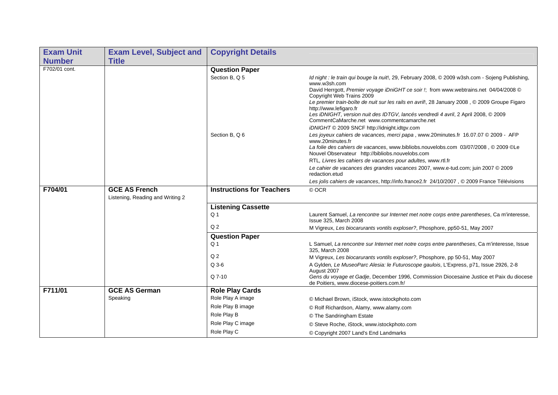| <b>Exam Unit</b> | <b>Exam Level, Subject and</b>                           | <b>Copyright Details</b>         |                                                                                                                                         |
|------------------|----------------------------------------------------------|----------------------------------|-----------------------------------------------------------------------------------------------------------------------------------------|
| <b>Number</b>    | <b>Title</b>                                             |                                  |                                                                                                                                         |
| F702/01 cont.    |                                                          | <b>Question Paper</b>            |                                                                                                                                         |
|                  |                                                          | Section B. Q 5                   | Id night : le train qui bouge la nuit!, 29, February 2008, © 2009 w3sh.com - Sojeng Publishing,<br>www.w3sh.com                         |
|                  |                                                          |                                  | David Herrgott, Premier voyage iDniGHT ce soir !; from www.webtrains.net 04/04/2008 ©<br>Copyright Web Trains 2009                      |
|                  |                                                          |                                  | Le premier train-boîte de nuit sur les rails en avril!, 28 January 2008, © 2009 Groupe Figaro<br>http://www.lefigaro.fr                 |
|                  |                                                          |                                  | Les iDNIGHT, version nuit des IDTGV, lancés vendredi 4 avril, 2 April 2008, © 2009<br>CommentCaMarche.net www.commentcamarche.net       |
|                  |                                                          |                                  | iDNIGHT © 2009 SNCF http://idnight.idtgv.com                                                                                            |
|                  |                                                          | Section B, Q 6                   | Les joyeux cahiers de vacances, merci papa, www.20minutes.fr 16.07.07 © 2009 - AFP<br>www.20minutes.fr                                  |
|                  |                                                          |                                  | La folie des cahiers de vacances, www.bibliobs.nouvelobs.com 03/07/2008, © 2009 ©Le<br>Nouvel Observateur http://bibliobs.nouvelobs.com |
|                  |                                                          |                                  | RTL, Livres les cahiers de vacances pour adultes, www.rtl.fr                                                                            |
|                  |                                                          |                                  | Le cahier de vacances des grandes vacances 2007, www.e-tud.com; juin 2007 © 2009<br>redaction.etud                                      |
|                  |                                                          |                                  | Les jolis cahiers de vacances, http://info.france2.fr 24/10/2007, © 2009 France Télévisions                                             |
| F704/01          | <b>GCE AS French</b><br>Listening, Reading and Writing 2 | <b>Instructions for Teachers</b> | © OCR                                                                                                                                   |
|                  |                                                          | <b>Listening Cassette</b>        |                                                                                                                                         |
|                  |                                                          | Q <sub>1</sub>                   | Laurent Samuel, La rencontre sur Internet met notre corps entre parentheses, Ca m'interesse,<br>Issue 325, March 2008                   |
|                  |                                                          | Q <sub>2</sub>                   | M Vigreux, Les biocarurants vontils exploser?, Phosphore, pp50-51, May 2007                                                             |
|                  |                                                          | <b>Question Paper</b>            |                                                                                                                                         |
|                  |                                                          | Q <sub>1</sub>                   | L Samuel, La rencontre sur Internet met notre corps entre parentheses, Ca m'interesse, Issue<br>325. March 2008                         |
|                  |                                                          | Q <sub>2</sub>                   | M Vigreux, Les biocarurants vontils exploser?, Phosphore, pp 50-51, May 2007                                                            |
|                  |                                                          | $Q$ 3-6                          | A Gylden, Le MuseoParc Alesia: le Futuroscope gaulois, L'Express, p71, Issue 2926, 2-8<br>August 2007                                   |
|                  |                                                          | Q 7-10                           | Gens du voyage et Gadje, December 1996, Commission Diocesaine Justice et Paix du diocese<br>de Poitiers, www.diocese-poitiers.com.fr/   |
| F711/01          | <b>GCE AS German</b>                                     | <b>Role Play Cards</b>           |                                                                                                                                         |
|                  | Speaking                                                 | Role Play A image                | © Michael Brown, iStock, www.istockphoto.com                                                                                            |
|                  |                                                          | Role Play B image                | © Rolf Richardson, Alamy, www.alamy.com                                                                                                 |
|                  |                                                          | Role Play B                      | © The Sandringham Estate                                                                                                                |
|                  |                                                          | Role Play C image                | © Steve Roche, iStock, www.istockphoto.com                                                                                              |
|                  |                                                          | Role Play C                      | © Copyright 2007 Land's End Landmarks                                                                                                   |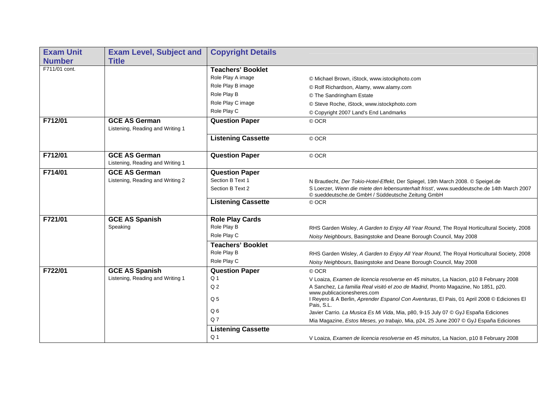| <b>Exam Unit</b><br><b>Number</b> | <b>Exam Level, Subject and</b><br><b>Title</b>           | <b>Copyright Details</b>  |                                                                                                                                                 |
|-----------------------------------|----------------------------------------------------------|---------------------------|-------------------------------------------------------------------------------------------------------------------------------------------------|
| F711/01 cont.                     |                                                          | <b>Teachers' Booklet</b>  |                                                                                                                                                 |
|                                   |                                                          | Role Play A image         | © Michael Brown, iStock, www.istockphoto.com                                                                                                    |
|                                   |                                                          | Role Play B image         | © Rolf Richardson, Alamy, www.alamy.com                                                                                                         |
|                                   |                                                          | Role Play B               | © The Sandringham Estate                                                                                                                        |
|                                   |                                                          | Role Play C image         | © Steve Roche, iStock, www.istockphoto.com                                                                                                      |
|                                   |                                                          | Role Play C               | © Copyright 2007 Land's End Landmarks                                                                                                           |
| F712/01                           | <b>GCE AS German</b><br>Listening, Reading and Writing 1 | <b>Question Paper</b>     | © OCR                                                                                                                                           |
|                                   |                                                          | <b>Listening Cassette</b> | © OCR                                                                                                                                           |
| F712/01                           | <b>GCE AS German</b><br>Listening, Reading and Writing 1 | <b>Question Paper</b>     | © OCR                                                                                                                                           |
| F714/01                           | <b>GCE AS German</b>                                     | <b>Question Paper</b>     |                                                                                                                                                 |
|                                   | Listening, Reading and Writing 2                         | Section B Text 1          | N Brautlecht, Der Tokio-Hotel-Effekt, Der Spiegel, 19th March 2008. © Speigel.de                                                                |
|                                   |                                                          | Section B Text 2          | S Loerzer, Wenn die miete den lebensunterhalt frisst', www.sueddeutsche.de 14th March 2007<br>© sueddeutsche.de GmbH / Süddeutsche Zeitung GmbH |
|                                   |                                                          | <b>Listening Cassette</b> | © OCR                                                                                                                                           |
| F721/01                           | <b>GCE AS Spanish</b>                                    | <b>Role Play Cards</b>    |                                                                                                                                                 |
|                                   | Speaking                                                 | Role Play B               | RHS Garden Wisley, A Garden to Enjoy All Year Round, The Royal Horticultural Society, 2008                                                      |
|                                   |                                                          | Role Play C               | Noisy Neighbours, Basingstoke and Deane Borough Council, May 2008                                                                               |
|                                   |                                                          | <b>Teachers' Booklet</b>  |                                                                                                                                                 |
|                                   |                                                          | Role Play B               | RHS Garden Wisley, A Garden to Enjoy All Year Round, The Royal Horticultural Society, 2008                                                      |
|                                   |                                                          | Role Play C               | Noisy Neighbours, Basingstoke and Deane Borough Council, May 2008                                                                               |
| F722/01                           | <b>GCE AS Spanish</b>                                    | <b>Question Paper</b>     | © OCR                                                                                                                                           |
|                                   | Listening, Reading and Writing 1                         | Q <sub>1</sub>            | V Loaiza, Examen de licencia resolverse en 45 minutos, La Nacion, p10 8 February 2008                                                           |
|                                   |                                                          | Q <sub>2</sub>            | A Sanchez, La familia Real visitó el zoo de Madrid, Pronto Magazine, No 1851, p20.                                                              |
|                                   |                                                          | Q <sub>5</sub>            | www.publicacionesheres.com<br>I Reyero & A Berlin, Aprender Espanol Con Aventuras, El Pais, 01 April 2008 © Ediciones El<br>Pais, S.L.          |
|                                   |                                                          | Q <sub>6</sub>            | Javier Carrio. La Musica Es Mi Vida, Mia, p80, 9-15 July 07 © GyJ España Ediciones                                                              |
|                                   |                                                          | Q <sub>7</sub>            | Mia Magazine, Estos Meses, yo trabajo, Mia, p24, 25 June 2007 © GyJ España Ediciones                                                            |
|                                   |                                                          | <b>Listening Cassette</b> |                                                                                                                                                 |
|                                   |                                                          | Q <sub>1</sub>            | V Loaiza, Examen de licencia resolverse en 45 minutos, La Nacion, p10 8 February 2008                                                           |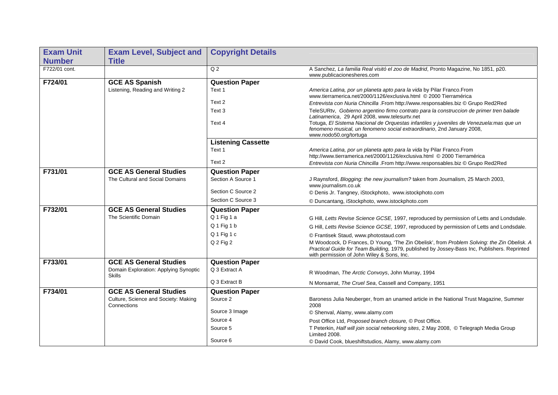| <b>Exam Unit</b> | <b>Exam Level, Subject and</b>                         | <b>Copyright Details</b>  |                                                                                                                                                                                                                                           |
|------------------|--------------------------------------------------------|---------------------------|-------------------------------------------------------------------------------------------------------------------------------------------------------------------------------------------------------------------------------------------|
| <b>Number</b>    | <b>Title</b>                                           |                           |                                                                                                                                                                                                                                           |
| F722/01 cont.    |                                                        | Q <sub>2</sub>            | A Sanchez, La familia Real visitó el zoo de Madrid, Pronto Magazine, No 1851, p20.<br>www.publicacionesheres.com                                                                                                                          |
| F724/01          | <b>GCE AS Spanish</b>                                  | <b>Question Paper</b>     |                                                                                                                                                                                                                                           |
|                  | Listening, Reading and Writing 2                       | Text 1                    | America Latina, por un planeta apto para la vida by Pilar Franco. From<br>www.tierramerica.net/2000/1126/exclusiva.html © 2000 Tierramérica                                                                                               |
|                  |                                                        | Text 2                    | Entrevista con Nuria Chincilla .From http://www.responsables.biz © Grupo Red2Red                                                                                                                                                          |
|                  |                                                        | Text 3                    | TeleSURtv, Gobierno argentino firmo contrato para la construccion de primer tren balade<br>Latinamerica, 29 April 2008, www.telesurtv.net                                                                                                 |
|                  |                                                        | Text 4                    | Totuga, El Sistema Nacional de Orquestas infantiles y juveniles de Venezuela: mas que un<br>fenomeno musical, un fenomeno social extraordinario, 2nd January 2008,<br>www.nodo50.org/tortuga                                              |
|                  |                                                        | <b>Listening Cassette</b> |                                                                                                                                                                                                                                           |
|                  |                                                        | Text 1                    | America Latina, por un planeta apto para la vida by Pilar Franco. From<br>http://www.tierramerica.net/2000/1126/exclusiva.html © 2000 Tierramérica                                                                                        |
|                  |                                                        | Text 2                    | Entrevista con Nuria Chincilla .From http://www.responsables.biz @ Grupo Red2Red                                                                                                                                                          |
| F731/01          | <b>GCE AS General Studies</b>                          | <b>Question Paper</b>     |                                                                                                                                                                                                                                           |
|                  | The Cultural and Social Domains                        | Section A Source 1        | J Raynsford, Blogging: the new journalism? taken from Journalism, 25 March 2003,<br>www.journalism.co.uk                                                                                                                                  |
|                  |                                                        | Section C Source 2        | © Denis Jr. Tangney, iStockphoto, www.istockphoto.com                                                                                                                                                                                     |
|                  |                                                        | Section C Source 3        | © Duncantang, iStockphoto, www.istockphoto.com                                                                                                                                                                                            |
| F732/01          | <b>GCE AS General Studies</b>                          | <b>Question Paper</b>     |                                                                                                                                                                                                                                           |
|                  | The Scientific Domain                                  | Q1 Fig 1 a                | G Hill, Letts Revise Science GCSE, 1997, reproduced by permission of Letts and Londsdale.                                                                                                                                                 |
|                  |                                                        | Q 1 Fig 1 b               | G Hill, Letts Revise Science GCSE, 1997, reproduced by permission of Letts and Londsdale.                                                                                                                                                 |
|                  |                                                        | Q1 Fig 1 c                | © Frantisek Staud, www.photostaud.com                                                                                                                                                                                                     |
|                  |                                                        | Q 2 Fig 2                 | M Woodcock, D Frances, D Young, 'The Zin Obelisk', from Problem Solving: the Zin Obelisk. A<br>Practical Guide for Team Building, 1979, published by Jossey-Bass Inc, Publishers. Reprinted<br>with permission of John Wiley & Sons, Inc. |
| F733/01          | <b>GCE AS General Studies</b>                          | <b>Question Paper</b>     |                                                                                                                                                                                                                                           |
|                  | Domain Exploration: Applying Synoptic<br><b>Skills</b> | Q 3 Extract A             | R Woodman, The Arctic Convoys, John Murray, 1994                                                                                                                                                                                          |
|                  |                                                        | Q 3 Extract B             | N Monsarrat, The Cruel Sea, Cassell and Company, 1951                                                                                                                                                                                     |
| F734/01          | <b>GCE AS General Studies</b>                          | <b>Question Paper</b>     |                                                                                                                                                                                                                                           |
|                  | Culture, Science and Society: Making<br>Connections    | Source 2                  | Baroness Julia Neuberger, from an unamed article in the National Trust Magazine, Summer<br>2008                                                                                                                                           |
|                  |                                                        | Source 3 Image            | © Shenval, Alamy, www.alamy.com                                                                                                                                                                                                           |
|                  |                                                        | Source 4                  | Post Office Ltd, Proposed branch closure, © Post Office.                                                                                                                                                                                  |
|                  |                                                        | Source 5                  | T Peterkin, Half will join social networking sites, 2 May 2008, © Telegraph Media Group<br>Limited 2008.                                                                                                                                  |
|                  |                                                        | Source 6                  | © David Cook, blueshiftstudios, Alamy, www.alamy.com                                                                                                                                                                                      |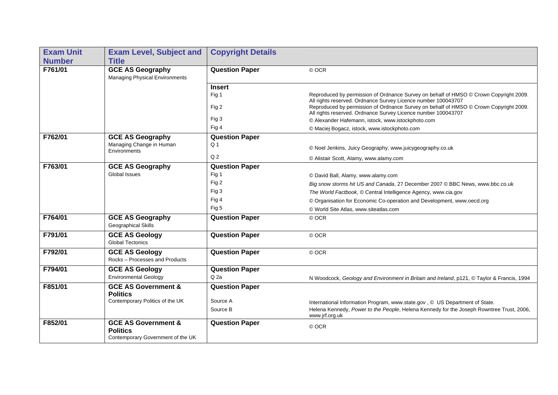| <b>Exam Unit</b> | <b>Exam Level, Subject and</b>                                                         | <b>Copyright Details</b> |                                                                                                                                                        |
|------------------|----------------------------------------------------------------------------------------|--------------------------|--------------------------------------------------------------------------------------------------------------------------------------------------------|
| <b>Number</b>    | <b>Title</b>                                                                           |                          |                                                                                                                                                        |
| F761/01          | <b>GCE AS Geography</b><br><b>Managing Physical Environments</b>                       | <b>Question Paper</b>    | © OCR                                                                                                                                                  |
|                  |                                                                                        | <b>Insert</b>            |                                                                                                                                                        |
|                  |                                                                                        | Fig 1                    | Reproduced by permission of Ordnance Survey on behalf of HMSO © Crown Copyright 2009.<br>All rights reserved. Ordnance Survey Licence number 100043707 |
|                  |                                                                                        | Fig 2                    | Reproduced by permission of Ordnance Survey on behalf of HMSO @ Crown Copyright 2009.<br>All rights reserved. Ordnance Survey Licence number 100043707 |
|                  |                                                                                        | Fig 3                    | © Alexander Hafemann, istock, www.istockphoto.com                                                                                                      |
|                  |                                                                                        | Fig 4                    | © Maciej Bogacz, istock, www.istockphoto.com                                                                                                           |
| F762/01          | <b>GCE AS Geography</b>                                                                | <b>Question Paper</b>    |                                                                                                                                                        |
|                  | Managing Change in Human<br>Environments                                               | Q <sub>1</sub>           | © Noel Jenkins, Juicy Geography, www.juicygeography.co.uk                                                                                              |
|                  |                                                                                        | Q <sub>2</sub>           | © Alistair Scott, Alamy, www.alamy.com                                                                                                                 |
| F763/01          | <b>GCE AS Geography</b>                                                                | <b>Question Paper</b>    |                                                                                                                                                        |
|                  | <b>Global Issues</b>                                                                   | Fig 1                    | © David Ball, Alamy, www.alamy.com                                                                                                                     |
|                  |                                                                                        | Fig 2                    | Big snow storms hit US and Canada, 27 December 2007 © BBC News, www.bbc.co.uk                                                                          |
|                  |                                                                                        | Fig 3                    | The World Factbook, © Central Intelligence Agency, www.cia.gov                                                                                         |
|                  |                                                                                        | Fig 4                    | © Organisation for Economic Co-operation and Development, www.oecd.org                                                                                 |
|                  |                                                                                        | Fig 5                    | © World Site Atlas, www.siteatlas.com                                                                                                                  |
| F764/01          | <b>GCE AS Geography</b><br>Geographical Skills                                         | <b>Question Paper</b>    | © OCR                                                                                                                                                  |
| F791/01          | <b>GCE AS Geology</b><br><b>Global Tectonics</b>                                       | <b>Question Paper</b>    | © OCR                                                                                                                                                  |
| F792/01          | <b>GCE AS Geology</b><br>Rocks - Processes and Products                                | <b>Question Paper</b>    | © OCR                                                                                                                                                  |
| F794/01          | <b>GCE AS Geology</b>                                                                  | <b>Question Paper</b>    |                                                                                                                                                        |
|                  | <b>Environmental Geology</b>                                                           | Q 2a                     | N Woodcock, Geology and Environment in Britain and Ireland, p121, © Taylor & Francis, 1994                                                             |
| F851/01          | <b>GCE AS Government &amp;</b>                                                         | <b>Question Paper</b>    |                                                                                                                                                        |
|                  | <b>Politics</b>                                                                        |                          |                                                                                                                                                        |
|                  | Contemporary Politics of the UK                                                        | Source A                 | International Information Program, www.state.gov, © US Department of State.                                                                            |
|                  |                                                                                        | Source B                 | Helena Kennedy, Power to the People, Helena Kennedy for the Joseph Rowntree Trust, 2006,<br>www.jrf.org.uk                                             |
| F852/01          | <b>GCE AS Government &amp;</b><br><b>Politics</b><br>Contemporary Government of the UK | <b>Question Paper</b>    | © OCR                                                                                                                                                  |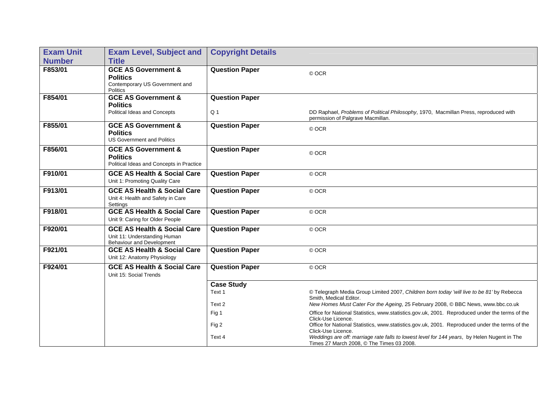| <b>Exam Unit</b> | <b>Exam Level, Subject and</b>                                                                         | <b>Copyright Details</b>                |                                                                                                                                          |
|------------------|--------------------------------------------------------------------------------------------------------|-----------------------------------------|------------------------------------------------------------------------------------------------------------------------------------------|
| <b>Number</b>    | <b>Title</b>                                                                                           |                                         |                                                                                                                                          |
| F853/01          | <b>GCE AS Government &amp;</b><br><b>Politics</b><br>Contemporary US Government and<br><b>Politics</b> | <b>Question Paper</b>                   | © OCR                                                                                                                                    |
| F854/01          | <b>GCE AS Government &amp;</b><br><b>Politics</b><br>Political Ideas and Concepts                      | <b>Question Paper</b><br>Q <sub>1</sub> | DD Raphael, Problems of Political Philosophy, 1970, Macmillan Press, reproduced with<br>permission of Palgrave Macmillan.                |
| F855/01          | <b>GCE AS Government &amp;</b><br><b>Politics</b><br><b>US Government and Politics</b>                 | <b>Question Paper</b>                   | © OCR                                                                                                                                    |
| F856/01          | <b>GCE AS Government &amp;</b><br><b>Politics</b><br>Political Ideas and Concepts in Practice          | <b>Question Paper</b>                   | © OCR                                                                                                                                    |
| F910/01          | <b>GCE AS Health &amp; Social Care</b><br>Unit 1: Promoting Quality Care                               | <b>Question Paper</b>                   | © OCR                                                                                                                                    |
| F913/01          | <b>GCE AS Health &amp; Social Care</b><br>Unit 4: Health and Safety in Care<br>Settings                | <b>Question Paper</b>                   | © OCR                                                                                                                                    |
| F918/01          | <b>GCE AS Health &amp; Social Care</b><br>Unit 9: Caring for Older People                              | <b>Question Paper</b>                   | © OCR                                                                                                                                    |
| F920/01          | <b>GCE AS Health &amp; Social Care</b><br>Unit 11: Understanding Human<br>Behaviour and Development    | <b>Question Paper</b>                   | © OCR                                                                                                                                    |
| F921/01          | <b>GCE AS Health &amp; Social Care</b><br>Unit 12: Anatomy Physiology                                  | <b>Question Paper</b>                   | © OCR                                                                                                                                    |
| F924/01          | <b>GCE AS Health &amp; Social Care</b><br>Unit 15: Social Trends                                       | <b>Question Paper</b>                   | © OCR                                                                                                                                    |
|                  |                                                                                                        | <b>Case Study</b>                       |                                                                                                                                          |
|                  |                                                                                                        | Text 1                                  | © Telegraph Media Group Limited 2007, Children born today 'will live to be 81' by Rebecca<br>Smith, Medical Editor.                      |
|                  |                                                                                                        | Text 2                                  | New Homes Must Cater For the Ageing, 25 February 2008, © BBC News, www.bbc.co.uk                                                         |
|                  |                                                                                                        | Fig 1                                   | Office for National Statistics, www.statistics.gov.uk, 2001. Reproduced under the terms of the<br>Click-Use Licence.                     |
|                  |                                                                                                        | Fig 2                                   | Office for National Statistics, www.statistics.gov.uk, 2001. Reproduced under the terms of the<br>Click-Use Licence.                     |
|                  |                                                                                                        | Text 4                                  | Weddings are off: marriage rate falls to lowest level for 144 years, by Helen Nugent in The<br>Times 27 March 2008, © The Times 03 2008. |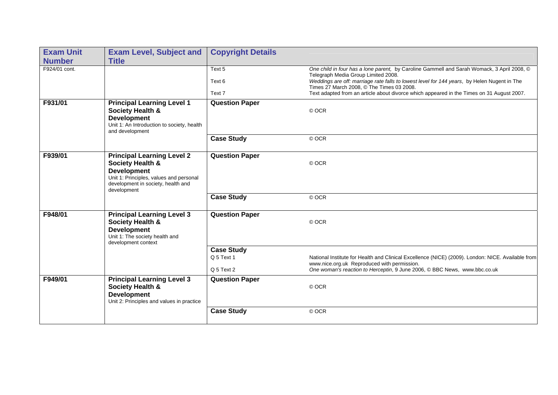| <b>Exam Unit</b> | <b>Exam Level, Subject and</b>                                                                                                                                                         | <b>Copyright Details</b>                      |                                                                                                                                                                                                                                                                                                                                                                            |
|------------------|----------------------------------------------------------------------------------------------------------------------------------------------------------------------------------------|-----------------------------------------------|----------------------------------------------------------------------------------------------------------------------------------------------------------------------------------------------------------------------------------------------------------------------------------------------------------------------------------------------------------------------------|
| <b>Number</b>    | <b>Title</b>                                                                                                                                                                           |                                               |                                                                                                                                                                                                                                                                                                                                                                            |
| F924/01 cont.    |                                                                                                                                                                                        | Text 5<br>Text 6<br>Text 7                    | One child in four has a lone parent, by Caroline Gammell and Sarah Womack, 3 April 2008, ©<br>Telegraph Media Group Limited 2008.<br>Weddings are off: marriage rate falls to lowest level for 144 years, by Helen Nugent in The<br>Times 27 March 2008, © The Times 03 2008.<br>Text adapted from an article about divorce which appeared in the Times on 31 August 2007. |
| F931/01          | <b>Principal Learning Level 1</b><br>Society Health &<br><b>Development</b><br>Unit 1: An Introduction to society, health<br>and development                                           | <b>Question Paper</b>                         | © OCR                                                                                                                                                                                                                                                                                                                                                                      |
|                  |                                                                                                                                                                                        | <b>Case Study</b>                             | © OCR                                                                                                                                                                                                                                                                                                                                                                      |
| F939/01          | <b>Principal Learning Level 2</b><br><b>Society Health &amp;</b><br><b>Development</b><br>Unit 1: Principles, values and personal<br>development in society, health and<br>development | <b>Question Paper</b>                         | © OCR                                                                                                                                                                                                                                                                                                                                                                      |
|                  |                                                                                                                                                                                        | <b>Case Study</b>                             | © OCR                                                                                                                                                                                                                                                                                                                                                                      |
| F948/01          | <b>Principal Learning Level 3</b><br><b>Society Health &amp;</b><br><b>Development</b><br>Unit 1: The society health and<br>development context                                        | <b>Question Paper</b>                         | © OCR                                                                                                                                                                                                                                                                                                                                                                      |
|                  |                                                                                                                                                                                        | <b>Case Study</b><br>Q 5 Text 1<br>Q 5 Text 2 | National Institute for Health and Clinical Excellence (NICE) (2009). London: NICE. Available from<br>www.nice.org.uk Reproduced with permission.<br>One woman's reaction to Herceptin, 9 June 2006, © BBC News, www.bbc.co.uk                                                                                                                                              |
| F949/01          | <b>Principal Learning Level 3</b><br><b>Society Health &amp;</b><br><b>Development</b><br>Unit 2: Principles and values in practice                                                    | <b>Question Paper</b>                         | © OCR                                                                                                                                                                                                                                                                                                                                                                      |
|                  |                                                                                                                                                                                        | <b>Case Study</b>                             | © OCR                                                                                                                                                                                                                                                                                                                                                                      |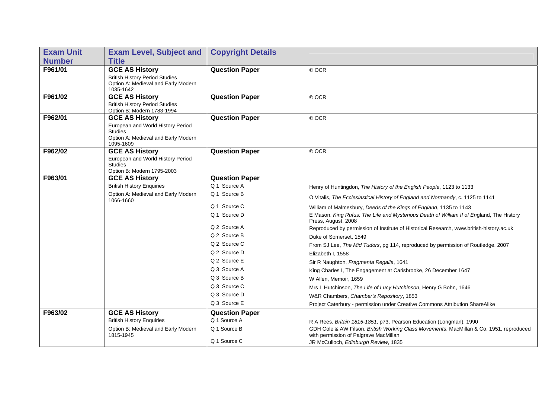| <b>Exam Unit</b> | <b>Exam Level, Subject and</b>                                                                          | <b>Copyright Details</b> |                                                                                                                                  |
|------------------|---------------------------------------------------------------------------------------------------------|--------------------------|----------------------------------------------------------------------------------------------------------------------------------|
| <b>Number</b>    | <b>Title</b>                                                                                            |                          |                                                                                                                                  |
| F961/01          | <b>GCE AS History</b>                                                                                   | <b>Question Paper</b>    | © OCR                                                                                                                            |
|                  | <b>British History Period Studies</b><br>Option A: Medieval and Early Modern<br>1035-1642               |                          |                                                                                                                                  |
| F961/02          | <b>GCE AS History</b>                                                                                   | <b>Question Paper</b>    | © OCR                                                                                                                            |
|                  | <b>British History Period Studies</b><br>Option B: Modern 1783-1994                                     |                          |                                                                                                                                  |
| F962/01          | <b>GCE AS History</b>                                                                                   | <b>Question Paper</b>    | © OCR                                                                                                                            |
|                  | European and World History Period<br><b>Studies</b><br>Option A: Medieval and Early Modern<br>1095-1609 |                          |                                                                                                                                  |
| F962/02          | <b>GCE AS History</b>                                                                                   | <b>Question Paper</b>    | © OCR                                                                                                                            |
|                  | European and World History Period                                                                       |                          |                                                                                                                                  |
|                  | <b>Studies</b><br>Option B: Modern 1795-2003                                                            |                          |                                                                                                                                  |
| F963/01          | <b>GCE AS History</b>                                                                                   | <b>Question Paper</b>    |                                                                                                                                  |
|                  | <b>British History Enquiries</b>                                                                        | Q 1 Source A             | Henry of Huntingdon, The History of the English People, 1123 to 1133                                                             |
|                  | Option A: Medieval and Early Modern<br>1066-1660                                                        | Q 1 Source B             | O Vitalis, The Ecclesiastical History of England and Normandy, c. 1125 to 1141                                                   |
|                  |                                                                                                         | Q 1 Source C             | William of Malmesbury, Deeds of the Kings of England, 1135 to 1143                                                               |
|                  |                                                                                                         | Q 1 Source D             | E Mason, King Rufus: The Life and Mysterious Death of William II of England, The History<br>Press, August, 2008                  |
|                  |                                                                                                         | Q 2 Source A             | Reproduced by permission of Institute of Historical Research, www.british-history.ac.uk                                          |
|                  |                                                                                                         | Q 2 Source B             | Duke of Somerset, 1549                                                                                                           |
|                  |                                                                                                         | Q 2 Source C             | From SJ Lee, The Mid Tudors, pg 114, reproduced by permission of Routledge, 2007                                                 |
|                  |                                                                                                         | Q 2 Source D             | Elizabeth I, 1558                                                                                                                |
|                  |                                                                                                         | Q 2 Source E             | Sir R Naughton, Fragmenta Regalia, 1641                                                                                          |
|                  |                                                                                                         | Q 3 Source A             | King Charles I, The Engagement at Carisbrooke, 26 December 1647                                                                  |
|                  |                                                                                                         | Q 3 Source B             | W Allen, Memoir, 1659                                                                                                            |
|                  |                                                                                                         | Q 3 Source C             | Mrs L Hutchinson, The Life of Lucy Hutchinson, Henry G Bohn, 1646                                                                |
|                  |                                                                                                         | Q 3 Source D             | W&R Chambers, Chamber's Repository, 1853                                                                                         |
|                  |                                                                                                         | Q 3 Source E             | Project Caterbury - permission under Creative Commons Attribution ShareAlike                                                     |
| F963/02          | <b>GCE AS History</b>                                                                                   | <b>Question Paper</b>    |                                                                                                                                  |
|                  | <b>British History Enquiries</b>                                                                        | Q 1 Source A             | R A Rees, Britain 1815-1851, p73, Pearson Education (Longman), 1990                                                              |
|                  | Option B: Medieval and Early Modern<br>1815-1945                                                        | Q 1 Source B             | GDH Cole & AW Filson, British Working Class Movements, MacMillan & Co, 1951, reproduced<br>with permission of Palgrave MacMillan |
|                  |                                                                                                         | Q 1 Source C             | JR McCulloch, Edinburgh Review, 1835                                                                                             |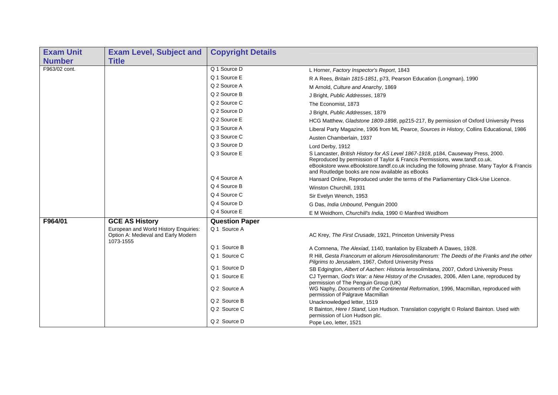| <b>Exam Unit</b> | <b>Exam Level, Subject and</b>                                                            | <b>Copyright Details</b> |                                                                                                                                                                                                                                                                                                                  |
|------------------|-------------------------------------------------------------------------------------------|--------------------------|------------------------------------------------------------------------------------------------------------------------------------------------------------------------------------------------------------------------------------------------------------------------------------------------------------------|
| <b>Number</b>    | <b>Title</b>                                                                              |                          |                                                                                                                                                                                                                                                                                                                  |
| F963/02 cont.    |                                                                                           | Q 1 Source D             | L Horner, Factory Inspector's Report, 1843                                                                                                                                                                                                                                                                       |
|                  |                                                                                           | Q 1 Source E             | R A Rees, Britain 1815-1851, p73, Pearson Education (Longman), 1990                                                                                                                                                                                                                                              |
|                  |                                                                                           | Q 2 Source A             | M Arnold, Culture and Anarchy, 1869                                                                                                                                                                                                                                                                              |
|                  |                                                                                           | Q 2 Source B             | J Bright, Public Addresses, 1879                                                                                                                                                                                                                                                                                 |
|                  |                                                                                           | Q 2 Source C             | The Economist, 1873                                                                                                                                                                                                                                                                                              |
|                  |                                                                                           | Q 2 Source D             | J Bright, Public Addresses, 1879                                                                                                                                                                                                                                                                                 |
|                  |                                                                                           | Q 2 Source E             | HCG Matthew, Gladstone 1809-1898, pp215-217, By permission of Oxford University Press                                                                                                                                                                                                                            |
|                  |                                                                                           | Q 3 Source A             | Liberal Party Magazine, 1906 from ML Pearce, Sources in History, Collins Educational, 1986                                                                                                                                                                                                                       |
|                  |                                                                                           | Q 3 Source C             | Austen Chamberlain, 1937                                                                                                                                                                                                                                                                                         |
|                  |                                                                                           | Q 3 Source D             | Lord Derby, 1912                                                                                                                                                                                                                                                                                                 |
|                  |                                                                                           | Q 3 Source E             | S Lancaster, British History for AS Level 1867-1918, p184, Causeway Press, 2000.<br>Reproduced by permission of Taylor & Francis Permissions, www.tandf.co.uk.<br>eBookstore www.eBookstore.tandf.co.uk including the following phrase. Many Taylor & Francis<br>and Routledge books are now available as eBooks |
|                  |                                                                                           | Q 4 Source A             | Hansard Online, Reproduced under the terms of the Parliamentary Click-Use Licence.                                                                                                                                                                                                                               |
|                  |                                                                                           | Q 4 Source B             | Winston Churchill, 1931                                                                                                                                                                                                                                                                                          |
|                  |                                                                                           | Q 4 Source C             | Sir Evelyn Wrench, 1953                                                                                                                                                                                                                                                                                          |
|                  |                                                                                           | Q 4 Source D             | G Das, India Unbound, Penguin 2000                                                                                                                                                                                                                                                                               |
|                  |                                                                                           | Q 4 Source E             | E M Weidhorn, Churchill's India, 1990 © Manfred Weidhorn                                                                                                                                                                                                                                                         |
| F964/01          | <b>GCE AS History</b>                                                                     | <b>Question Paper</b>    |                                                                                                                                                                                                                                                                                                                  |
|                  | European and World History Enquiries:<br>Option A: Medieval and Early Modern<br>1073-1555 | Q 1 Source A             | AC Krey, The First Crusade, 1921, Princeton University Press                                                                                                                                                                                                                                                     |
|                  |                                                                                           | Q 1 Source B             | A Comnena, The Alexiad, 1140, tranlation by Elizabeth A Dawes, 1928.                                                                                                                                                                                                                                             |
|                  |                                                                                           | Q 1 Source C             | R Hill. Gesta Francorum et aliorum Hierosolimitanorum: The Deeds of the Franks and the other<br>Pilgrims to Jerusalem, 1967, Oxford University Press                                                                                                                                                             |
|                  |                                                                                           | Q 1 Source D             | SB Edgington, Albert of Aachen: Historia lerosolimitana, 2007, Oxford University Press                                                                                                                                                                                                                           |
|                  |                                                                                           | Q 1 Source E             | CJ Tyerman, God's War: a New History of the Crusades, 2006, Allen Lane, reproduced by<br>permission of The Penguin Group (UK)                                                                                                                                                                                    |
|                  |                                                                                           | Q 2 Source A             | WG Naphy, Documents of the Continental Reformation, 1996, Macmillan, reproduced with<br>permission of Palgrave Macmillan                                                                                                                                                                                         |
|                  |                                                                                           | Q 2 Source B             | Unacknowledged letter, 1519                                                                                                                                                                                                                                                                                      |
|                  |                                                                                           | Q 2 Source C             | R Bainton, Here I Stand, Lion Hudson. Translation copyright © Roland Bainton. Used with<br>permission of Lion Hudson plc.                                                                                                                                                                                        |
|                  |                                                                                           | Q 2 Source D             | Pope Leo, letter, 1521                                                                                                                                                                                                                                                                                           |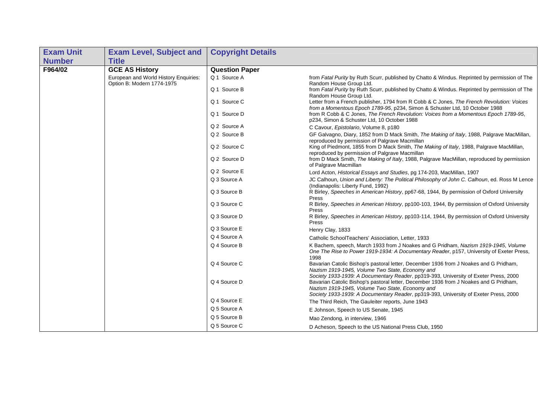| <b>Exam Unit</b> | <b>Exam Level, Subject and</b>        | <b>Copyright Details</b> |                                                                                                                                                                                                                                                                                                                          |
|------------------|---------------------------------------|--------------------------|--------------------------------------------------------------------------------------------------------------------------------------------------------------------------------------------------------------------------------------------------------------------------------------------------------------------------|
| <b>Number</b>    | <b>Title</b>                          |                          |                                                                                                                                                                                                                                                                                                                          |
| F964/02          | <b>GCE AS History</b>                 | <b>Question Paper</b>    |                                                                                                                                                                                                                                                                                                                          |
|                  | European and World History Enquiries: | Q 1 Source A             | from Fatal Purity by Ruth Scurr, published by Chatto & Windus. Reprinted by permission of The                                                                                                                                                                                                                            |
|                  | Option B: Modern 1774-1975            | Q 1 Source B             | Random House Group Ltd.<br>from Fatal Purity by Ruth Scurr, published by Chatto & Windus. Reprinted by permission of The<br>Random House Group Ltd.                                                                                                                                                                      |
|                  |                                       | Q 1 Source C             | Letter from a French publisher, 1794 from R Cobb & C Jones, The French Revolution: Voices<br>from a Momentous Epoch 1789-95, p234, Simon & Schuster Ltd, 10 October 1988                                                                                                                                                 |
|                  |                                       | Q 1 Source D             | from R Cobb & C Jones, The French Revolution: Voices from a Momentous Epoch 1789-95,<br>p234, Simon & Schuster Ltd, 10 October 1988                                                                                                                                                                                      |
|                  |                                       | Q 2 Source A             | C Cavour, Epistolario, Volume 8, p180                                                                                                                                                                                                                                                                                    |
|                  |                                       | Q 2 Source B             | GF Galvagno, Diary, 1852 from D Mack Smith, The Making of Italy, 1988, Palgrave MacMillan,<br>reproduced by permission of Palgrave Macmillan                                                                                                                                                                             |
|                  |                                       | Q 2 Source C             | King of Piedmont, 1855 from D Mack Smith, The Making of Italy, 1988, Palgrave MacMillan,<br>reproduced by permission of Palgrave Macmillan                                                                                                                                                                               |
|                  |                                       | Q 2 Source D             | from D Mack Smith, The Making of Italy, 1988, Palgrave MacMillan, reproduced by permission<br>of Palgrave Macmillan                                                                                                                                                                                                      |
|                  |                                       | Q 2 Source E             | Lord Acton, Historical Essays and Studies, pg 174-203, MacMillan, 1907                                                                                                                                                                                                                                                   |
|                  |                                       | Q 3 Source A             | JC Calhoun, Union and Liberty: The Political Philosophy of John C. Calhoun, ed. Ross M Lence<br>(Indianapolis: Liberty Fund, 1992)                                                                                                                                                                                       |
|                  |                                       | Q 3 Source B             | R Birley, Speeches in American History, pp67-68, 1944, By permission of Oxford University<br>Press                                                                                                                                                                                                                       |
|                  |                                       | Q 3 Source C             | R Birley, Speeches in American History, pp100-103, 1944, By permission of Oxford University<br>Press                                                                                                                                                                                                                     |
|                  |                                       | Q 3 Source D             | R Birley, Speeches in American History, pp103-114, 1944, By permission of Oxford University<br>Press                                                                                                                                                                                                                     |
|                  |                                       | Q 3 Source E             | Henry Clay, 1833                                                                                                                                                                                                                                                                                                         |
|                  |                                       | Q 4 Source A             | Catholic SchoolTeachers' Association, Letter, 1933                                                                                                                                                                                                                                                                       |
|                  |                                       | Q 4 Source B             | K Bachem, speech, March 1933 from J Noakes and G Pridham, Nazism 1919-1945, Volume<br>One The Rise to Power 1919-1934: A Documentary Reader, p157, University of Exeter Press,<br>1998                                                                                                                                   |
|                  |                                       | Q 4 Source C             | Bavarian Catolic Bishop's pastoral letter, December 1936 from J Noakes and G Pridham,<br>Nazism 1919-1945, Volume Two State, Economy and                                                                                                                                                                                 |
|                  |                                       | Q 4 Source D             | Society 1933-1939: A Documentary Reader, pp319-393, University of Exeter Press, 2000<br>Bavarian Catolic Bishop's pastoral letter, December 1936 from J Noakes and G Pridham,<br>Nazism 1919-1945, Volume Two State, Economy and<br>Society 1933-1939: A Documentary Reader, pp319-393, University of Exeter Press, 2000 |
|                  |                                       | Q 4 Source E             | The Third Reich, The Gauleiter reports, June 1943                                                                                                                                                                                                                                                                        |
|                  |                                       | Q 5 Source A             | E Johnson, Speech to US Senate, 1945                                                                                                                                                                                                                                                                                     |
|                  |                                       | Q 5 Source B             | Mao Zendong, in interview, 1946                                                                                                                                                                                                                                                                                          |
|                  |                                       | Q 5 Source C             | D Acheson, Speech to the US National Press Club, 1950                                                                                                                                                                                                                                                                    |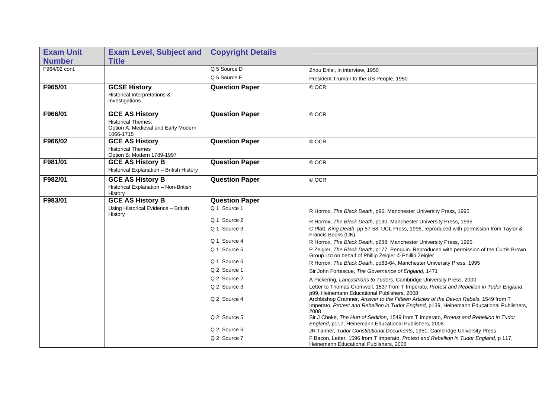| <b>Exam Unit</b> | <b>Exam Level, Subject and</b>                                                                         | <b>Copyright Details</b> |                                                                                                                                                                                                                                         |
|------------------|--------------------------------------------------------------------------------------------------------|--------------------------|-----------------------------------------------------------------------------------------------------------------------------------------------------------------------------------------------------------------------------------------|
| <b>Number</b>    | <b>Title</b>                                                                                           |                          |                                                                                                                                                                                                                                         |
| F964/02 cont.    |                                                                                                        | Q 5 Source D             | Zhou Enlai, in interview, 1950                                                                                                                                                                                                          |
|                  |                                                                                                        | Q 5 Source E             | President Truman to the US People, 1950                                                                                                                                                                                                 |
| F965/01          | <b>GCSE History</b><br>Historical Interpretations &<br>Investigations                                  | <b>Question Paper</b>    | © OCR                                                                                                                                                                                                                                   |
| F966/01          | <b>GCE AS History</b><br><b>Historical Themes:</b><br>Option A: Medieval and Early Modern<br>1066-1715 | <b>Question Paper</b>    | © OCR                                                                                                                                                                                                                                   |
| F966/02          | <b>GCE AS History</b><br><b>Historical Themes</b><br>Option B: Modern 1789-1997                        | <b>Question Paper</b>    | © OCR                                                                                                                                                                                                                                   |
| F981/01          | <b>GCE AS History B</b><br>Historical Explanation - British History                                    | <b>Question Paper</b>    | © OCR                                                                                                                                                                                                                                   |
| F982/01          | <b>GCE AS History B</b><br>Historical Explanation - Non-British<br>History                             | <b>Question Paper</b>    | © OCR                                                                                                                                                                                                                                   |
| F983/01          | <b>GCE AS History B</b>                                                                                | <b>Question Paper</b>    |                                                                                                                                                                                                                                         |
|                  | Using Historical Evidence - British<br>History                                                         | Q 1 Source 1             | R Horrox, The Black Death, p96, Manchester University Press, 1995                                                                                                                                                                       |
|                  |                                                                                                        | Q 1 Source 2             | R Horrox, The Black Death, p130, Manchester University Press, 1995                                                                                                                                                                      |
|                  |                                                                                                        | Q 1 Source 3             | C Platt, King Death, pp 57-58, UCL Press, 1996, reproduced with permission from Taylor &<br>Francis Books (UK)                                                                                                                          |
|                  |                                                                                                        | Q 1 Source 4             | R Horrox, The Black Death, p288, Manchester University Press, 1995                                                                                                                                                                      |
|                  |                                                                                                        | Q 1 Source 5             | P Zeigler, The Black Death, p177, Penguin. Reproduced with permission of the Curtis Brown<br>Group Ltd on behalf of Phillip Zeigler © Phillip Zeigler                                                                                   |
|                  |                                                                                                        | Q 1 Source 6             | R Horrox, The Black Death, pp63-64, Manchester University Press, 1995                                                                                                                                                                   |
|                  |                                                                                                        | Q 2 Source 1             | Sir John Fortescue, The Governance of England, 1471                                                                                                                                                                                     |
|                  |                                                                                                        | Q 2 Source 2             | A Pickering, Lancastrians to Tudors, Cambridge University Press, 2000                                                                                                                                                                   |
|                  |                                                                                                        | Q 2 Source 3             | Letter to Thomas Cromwell, 1537 from T Imperato, Protest and Rebellion in Tudor England,                                                                                                                                                |
|                  |                                                                                                        | Q 2 Source 4             | p99, Heinemann Educational Publishers, 2008<br>Archbishop Cramner, Answer to the Fifteen Articles of the Devon Rebels, 1549 from T<br>Imperato, Protest and Rebellion in Tudor England, p139, Heinemann Educational Publishers,<br>2008 |
|                  |                                                                                                        | Q 2 Source 5             | Sir J Cheke, The Hurt of Sedition, 1549 from T Imperato, Protest and Rebellion in Tudor<br>England, p117, Heinemann Educational Publishers, 2008                                                                                        |
|                  |                                                                                                        | Q 2 Source 6             | JR Tanner, Tudor Constitutional Documents, 1951, Cambridge University Press                                                                                                                                                             |
|                  |                                                                                                        | Q 2 Source 7             | F Bacon, Letter, 1596 from T Imperato, Protest and Rebellion in Tudor England, p 117,<br>Heinemann Educational Publishers, 2008                                                                                                         |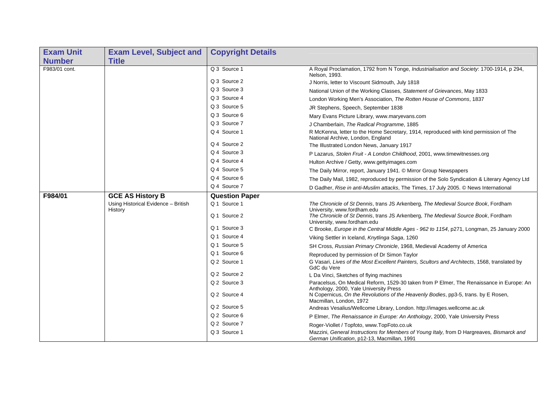| <b>Exam Unit</b> | <b>Exam Level, Subject and</b>                 | <b>Copyright Details</b> |                                                                                                                                                         |
|------------------|------------------------------------------------|--------------------------|---------------------------------------------------------------------------------------------------------------------------------------------------------|
| <b>Number</b>    | <b>Title</b>                                   |                          |                                                                                                                                                         |
| F983/01 cont.    |                                                | Q 3 Source 1             | A Royal Proclamation, 1792 from N Tonge, Industrialisation and Society: 1700-1914, p 294,<br>Nelson, 1993.                                              |
|                  |                                                | Q 3 Source 2             | J Norris, letter to Viscount Sidmouth, July 1818                                                                                                        |
|                  |                                                | Q 3 Source 3             | National Union of the Working Classes, Statement of Grievances, May 1833                                                                                |
|                  |                                                | Q 3 Source 4             | London Working Men's Association, The Rotten House of Commons, 1837                                                                                     |
|                  |                                                | Q 3 Source 5             | JR Stephens, Speech, September 1838                                                                                                                     |
|                  |                                                | Q 3 Source 6             | Mary Evans Picture Library, www.maryevans.com                                                                                                           |
|                  |                                                | Q 3 Source 7             | J Chamberlain, The Radical Programme, 1885                                                                                                              |
|                  |                                                | Q 4 Source 1             | R McKenna, letter to the Home Secretary, 1914, reproduced with kind permission of The<br>National Archive, London, England                              |
|                  |                                                | Q 4 Source 2             | The Illustrated London News, January 1917                                                                                                               |
|                  |                                                | Q 4 Source 3             | P Lazarus, Stolen Fruit - A London Childhood, 2001, www.timewitnesses.org                                                                               |
|                  |                                                | Q 4 Source 4             | Hulton Archive / Getty, www.gettyimages.com                                                                                                             |
|                  |                                                | Q 4 Source 5             | The Daily Mirror, report, January 1941. © Mirror Group Newspapers                                                                                       |
|                  |                                                | Q 4 Source 6             | The Daily Mail, 1982, reproduced by permission of the Solo Syndication & Literary Agency Ltd                                                            |
|                  |                                                | Q 4 Source 7             | D Gadher, Rise in anti-Muslim attacks, The Times, 17 July 2005. © News International                                                                    |
| F984/01          | <b>GCE AS History B</b>                        | <b>Question Paper</b>    |                                                                                                                                                         |
|                  | Using Historical Evidence - British<br>History | Q 1 Source 1             | The Chronicle of St Dennis, trans JS Arkenberg, The Medieval Source Book, Fordham<br>University, www.fordham.edu                                        |
|                  |                                                | Q 1 Source 2             | The Chronicle of St Dennis, trans JS Arkenberg, The Medieval Source Book, Fordham<br>University, www.fordham.edu                                        |
|                  |                                                | Q 1 Source 3             | C Brooke, Europe in the Central Middle Ages - 962 to 1154, p271, Longman, 25 January 2000                                                               |
|                  |                                                | Q 1 Source 4             | Viking Settler in Iceland, Knytlinga Saga, 1260                                                                                                         |
|                  |                                                | Q 1 Source 5             | SH Cross, Russian Primary Chronicle, 1968, Medieval Academy of America                                                                                  |
|                  |                                                | Q 1 Source 6             | Reproduced by permission of Dr Simon Taylor                                                                                                             |
|                  |                                                | Q 2 Source 1             | G Vasari, Lives of the Most Excellent Painters, Scultors and Architects, 1568, translated by<br>GdC du Vere                                             |
|                  |                                                | Q 2 Source 2             | L Da Vinci, Sketches of flying machines                                                                                                                 |
|                  |                                                | Q 2 Source 3             | Paracelsus, On Medical Reform, 1529-30 taken from P Elmer, The Renaissance in Europe: An                                                                |
|                  |                                                | Q 2 Source 4             | Anthology, 2000, Yale University Press<br>N Copernicus, On the Revolutions of the Heavenly Bodies, pp3-5, trans. by E Rosen,<br>Macmillan, London, 1972 |
|                  |                                                | Q 2 Source 5             | Andreas Vesalius/Wellcome Library, London. http://images.wellcome.ac.uk                                                                                 |
|                  |                                                | Q 2 Source 6             | P Elmer, The Renaissance in Europe: An Anthology, 2000, Yale University Press                                                                           |
|                  |                                                | Q 2 Source 7             | Roger-Viollet / Topfoto, www.TopFoto.co.uk                                                                                                              |
|                  |                                                | Q 3 Source 1             | Mazzini, General Instructions for Members of Young Italy, from D Hargreaves, Bismarck and<br>German Unification, p12-13, Macmillan, 1991                |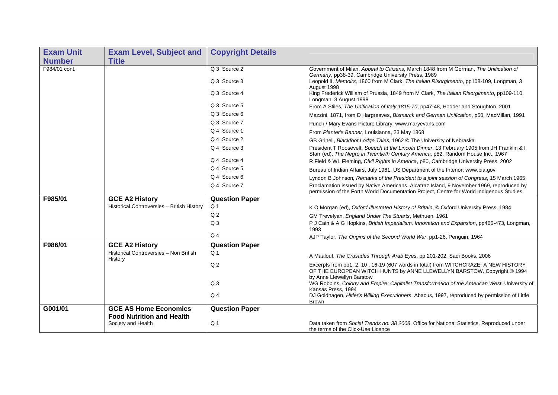| <b>Exam Unit</b> | <b>Exam Level, Subject and</b>                    | <b>Copyright Details</b> |                                                                                                                                                                                             |
|------------------|---------------------------------------------------|--------------------------|---------------------------------------------------------------------------------------------------------------------------------------------------------------------------------------------|
| <b>Number</b>    | <b>Title</b>                                      |                          |                                                                                                                                                                                             |
| F984/01 cont.    |                                                   | Q 3 Source 2             | Government of Milan, Appeal to Citizens, March 1848 from M Gorman, The Unification of                                                                                                       |
|                  |                                                   | Q 3 Source 3             | Germany, pp38-39, Cambridge University Press, 1989<br>Leopold II, Memoirs, 1860 from M Clark, The Italian Risorgimento, pp108-109, Longman, 3<br>August 1998                                |
|                  |                                                   | Q 3 Source 4             | King Frederick William of Prussia, 1849 from M Clark, The Italian Risorgimento, pp109-110,<br>Longman, 3 August 1998                                                                        |
|                  |                                                   | Q 3 Source 5             | From A Stiles, The Unification of Italy 1815-70, pp47-48, Hodder and Stoughton, 2001                                                                                                        |
|                  |                                                   | Q 3 Source 6             | Mazzini, 1871, from D Hargreaves, Bismarck and German Unification, p50, MacMillan, 1991                                                                                                     |
|                  |                                                   | Q 3 Source 7             | Punch / Mary Evans Picture Library. www.maryevans.com                                                                                                                                       |
|                  |                                                   | Q 4 Source 1             | From Planter's Banner, Louisianna, 23 May 1868                                                                                                                                              |
|                  |                                                   | Q 4 Source 2             | GB Grinell, Blackfoot Lodge Tales, 1962 © The University of Nebraska                                                                                                                        |
|                  |                                                   | Q 4 Source 3             | President T Roosevelt, Speech at the Lincoln Dinner, 13 February 1905 from JH Franklin & I<br>Starr (ed), The Negro in Twentieth Century America, p82, Random House Inc., 1967              |
|                  |                                                   | Q 4 Source 4             | R Field & WL Fleming, Civil Rights in America, p80, Cambridge University Press, 2002                                                                                                        |
|                  |                                                   | Q 4 Source 5             | Bureau of Indian Affairs, July 1961, US Department of the Interior, www.bia.gov                                                                                                             |
|                  |                                                   | Q 4 Source 6             | Lyndon B Johnson, Remarks of the President to a joint session of Congress, 15 March 1965                                                                                                    |
|                  |                                                   | Q 4 Source 7             | Proclamation issued by Native Americans, Alcatraz Island, 9 November 1969, reproduced by<br>permission of the Forth World Documentation Project, Centre for World Indigenous Studies.       |
| F985/01          | <b>GCE A2 History</b>                             | <b>Question Paper</b>    |                                                                                                                                                                                             |
|                  | Historical Controversies - British History        | Q <sub>1</sub>           | K O Morgan (ed), Oxford Illustrated History of Britain, © Oxford University Press, 1984                                                                                                     |
|                  |                                                   | Q <sub>2</sub>           | GM Trevelyan, England Under The Stuarts, Methuen, 1961                                                                                                                                      |
|                  |                                                   | Q <sub>3</sub>           | P J Cain & A G Hopkins, British Imperialism, Innovation and Expansion, pp466-473, Longman,<br>1993                                                                                          |
|                  |                                                   | Q <sub>4</sub>           | AJP Taylor, The Origins of the Second World War, pp1-26, Penguin, 1964                                                                                                                      |
| F986/01          | <b>GCE A2 History</b>                             | <b>Question Paper</b>    |                                                                                                                                                                                             |
|                  | Historical Controversies - Non British<br>History | Q <sub>1</sub>           | A Maalouf, The Crusades Through Arab Eyes, pp 201-202, Saqi Books, 2006                                                                                                                     |
|                  |                                                   | Q <sub>2</sub>           | Excerpts from pp1, 2, 10, 16-19 (607 words in total) from WITCHCRAZE: A NEW HISTORY<br>OF THE EUROPEAN WITCH HUNTS by ANNE LLEWELLYN BARSTOW. Copyright © 1994<br>by Anne Llewellyn Barstow |
|                  |                                                   | Q <sub>3</sub>           | WG Robbins, Colony and Empire: Capitalist Transformation of the American West, University of<br>Kansas Press, 1994                                                                          |
|                  |                                                   | $Q_4$                    | DJ Goldhagen, Hitler's Willing Executioners, Abacus, 1997, reproduced by permission of Little<br><b>Brown</b>                                                                               |
| G001/01          | <b>GCE AS Home Economics</b>                      | <b>Question Paper</b>    |                                                                                                                                                                                             |
|                  | <b>Food Nutrition and Health</b>                  |                          |                                                                                                                                                                                             |
|                  | Society and Health                                | Q <sub>1</sub>           | Data taken from Social Trends no. 38 2008, Office for National Statistics. Reproduced under<br>the terms of the Click-Use Licence                                                           |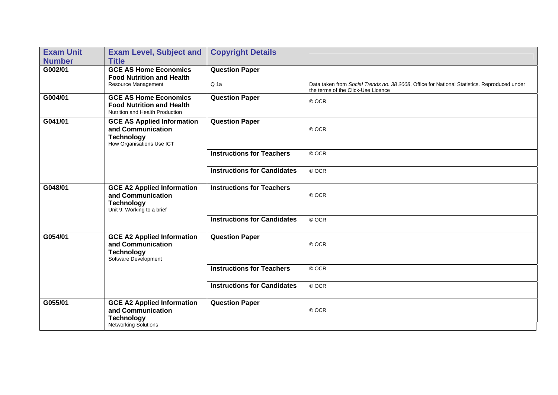| <b>Exam Unit</b> | <b>Exam Level, Subject and</b>                                                                             | <b>Copyright Details</b>           |                                                                                                                                   |
|------------------|------------------------------------------------------------------------------------------------------------|------------------------------------|-----------------------------------------------------------------------------------------------------------------------------------|
| <b>Number</b>    | <b>Title</b>                                                                                               |                                    |                                                                                                                                   |
| G002/01          | <b>GCE AS Home Economics</b>                                                                               | <b>Question Paper</b>              |                                                                                                                                   |
|                  | <b>Food Nutrition and Health</b><br>Resource Management                                                    | Q <sub>1a</sub>                    | Data taken from Social Trends no. 38 2008, Office for National Statistics. Reproduced under<br>the terms of the Click-Use Licence |
| G004/01          | <b>GCE AS Home Economics</b><br><b>Food Nutrition and Health</b><br>Nutrition and Health Production        | <b>Question Paper</b>              | © OCR                                                                                                                             |
| G041/01          | <b>GCE AS Applied Information</b><br>and Communication<br><b>Technology</b><br>How Organisations Use ICT   | <b>Question Paper</b>              | © OCR                                                                                                                             |
|                  |                                                                                                            | <b>Instructions for Teachers</b>   | © OCR                                                                                                                             |
|                  |                                                                                                            | <b>Instructions for Candidates</b> | © OCR                                                                                                                             |
| G048/01          | <b>GCE A2 Applied Information</b><br>and Communication<br><b>Technology</b><br>Unit 9: Working to a brief  | <b>Instructions for Teachers</b>   | © OCR                                                                                                                             |
|                  |                                                                                                            | <b>Instructions for Candidates</b> | © OCR                                                                                                                             |
| G054/01          | <b>GCE A2 Applied Information</b><br>and Communication<br><b>Technology</b><br>Software Development        | <b>Question Paper</b>              | © OCR                                                                                                                             |
|                  |                                                                                                            | <b>Instructions for Teachers</b>   | © OCR                                                                                                                             |
|                  |                                                                                                            | <b>Instructions for Candidates</b> | © OCR                                                                                                                             |
| G055/01          | <b>GCE A2 Applied Information</b><br>and Communication<br><b>Technology</b><br><b>Networking Solutions</b> | <b>Question Paper</b>              | © OCR                                                                                                                             |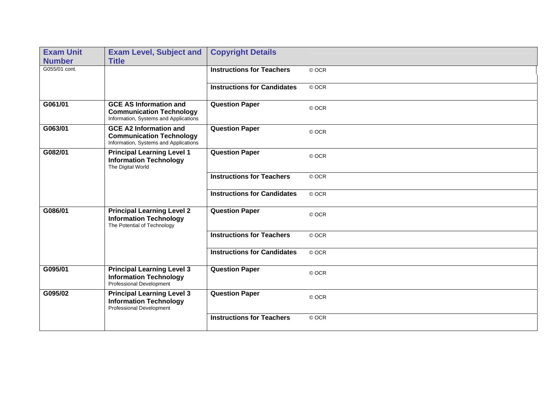| <b>Exam Unit</b> | <b>Exam Level, Subject and</b>                                                                            | <b>Copyright Details</b>           |       |
|------------------|-----------------------------------------------------------------------------------------------------------|------------------------------------|-------|
| <b>Number</b>    | <b>Title</b>                                                                                              |                                    |       |
| G055/01 cont.    |                                                                                                           | <b>Instructions for Teachers</b>   | © OCR |
|                  |                                                                                                           | <b>Instructions for Candidates</b> | © OCR |
| G061/01          | <b>GCE AS Information and</b><br><b>Communication Technology</b><br>Information, Systems and Applications | <b>Question Paper</b>              | © OCR |
| G063/01          | <b>GCE A2 Information and</b><br><b>Communication Technology</b><br>Information, Systems and Applications | <b>Question Paper</b>              | © OCR |
| G082/01          | <b>Principal Learning Level 1</b><br><b>Information Technology</b><br>The Digital World                   | <b>Question Paper</b>              | © OCR |
|                  |                                                                                                           | <b>Instructions for Teachers</b>   | © OCR |
|                  |                                                                                                           | <b>Instructions for Candidates</b> | © OCR |
| G086/01          | <b>Principal Learning Level 2</b><br><b>Information Technology</b><br>The Potential of Technology         | <b>Question Paper</b>              | © OCR |
|                  |                                                                                                           | <b>Instructions for Teachers</b>   | © OCR |
|                  |                                                                                                           | <b>Instructions for Candidates</b> | © OCR |
| G095/01          | <b>Principal Learning Level 3</b><br><b>Information Technology</b><br>Professional Development            | <b>Question Paper</b>              | © OCR |
| G095/02          | <b>Principal Learning Level 3</b><br><b>Information Technology</b><br>Professional Development            | <b>Question Paper</b>              | © OCR |
|                  |                                                                                                           | <b>Instructions for Teachers</b>   | © OCR |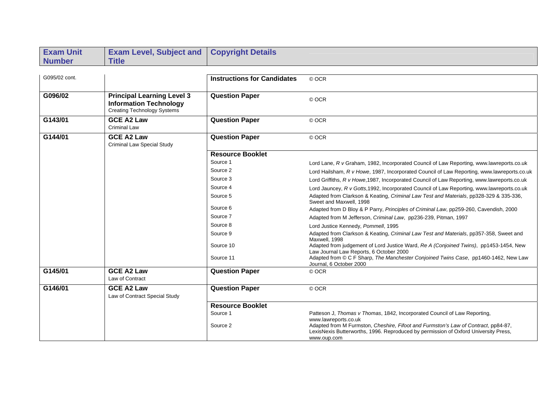| <b>Exam Unit</b> | <b>Exam Level, Subject and</b>                                                                    | <b>Copyright Details</b>           |                                                                                                                                                                                          |
|------------------|---------------------------------------------------------------------------------------------------|------------------------------------|------------------------------------------------------------------------------------------------------------------------------------------------------------------------------------------|
| <b>Number</b>    | <b>Title</b>                                                                                      |                                    |                                                                                                                                                                                          |
|                  |                                                                                                   |                                    |                                                                                                                                                                                          |
| G095/02 cont.    |                                                                                                   | <b>Instructions for Candidates</b> | © OCR                                                                                                                                                                                    |
|                  |                                                                                                   |                                    |                                                                                                                                                                                          |
| G096/02          | <b>Principal Learning Level 3</b><br><b>Information Technology</b><br>Creating Technology Systems | <b>Question Paper</b>              | © OCR                                                                                                                                                                                    |
| G143/01          | <b>GCE A2 Law</b><br><b>Criminal Law</b>                                                          | <b>Question Paper</b>              | © OCR                                                                                                                                                                                    |
| G144/01          | <b>GCE A2 Law</b><br><b>Criminal Law Special Study</b>                                            | <b>Question Paper</b>              | © OCR                                                                                                                                                                                    |
|                  |                                                                                                   | <b>Resource Booklet</b>            |                                                                                                                                                                                          |
|                  |                                                                                                   | Source 1                           | Lord Lane, R v Graham, 1982, Incorporated Council of Law Reporting, www.lawreports.co.uk                                                                                                 |
|                  |                                                                                                   | Source 2                           | Lord Hailsham, R v Howe, 1987, Incorporated Council of Law Reporting, www.lawreports.co.uk                                                                                               |
|                  |                                                                                                   | Source 3                           | Lord Griffiths, R v Howe, 1987, Incorporated Council of Law Reporting, www.lawreports.co.uk                                                                                              |
|                  |                                                                                                   | Source 4                           | Lord Jauncey, R v Gotts, 1992, Incorporated Council of Law Reporting, www.lawreports.co.uk                                                                                               |
|                  |                                                                                                   | Source 5                           | Adapted from Clarkson & Keating, Criminal Law Test and Materials, pp328-329 & 335-336,<br>Sweet and Maxwell, 1998                                                                        |
|                  |                                                                                                   | Source 6                           | Adapted from D Bloy & P Parry, Principles of Criminal Law, pp259-260, Cavendish, 2000                                                                                                    |
|                  |                                                                                                   | Source 7                           | Adapted from M Jefferson, Criminal Law, pp236-239, Pitman, 1997                                                                                                                          |
|                  |                                                                                                   | Source 8                           | Lord Justice Kennedy, Pommell, 1995                                                                                                                                                      |
|                  |                                                                                                   | Source 9                           | Adapted from Clarkson & Keating, Criminal Law Test and Materials, pp357-358, Sweet and<br>Maxwell, 1998                                                                                  |
|                  |                                                                                                   | Source 10                          | Adapted from judgement of Lord Justice Ward, Re A (Conjoined Twins), pp1453-1454, New<br>Law Journal Law Reports, 6 October 2000                                                         |
|                  |                                                                                                   | Source 11                          | Adapted from © C F Sharp, The Manchester Conjoined Twins Case, pp1460-1462, New Law<br>Journal, 6 October 2000                                                                           |
| G145/01          | <b>GCE A2 Law</b>                                                                                 | <b>Question Paper</b>              | © OCR                                                                                                                                                                                    |
|                  | Law of Contract                                                                                   |                                    |                                                                                                                                                                                          |
| G146/01          | <b>GCE A2 Law</b>                                                                                 | <b>Question Paper</b>              | © OCR                                                                                                                                                                                    |
|                  | Law of Contract Special Study                                                                     |                                    |                                                                                                                                                                                          |
|                  |                                                                                                   | <b>Resource Booklet</b>            |                                                                                                                                                                                          |
|                  |                                                                                                   | Source 1                           | Patteson J, Thomas v Thomas, 1842, Incorporated Council of Law Reporting,<br>www.lawreports.co.uk                                                                                        |
|                  |                                                                                                   | Source 2                           | Adapted from M Furmston, Cheshire, Fifoot and Furmston's Law of Contract, pp84-87,<br>LexisNexis Butterworths, 1996. Reproduced by permission of Oxford University Press,<br>www.oup.com |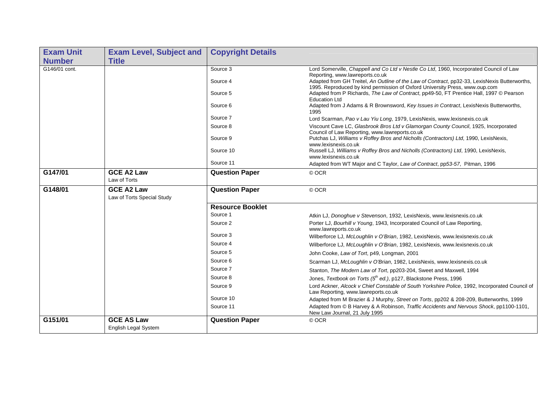| <b>Exam Unit</b> | <b>Exam Level, Subject and</b>    | <b>Copyright Details</b> |                                                                                                                                                                                                                 |
|------------------|-----------------------------------|--------------------------|-----------------------------------------------------------------------------------------------------------------------------------------------------------------------------------------------------------------|
| <b>Number</b>    | <b>Title</b>                      |                          |                                                                                                                                                                                                                 |
| G146/01 cont.    |                                   | Source 3                 | Lord Somerville, Chappell and Co Ltd v Nestle Co Ltd, 1960, Incorporated Council of Law                                                                                                                         |
|                  |                                   | Source 4                 | Reporting, www.lawreports.co.uk<br>Adapted from GH Treitel, An Outline of the Law of Contract, pp32-33, LexisNexis Butterworths,<br>1995. Reproduced by kind permission of Oxford University Press, www.oup.com |
|                  |                                   | Source 5                 | Adapted from P Richards, The Law of Contract, pp49-50, FT Prentice Hall, 1997 © Pearson<br><b>Education Ltd</b>                                                                                                 |
|                  |                                   | Source 6                 | Adapted from J Adams & R Brownsword, Key Issues in Contract, LexisNexis Butterworths,<br>1995                                                                                                                   |
|                  |                                   | Source 7                 | Lord Scarman, Pao v Lau Yiu Long, 1979, LexisNexis, www.lexisnexis.co.uk                                                                                                                                        |
|                  |                                   | Source 8                 | Viscount Cave LC, Glasbrook Bros Ltd v Glamorgan County Council, 1925, Incorporated<br>Council of Law Reporting, www.lawreports.co.uk                                                                           |
|                  |                                   | Source 9                 | Putchas LJ, Williams v Roffey Bros and Nicholls (Contractors) Ltd, 1990, LexisNexis,<br>www.lexisnexis.co.uk                                                                                                    |
|                  |                                   | Source 10                | Russell LJ, Williams v Roffey Bros and Nicholls (Contractors) Ltd, 1990, LexisNexis,<br>www.lexisnexis.co.uk                                                                                                    |
|                  |                                   | Source 11                | Adapted from WT Major and C Taylor, Law of Contract, pp53-57, Pitman, 1996                                                                                                                                      |
| G147/01          | <b>GCE A2 Law</b><br>Law of Torts | <b>Question Paper</b>    | © OCR                                                                                                                                                                                                           |
| G148/01          | <b>GCE A2 Law</b>                 | <b>Question Paper</b>    | © OCR                                                                                                                                                                                                           |
|                  | Law of Torts Special Study        |                          |                                                                                                                                                                                                                 |
|                  |                                   | <b>Resource Booklet</b>  |                                                                                                                                                                                                                 |
|                  |                                   | Source 1                 | Atkin LJ, Donoghue v Stevenson, 1932, LexisNexis, www.lexisnexis.co.uk                                                                                                                                          |
|                  |                                   | Source 2                 | Porter LJ, Bourhill v Young, 1943, Incorporated Council of Law Reporting,<br>www.lawreports.co.uk                                                                                                               |
|                  |                                   | Source 3                 | Wilberforce LJ, McLoughlin v O'Brian, 1982, LexisNexis, www.lexisnexis.co.uk                                                                                                                                    |
|                  |                                   | Source 4                 | Wilberforce LJ, McLoughlin v O'Brian, 1982, LexisNexis, www.lexisnexis.co.uk                                                                                                                                    |
|                  |                                   | Source 5                 | John Cooke, Law of Tort, p49, Longman, 2001                                                                                                                                                                     |
|                  |                                   | Source 6                 | Scarman LJ, McLoughlin v O'Brian, 1982, LexisNexis, www.lexisnexis.co.uk                                                                                                                                        |
|                  |                                   | Source 7                 | Stanton, The Modern Law of Tort, pp203-204, Sweet and Maxwell, 1994                                                                                                                                             |
|                  |                                   | Source 8                 | Jones, Textbook on Torts (5 <sup>th</sup> ed.), p127, Blackstone Press, 1996                                                                                                                                    |
|                  |                                   | Source 9                 | Lord Ackner, Alcock v Chief Constable of South Yorkshire Police, 1992, Incorporated Council of<br>Law Reporting, www.lawreports.co.uk                                                                           |
|                  |                                   | Source 10                | Adapted from M Brazier & J Murphy, Street on Torts, pp202 & 208-209, Butterworths, 1999                                                                                                                         |
|                  |                                   | Source 11                | Adapted from © B Harvey & A Robinson, Traffic Accidents and Nervous Shock, pp1100-1101,<br>New Law Journal, 21 July 1995                                                                                        |
| G151/01          | <b>GCE AS Law</b>                 | <b>Question Paper</b>    | © OCR                                                                                                                                                                                                           |
|                  | <b>English Legal System</b>       |                          |                                                                                                                                                                                                                 |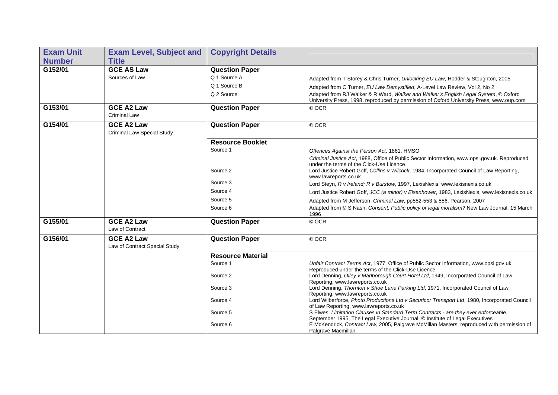| <b>Exam Unit</b> | <b>Exam Level, Subject and</b>                     | <b>Copyright Details</b> |                                                                                                                                                                                 |
|------------------|----------------------------------------------------|--------------------------|---------------------------------------------------------------------------------------------------------------------------------------------------------------------------------|
| <b>Number</b>    | <b>Title</b>                                       |                          |                                                                                                                                                                                 |
| G152/01          | <b>GCE AS Law</b>                                  | <b>Question Paper</b>    |                                                                                                                                                                                 |
|                  | Sources of Law                                     | Q 1 Source A             | Adapted from T Storey & Chris Turner, Unlocking EU Law, Hodder & Stoughton, 2005                                                                                                |
|                  |                                                    | Q 1 Source B             | Adapted from C Turner, EU Law Demystified, A-Level Law Review, Vol 2, No 2                                                                                                      |
|                  |                                                    | Q 2 Source               | Adapted from RJ Walker & R Ward, Walker and Walker's English Legal System, © Oxford<br>University Press, 1998, reproduced by permission of Oxford University Press, www.oup.com |
| G153/01          | <b>GCE A2 Law</b><br><b>Criminal Law</b>           | <b>Question Paper</b>    | © OCR                                                                                                                                                                           |
| G154/01          | <b>GCE A2 Law</b><br>Criminal Law Special Study    | <b>Question Paper</b>    | © OCR                                                                                                                                                                           |
|                  |                                                    | <b>Resource Booklet</b>  |                                                                                                                                                                                 |
|                  |                                                    | Source 1                 | Offences Against the Person Act, 1861, HMSO                                                                                                                                     |
|                  |                                                    |                          | Criminal Justice Act, 1988, Office of Public Sector Information, www.opsi.gov.uk. Reproduced                                                                                    |
|                  |                                                    | Source 2                 | under the terms of the Click-Use Licence<br>Lord Justice Robert Goff, Collins v Wilcock, 1984, Incorporated Council of Law Reporting,<br>www.lawreports.co.uk                   |
|                  |                                                    | Source 3                 | Lord Steyn, R v Ireland; R v Burstow, 1997, LexisNexis, www.lexisnexis.co.uk                                                                                                    |
|                  |                                                    | Source 4                 | Lord Justice Robert Goff, JCC (a minor) v Eisenhower, 1983, LexisNexis, www.lexisnexis.co.uk                                                                                    |
|                  |                                                    | Source 5                 | Adapted from M Jefferson, Criminal Law, pp552-553 & 556, Pearson, 2007                                                                                                          |
|                  |                                                    | Source 6                 | Adapted from © S Nash, Consent: Public policy or legal moralism? New Law Journal, 15 March<br>1996                                                                              |
| G155/01          | <b>GCE A2 Law</b><br>Law of Contract               | <b>Question Paper</b>    | © OCR                                                                                                                                                                           |
| G156/01          | <b>GCE A2 Law</b><br>Law of Contract Special Study | <b>Question Paper</b>    | © OCR                                                                                                                                                                           |
|                  |                                                    | <b>Resource Material</b> |                                                                                                                                                                                 |
|                  |                                                    | Source 1                 | Unfair Contract Terms Act, 1977, Office of Public Sector Information, www.opsi.gov.uk.<br>Reproduced under the terms of the Click-Use Licence                                   |
|                  |                                                    | Source 2                 | Lord Denning, Olley v Marlborough Court Hotel Ltd, 1949, Incorporated Council of Law<br>Reporting, www.lawreports.co.uk                                                         |
|                  |                                                    | Source 3                 | Lord Denning, Thornton v Shoe Lane Parking Ltd, 1971, Incorporated Council of Law<br>Reporting, www.lawreports.co.uk                                                            |
|                  |                                                    | Source 4                 | Lord Wilberforce, Photo Productions Ltd v Securicor Transport Ltd, 1980, Incorporated Council<br>of Law Reporting, www.lawreports.co.uk                                         |
|                  |                                                    | Source 5                 | S Elwes, Limitation Clauses in Standard Term Contracts - are they ever enforceable,<br>September 1995, The Legal Executive Journal, © Institute of Legal Executives             |
|                  |                                                    | Source 6                 | E McKendrick, Contract Law, 2005, Palgrave McMillan Masters, reproduced with permission of<br>Palgrave Macmillan.                                                               |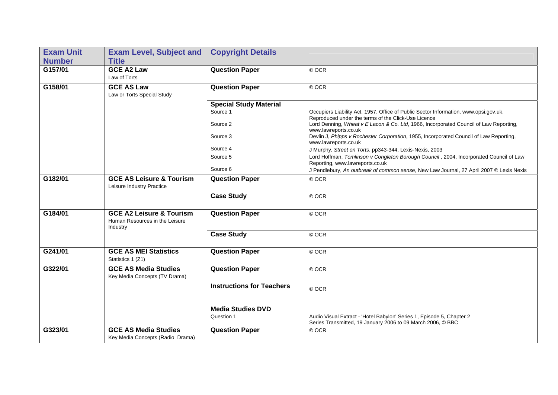| <b>Exam Unit</b> | <b>Exam Level, Subject and</b>                                                    | <b>Copyright Details</b>         |                                                                                                                                             |
|------------------|-----------------------------------------------------------------------------------|----------------------------------|---------------------------------------------------------------------------------------------------------------------------------------------|
| <b>Number</b>    | <b>Title</b>                                                                      |                                  |                                                                                                                                             |
| G157/01          | <b>GCE A2 Law</b>                                                                 | <b>Question Paper</b>            | © OCR                                                                                                                                       |
|                  | Law of Torts                                                                      |                                  |                                                                                                                                             |
| G158/01          | <b>GCE AS Law</b>                                                                 | <b>Question Paper</b>            | © OCR                                                                                                                                       |
|                  | Law or Torts Special Study                                                        |                                  |                                                                                                                                             |
|                  |                                                                                   | <b>Special Study Material</b>    |                                                                                                                                             |
|                  |                                                                                   | Source 1                         | Occupiers Liability Act, 1957, Office of Public Sector Information, www.opsi.gov.uk.<br>Reproduced under the terms of the Click-Use Licence |
|                  |                                                                                   | Source 2                         | Lord Denning, Wheat v E Lacon & Co. Ltd, 1966, Incorporated Council of Law Reporting,<br>www.lawreports.co.uk                               |
|                  |                                                                                   | Source 3                         | Devlin J, Phipps v Rochester Corporation, 1955, Incorporated Council of Law Reporting,<br>www.lawreports.co.uk                              |
|                  |                                                                                   | Source 4                         | J Murphy, Street on Torts, pp343-344, Lexis-Nexis, 2003                                                                                     |
|                  |                                                                                   | Source 5                         | Lord Hoffman, Tomlinson v Congleton Borough Council, 2004, Incorporated Council of Law<br>Reporting, www.lawreports.co.uk                   |
|                  |                                                                                   | Source 6                         | J Pendlebury, An outbreak of common sense, New Law Journal, 27 April 2007 © Lexis Nexis                                                     |
| G182/01          | <b>GCE AS Leisure &amp; Tourism</b><br>Leisure Industry Practice                  | <b>Question Paper</b>            | © OCR                                                                                                                                       |
|                  |                                                                                   | <b>Case Study</b>                | © OCR                                                                                                                                       |
| G184/01          | <b>GCE A2 Leisure &amp; Tourism</b><br>Human Resources in the Leisure<br>Industry | <b>Question Paper</b>            | © OCR                                                                                                                                       |
|                  |                                                                                   | <b>Case Study</b>                | © OCR                                                                                                                                       |
| G241/01          | <b>GCE AS MEI Statistics</b><br>Statistics 1 (Z1)                                 | <b>Question Paper</b>            | © OCR                                                                                                                                       |
| G322/01          | <b>GCE AS Media Studies</b><br>Key Media Concepts (TV Drama)                      | <b>Question Paper</b>            | © OCR                                                                                                                                       |
|                  |                                                                                   | <b>Instructions for Teachers</b> | © OCR                                                                                                                                       |
|                  |                                                                                   | <b>Media Studies DVD</b>         |                                                                                                                                             |
|                  |                                                                                   | Question 1                       | Audio Visual Extract - 'Hotel Babylon' Series 1, Episode 5, Chapter 2<br>Series Transmitted, 19 January 2006 to 09 March 2006, C BBC        |
| G323/01          | <b>GCE AS Media Studies</b><br>Key Media Concepts (Radio Drama)                   | <b>Question Paper</b>            | © OCR                                                                                                                                       |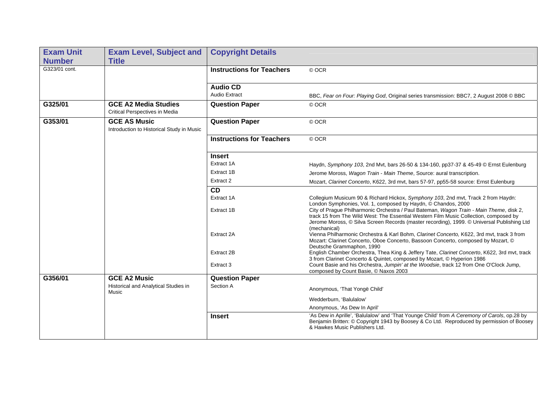| <b>Exam Unit</b> | <b>Exam Level, Subject and</b>                                       | <b>Copyright Details</b>         |                                                                                                                                                                                                                                                                                                                                                 |
|------------------|----------------------------------------------------------------------|----------------------------------|-------------------------------------------------------------------------------------------------------------------------------------------------------------------------------------------------------------------------------------------------------------------------------------------------------------------------------------------------|
| <b>Number</b>    | <b>Title</b>                                                         |                                  |                                                                                                                                                                                                                                                                                                                                                 |
| G323/01 cont.    |                                                                      | <b>Instructions for Teachers</b> | © OCR                                                                                                                                                                                                                                                                                                                                           |
|                  |                                                                      |                                  |                                                                                                                                                                                                                                                                                                                                                 |
|                  |                                                                      | <b>Audio CD</b>                  |                                                                                                                                                                                                                                                                                                                                                 |
|                  |                                                                      | <b>Audio Extract</b>             | BBC, Fear on Four: Playing God, Original series transmission: BBC7, 2 August 2008 © BBC                                                                                                                                                                                                                                                         |
| G325/01          | <b>GCE A2 Media Studies</b><br><b>Critical Perspectives in Media</b> | <b>Question Paper</b>            | © OCR                                                                                                                                                                                                                                                                                                                                           |
| G353/01          | <b>GCE AS Music</b><br>Introduction to Historical Study in Music     | <b>Question Paper</b>            | © OCR                                                                                                                                                                                                                                                                                                                                           |
|                  |                                                                      | <b>Instructions for Teachers</b> | © OCR                                                                                                                                                                                                                                                                                                                                           |
|                  |                                                                      | <b>Insert</b>                    |                                                                                                                                                                                                                                                                                                                                                 |
|                  |                                                                      | Extract 1A                       | Haydn, Symphony 103, 2nd Mvt, bars 26-50 & 134-160, pp37-37 & 45-49 © Ernst Eulenburg                                                                                                                                                                                                                                                           |
|                  |                                                                      | Extract 1B                       | Jerome Moross, Wagon Train - Main Theme, Source: aural transcription.                                                                                                                                                                                                                                                                           |
|                  |                                                                      | Extract 2                        | Mozart, Clarinet Concerto, K622, 3rd mvt, bars 57-97, pp55-58 source: Ernst Eulenburg                                                                                                                                                                                                                                                           |
|                  |                                                                      | <b>CD</b>                        |                                                                                                                                                                                                                                                                                                                                                 |
|                  |                                                                      | Extract 1A                       | Collegium Musicum 90 & Richard Hickox, Symphony 103, 2nd mvt, Track 2 from Haydn:                                                                                                                                                                                                                                                               |
|                  |                                                                      | Extract 1B                       | London Symphonies, Vol. 1, composed by Haydn, © Chandos, 2000<br>City of Prague Philharmonic Orchestra / Paul Bateman, Wagon Train - Main Theme, disk 2,<br>track 15 from The Wild West: The Essential Western Film Music Collection, composed by<br>Jerome Moross, © Silva Screen Records (master recording), 1999. © Universal Publishing Ltd |
|                  |                                                                      | Extract 2A                       | (mechanical)<br>Vienna Philharmonic Orchestra & Karl Bohm, Clarinet Concerto, K622, 3rd mvt, track 3 from<br>Mozart: Clarinet Concerto, Oboe Concerto, Bassoon Concerto, composed by Mozart, ©<br>Deutsche Grammaphon, 1990                                                                                                                     |
|                  |                                                                      | Extract 2B                       | English Chamber Orchestra, Thea King & Jeffery Tate, Clarinet Concerto, K622, 3rd mvt, track<br>3 from Clarinet Concerto & Quintet, composed by Mozart, © Hyperion 1986                                                                                                                                                                         |
|                  |                                                                      | Extract 3                        | Count Basie and his Orchestra, Jumpin' at the Woodsie, track 12 from One O'Clock Jump,<br>composed by Count Basie, © Naxos 2003                                                                                                                                                                                                                 |
| G356/01          | <b>GCE A2 Music</b>                                                  | <b>Question Paper</b>            |                                                                                                                                                                                                                                                                                                                                                 |
|                  | Historical and Analytical Studies in<br>Music                        | Section A                        | Anonymous, 'That Yongë Child'                                                                                                                                                                                                                                                                                                                   |
|                  |                                                                      |                                  | Wedderburn. 'Balulalow'                                                                                                                                                                                                                                                                                                                         |
|                  |                                                                      |                                  | Anonymous, 'As Dew In April'                                                                                                                                                                                                                                                                                                                    |
|                  |                                                                      | <b>Insert</b>                    | 'As Dew in Aprille', 'Balulalow' and 'That Younge Child' from A Ceremony of Carols, op.28 by<br>Benjamin Britten: © Copyright 1943 by Boosey & Co Ltd. Reproduced by permission of Boosey<br>& Hawkes Music Publishers Ltd.                                                                                                                     |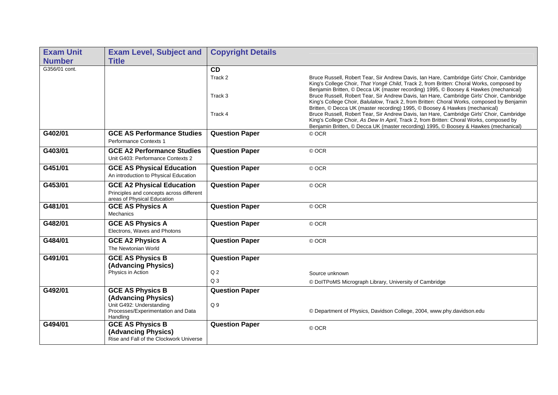| <b>Exam Unit</b> | <b>Exam Level, Subject and</b>                                               | <b>Copyright Details</b> |                                                                                                                                                                                                                                                                               |
|------------------|------------------------------------------------------------------------------|--------------------------|-------------------------------------------------------------------------------------------------------------------------------------------------------------------------------------------------------------------------------------------------------------------------------|
| <b>Number</b>    | <b>Title</b>                                                                 |                          |                                                                                                                                                                                                                                                                               |
| G356/01 cont.    |                                                                              | <b>CD</b>                |                                                                                                                                                                                                                                                                               |
|                  |                                                                              | Track 2                  | Bruce Russell, Robert Tear, Sir Andrew Davis, Ian Hare, Cambridge Girls' Choir, Cambridge<br>King's College Choir, That Yongë Child, Track 2, from Britten: Choral Works, composed by<br>Benjamin Britten, © Decca UK (master recording) 1995, © Boosey & Hawkes (mechanical) |
|                  |                                                                              | Track 3                  | Bruce Russell, Robert Tear, Sir Andrew Davis, Ian Hare, Cambridge Girls' Choir, Cambridge<br>King's College Choir, Balulalow, Track 2, from Britten: Choral Works, composed by Benjamin<br>Britten, © Decca UK (master recording) 1995, © Boosey & Hawkes (mechanical)        |
|                  |                                                                              | Track 4                  | Bruce Russell, Robert Tear, Sir Andrew Davis, Ian Hare, Cambridge Girls' Choir, Cambridge<br>King's College Choir, As Dew In April, Track 2, from Britten: Choral Works, composed by<br>Benjamin Britten, © Decca UK (master recording) 1995, © Boosey & Hawkes (mechanical)  |
| G402/01          | <b>GCE AS Performance Studies</b><br><b>Performance Contexts 1</b>           | <b>Question Paper</b>    | © OCR                                                                                                                                                                                                                                                                         |
| G403/01          | <b>GCE A2 Performance Studies</b><br>Unit G403: Performance Contexts 2       | <b>Question Paper</b>    | © OCR                                                                                                                                                                                                                                                                         |
| G451/01          | <b>GCE AS Physical Education</b><br>An introduction to Physical Education    | <b>Question Paper</b>    | © OCR                                                                                                                                                                                                                                                                         |
| G453/01          | <b>GCE A2 Physical Education</b><br>Principles and concepts across different | <b>Question Paper</b>    | © OCR                                                                                                                                                                                                                                                                         |
|                  | areas of Physical Education                                                  |                          |                                                                                                                                                                                                                                                                               |
| G481/01          | <b>GCE AS Physics A</b><br><b>Mechanics</b>                                  | <b>Question Paper</b>    | © OCR                                                                                                                                                                                                                                                                         |
| G482/01          | <b>GCE AS Physics A</b><br>Electrons, Waves and Photons                      | <b>Question Paper</b>    | © OCR                                                                                                                                                                                                                                                                         |
| G484/01          | <b>GCE A2 Physics A</b><br>The Newtonian World                               | <b>Question Paper</b>    | © OCR                                                                                                                                                                                                                                                                         |
| G491/01          | <b>GCE AS Physics B</b>                                                      | <b>Question Paper</b>    |                                                                                                                                                                                                                                                                               |
|                  | (Advancing Physics)                                                          |                          |                                                                                                                                                                                                                                                                               |
|                  | Physics in Action                                                            | Q <sub>2</sub>           | Source unknown                                                                                                                                                                                                                                                                |
|                  |                                                                              | Q <sub>3</sub>           | © DoITPoMS Micrograph Library, University of Cambridge                                                                                                                                                                                                                        |
| G492/01          | <b>GCE AS Physics B</b>                                                      | <b>Question Paper</b>    |                                                                                                                                                                                                                                                                               |
|                  | (Advancing Physics)<br>Unit G492: Understanding                              | Q <sub>9</sub>           |                                                                                                                                                                                                                                                                               |
|                  | Processes/Experimentation and Data<br>Handling                               |                          | © Department of Physics, Davidson College, 2004, www.phy.davidson.edu                                                                                                                                                                                                         |
| G494/01          | <b>GCE AS Physics B</b>                                                      | <b>Question Paper</b>    | © OCR                                                                                                                                                                                                                                                                         |
|                  | (Advancing Physics)<br>Rise and Fall of the Clockwork Universe               |                          |                                                                                                                                                                                                                                                                               |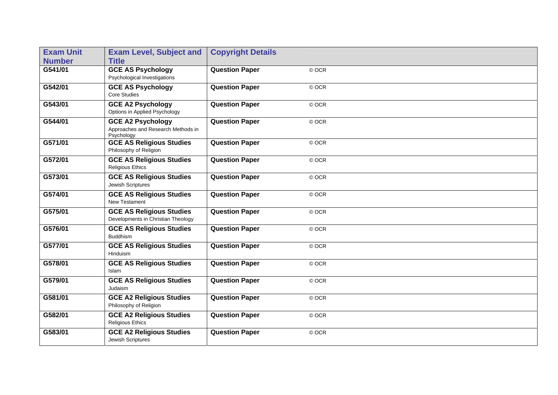| <b>Exam Unit</b><br><b>Number</b> | <b>Exam Level, Subject and</b><br><b>Title</b>                               | <b>Copyright Details</b> |         |
|-----------------------------------|------------------------------------------------------------------------------|--------------------------|---------|
| G541/01                           | <b>GCE AS Psychology</b><br>Psychological Investigations                     | <b>Question Paper</b>    | © OCR   |
| G542/01                           | <b>GCE AS Psychology</b><br><b>Core Studies</b>                              | <b>Question Paper</b>    | © OCR   |
| G543/01                           | <b>GCE A2 Psychology</b><br>Options in Applied Psychology                    | <b>Question Paper</b>    | © OCR   |
| G544/01                           | <b>GCE A2 Psychology</b><br>Approaches and Research Methods in<br>Psychology | <b>Question Paper</b>    | © OCR   |
| G571/01                           | <b>GCE AS Religious Studies</b><br>Philosophy of Religion                    | <b>Question Paper</b>    | © OCR   |
| G572/01                           | <b>GCE AS Religious Studies</b><br><b>Religious Ethics</b>                   | <b>Question Paper</b>    | © OCR   |
| G573/01                           | <b>GCE AS Religious Studies</b><br>Jewish Scriptures                         | <b>Question Paper</b>    | © OCR   |
| G574/01                           | <b>GCE AS Religious Studies</b><br>New Testament                             | <b>Question Paper</b>    | © OCR   |
| G575/01                           | <b>GCE AS Religious Studies</b><br>Developments in Christian Theology        | <b>Question Paper</b>    | © OCR   |
| G576/01                           | <b>GCE AS Religious Studies</b><br><b>Buddhism</b>                           | <b>Question Paper</b>    | © OCR   |
| G577/01                           | <b>GCE AS Religious Studies</b><br>Hinduism                                  | <b>Question Paper</b>    | © OCR   |
| G578/01                           | <b>GCE AS Religious Studies</b><br>Islam                                     | <b>Question Paper</b>    | © OCR   |
| G579/01                           | <b>GCE AS Religious Studies</b><br>Judaism                                   | <b>Question Paper</b>    | $@$ OCR |
| G581/01                           | <b>GCE A2 Religious Studies</b><br>Philosophy of Religion                    | <b>Question Paper</b>    | © OCR   |
| G582/01                           | <b>GCE A2 Religious Studies</b><br><b>Religious Ethics</b>                   | <b>Question Paper</b>    | © OCR   |
| G583/01                           | <b>GCE A2 Religious Studies</b><br>Jewish Scriptures                         | <b>Question Paper</b>    | © OCR   |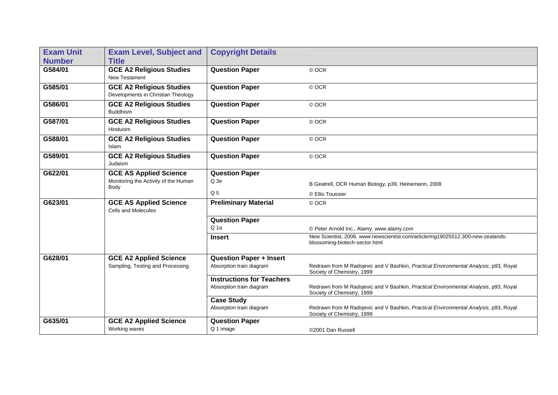| <b>Exam Unit</b> | <b>Exam Level, Subject and</b>                                        | <b>Copyright Details</b>         |                                                                                                                    |
|------------------|-----------------------------------------------------------------------|----------------------------------|--------------------------------------------------------------------------------------------------------------------|
| <b>Number</b>    | <b>Title</b>                                                          |                                  |                                                                                                                    |
| G584/01          | <b>GCE A2 Religious Studies</b><br>New Testament                      | <b>Question Paper</b>            | © OCR                                                                                                              |
| G585/01          | <b>GCE A2 Religious Studies</b><br>Developments in Christian Theology | <b>Question Paper</b>            | © OCR                                                                                                              |
| G586/01          | <b>GCE A2 Religious Studies</b><br><b>Buddhism</b>                    | <b>Question Paper</b>            | © OCR                                                                                                              |
| G587/01          | <b>GCE A2 Religious Studies</b><br><b>Hinduism</b>                    | <b>Question Paper</b>            | © OCR                                                                                                              |
| G588/01          | <b>GCE A2 Religious Studies</b><br>Islam                              | <b>Question Paper</b>            | © OCR                                                                                                              |
| G589/01          | <b>GCE A2 Religious Studies</b><br>Judaism                            | <b>Question Paper</b>            | © OCR                                                                                                              |
| G622/01          | <b>GCE AS Applied Science</b>                                         | <b>Question Paper</b>            |                                                                                                                    |
|                  | Monitoring the Activity of the Human<br>Body                          | Q <sub>3e</sub>                  | B Geatrell, OCR Human Biology, p39, Heinemann, 2008                                                                |
|                  |                                                                       | Q <sub>5</sub>                   | © Ellis Toussier                                                                                                   |
| G623/01          | <b>GCE AS Applied Science</b><br>Cells and Molecules                  | <b>Preliminary Material</b>      | © OCR                                                                                                              |
|                  |                                                                       | <b>Question Paper</b>            |                                                                                                                    |
|                  |                                                                       | Q <sub>1a</sub>                  | © Peter Arnold Inc., Alamy, www.alamy.com                                                                          |
|                  |                                                                       | <b>Insert</b>                    | New Scientist, 2006. www.newscientist.com/article/mg19025512.300-new-zealands-<br>blossoming-biotech-sector.html   |
| G628/01          | <b>GCE A2 Applied Science</b>                                         | <b>Question Paper + Insert</b>   |                                                                                                                    |
|                  | Sampling, Testing and Processing                                      | Absorption train diagram         | Redrawn from M Radojevic and V Bashkin, Practical Environmental Analysis, p93, Royal<br>Society of Chemistry, 1999 |
|                  |                                                                       | <b>Instructions for Teachers</b> |                                                                                                                    |
|                  |                                                                       | Absorption train diagram         | Redrawn from M Radojevic and V Bashkin, Practical Environmental Analysis, p93, Royal<br>Society of Chemistry, 1999 |
|                  |                                                                       | <b>Case Study</b>                |                                                                                                                    |
|                  |                                                                       | Absorption train diagram         | Redrawn from M Radojevic and V Bashkin, Practical Environmental Analysis, p93, Royal<br>Society of Chemistry, 1999 |
| G635/01          | <b>GCE A2 Applied Science</b>                                         | <b>Question Paper</b>            |                                                                                                                    |
|                  | Working waves                                                         | Q 1 image                        | ©2001 Dan Russell                                                                                                  |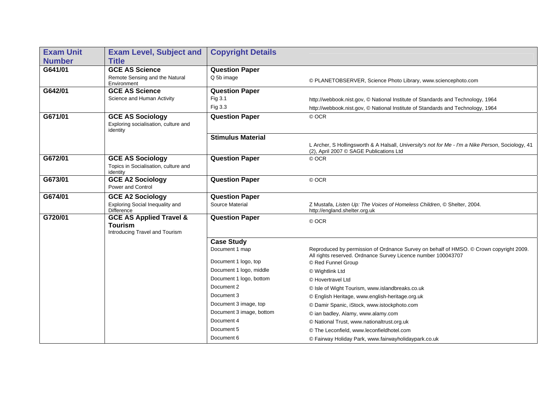| <b>Exam Unit</b> | <b>Exam Level, Subject and</b>                                                         | <b>Copyright Details</b> |                                                                                                                                                         |
|------------------|----------------------------------------------------------------------------------------|--------------------------|---------------------------------------------------------------------------------------------------------------------------------------------------------|
| <b>Number</b>    | <b>Title</b>                                                                           |                          |                                                                                                                                                         |
| G641/01          | <b>GCE AS Science</b>                                                                  | <b>Question Paper</b>    |                                                                                                                                                         |
|                  | Remote Sensing and the Natural<br>Environment                                          | Q 5b image               | © PLANETOBSERVER, Science Photo Library, www.sciencephoto.com                                                                                           |
| G642/01          | <b>GCE AS Science</b>                                                                  | <b>Question Paper</b>    |                                                                                                                                                         |
|                  | Science and Human Activity                                                             | Fig 3.1                  | http://webbook.nist.gov, © National Institute of Standards and Technology, 1964                                                                         |
|                  |                                                                                        | Fig 3.3                  | http://webbook.nist.gov, © National Institute of Standards and Technology, 1964                                                                         |
| G671/01          | <b>GCE AS Sociology</b><br>Exploring socialisation, culture and<br>identity            | <b>Question Paper</b>    | © OCR                                                                                                                                                   |
|                  |                                                                                        | <b>Stimulus Material</b> |                                                                                                                                                         |
|                  |                                                                                        |                          | L Archer, S Hollingsworth & A Halsall, University's not for Me - I'm a Nike Person, Sociology, 41<br>(2). April 2007 © SAGE Publications Ltd            |
| G672/01          | <b>GCE AS Sociology</b><br>Topics in Socialisation, culture and<br>identity            | <b>Question Paper</b>    | © OCR                                                                                                                                                   |
| G673/01          | <b>GCE A2 Sociology</b><br>Power and Control                                           | <b>Question Paper</b>    | © OCR                                                                                                                                                   |
| G674/01          | <b>GCE A2 Sociology</b>                                                                | <b>Question Paper</b>    |                                                                                                                                                         |
|                  | Exploring Social Inequality and<br><b>Difference</b>                                   | Source Material          | Z Mustafa, Listen Up: The Voices of Homeless Children, © Shelter, 2004.<br>http://england.shelter.org.uk                                                |
| G720/01          | <b>GCE AS Applied Travel &amp;</b><br><b>Tourism</b><br>Introducing Travel and Tourism | <b>Question Paper</b>    | © OCR                                                                                                                                                   |
|                  |                                                                                        | <b>Case Study</b>        |                                                                                                                                                         |
|                  |                                                                                        | Document 1 map           | Reproduced by permission of Ordnance Survey on behalf of HMSO. © Crown copyright 2009.<br>All rights reserved. Ordnance Survey Licence number 100043707 |
|                  |                                                                                        | Document 1 logo, top     | © Red Funnel Group                                                                                                                                      |
|                  |                                                                                        | Document 1 logo, middle  | © Wightlink Ltd                                                                                                                                         |
|                  |                                                                                        | Document 1 logo, bottom  | © Hovertravel Ltd                                                                                                                                       |
|                  |                                                                                        | Document 2               | © Isle of Wight Tourism, www.islandbreaks.co.uk                                                                                                         |
|                  |                                                                                        | Document 3               | © English Heritage, www.english-heritage.org.uk                                                                                                         |
|                  |                                                                                        | Document 3 image, top    | © Damir Spanic, iStock, www.istockphoto.com                                                                                                             |
|                  |                                                                                        | Document 3 image, bottom | © ian badley, Alamy, www.alamy.com                                                                                                                      |
|                  |                                                                                        | Document 4               | © National Trust, www.nationaltrust.org.uk                                                                                                              |
|                  |                                                                                        | Document 5               | © The Leconfield, www.leconfieldhotel.com                                                                                                               |
|                  |                                                                                        | Document 6               | © Fairway Holiday Park, www.fairwayholidaypark.co.uk                                                                                                    |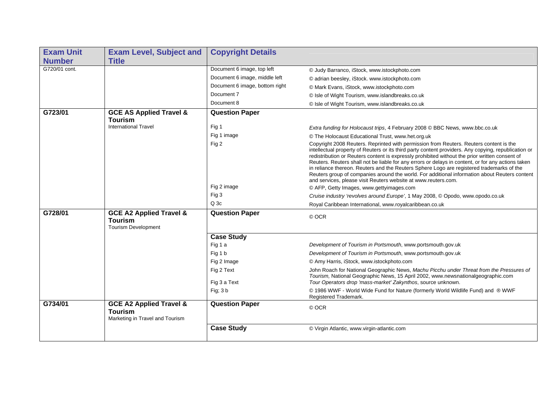| <b>Exam Unit</b> | <b>Exam Level, Subject and</b>                                                          | <b>Copyright Details</b>       |                                                                                                                                                                                                                                                                                                                                                                                                                                                                                                                                                                                                                                                                        |
|------------------|-----------------------------------------------------------------------------------------|--------------------------------|------------------------------------------------------------------------------------------------------------------------------------------------------------------------------------------------------------------------------------------------------------------------------------------------------------------------------------------------------------------------------------------------------------------------------------------------------------------------------------------------------------------------------------------------------------------------------------------------------------------------------------------------------------------------|
| <b>Number</b>    | <b>Title</b>                                                                            |                                |                                                                                                                                                                                                                                                                                                                                                                                                                                                                                                                                                                                                                                                                        |
| G720/01 cont.    |                                                                                         | Document 6 image, top left     | © Judy Barranco, iStock, www.istockphoto.com                                                                                                                                                                                                                                                                                                                                                                                                                                                                                                                                                                                                                           |
|                  |                                                                                         | Document 6 image, middle left  | © adrian beesley, iStock. www.istockphoto.com                                                                                                                                                                                                                                                                                                                                                                                                                                                                                                                                                                                                                          |
|                  |                                                                                         | Document 6 image, bottom right | © Mark Evans, iStock, www.istockphoto.com                                                                                                                                                                                                                                                                                                                                                                                                                                                                                                                                                                                                                              |
|                  |                                                                                         | Document 7                     | © Isle of Wight Tourism, www.islandbreaks.co.uk                                                                                                                                                                                                                                                                                                                                                                                                                                                                                                                                                                                                                        |
|                  |                                                                                         | Document 8                     | © Isle of Wight Tourism, www.islandbreaks.co.uk                                                                                                                                                                                                                                                                                                                                                                                                                                                                                                                                                                                                                        |
| G723/01          | <b>GCE AS Applied Travel &amp;</b><br><b>Tourism</b>                                    | <b>Question Paper</b>          |                                                                                                                                                                                                                                                                                                                                                                                                                                                                                                                                                                                                                                                                        |
|                  | <b>International Travel</b>                                                             | Fig 1                          | Extra funding for Holocaust trips, 4 February 2008 © BBC News, www.bbc.co.uk                                                                                                                                                                                                                                                                                                                                                                                                                                                                                                                                                                                           |
|                  |                                                                                         | Fig 1 image                    | © The Holocaust Educational Trust, www.het.org.uk                                                                                                                                                                                                                                                                                                                                                                                                                                                                                                                                                                                                                      |
|                  |                                                                                         | Fig 2                          | Copyright 2008 Reuters. Reprinted with permission from Reuters. Reuters content is the<br>intellectual property of Reuters or its third party content providers. Any copying, republication or<br>redistribution or Reuters content is expressly prohibited without the prior written consent of<br>Reuters. Reuters shall not be liable for any errors or delays in content, or for any actions taken<br>in reliance thereon. Reuters and the Reuters Sphere Logo are registered trademarks of the<br>Reuters group of companies around the world. For additional information about Reuters content<br>and services, please visit Reuters website at www.reuters.com. |
|                  |                                                                                         | Fig 2 image                    | © AFP, Getty Images, www.gettyimages.com                                                                                                                                                                                                                                                                                                                                                                                                                                                                                                                                                                                                                               |
|                  |                                                                                         | Fig 3                          | Cruise industry 'revolves around Europe', 1 May 2008, © Opodo, www.opodo.co.uk                                                                                                                                                                                                                                                                                                                                                                                                                                                                                                                                                                                         |
|                  |                                                                                         | $Q$ 3 $c$                      | Royal Caribbean International, www.royalcaribbean.co.uk                                                                                                                                                                                                                                                                                                                                                                                                                                                                                                                                                                                                                |
| G728/01          | <b>GCE A2 Applied Travel &amp;</b><br><b>Tourism</b><br><b>Tourism Development</b>      | <b>Question Paper</b>          | © OCR                                                                                                                                                                                                                                                                                                                                                                                                                                                                                                                                                                                                                                                                  |
|                  |                                                                                         | <b>Case Study</b>              |                                                                                                                                                                                                                                                                                                                                                                                                                                                                                                                                                                                                                                                                        |
|                  |                                                                                         | Fig 1 a                        | Development of Tourism in Portsmouth, www.portsmouth.gov.uk                                                                                                                                                                                                                                                                                                                                                                                                                                                                                                                                                                                                            |
|                  |                                                                                         | Fig 1 b                        | Development of Tourism in Portsmouth, www.portsmouth.gov.uk                                                                                                                                                                                                                                                                                                                                                                                                                                                                                                                                                                                                            |
|                  |                                                                                         | Fig 2 Image                    | © Amy Harris, iStock, www.istockphoto.com                                                                                                                                                                                                                                                                                                                                                                                                                                                                                                                                                                                                                              |
|                  |                                                                                         | Fig 2 Text<br>Fig 3 a Text     | John Roach for National Geographic News, Machu Picchu under Threat from the Pressures of<br>Tourism, National Geographic News, 15 April 2002, www.newsnationalgeographic.com<br>Tour Operators drop 'mass-market' Zakynthos, source unknown.                                                                                                                                                                                                                                                                                                                                                                                                                           |
|                  |                                                                                         |                                |                                                                                                                                                                                                                                                                                                                                                                                                                                                                                                                                                                                                                                                                        |
|                  |                                                                                         | Fig; 3 b                       | © 1986 WWF - World Wide Fund for Nature (formerly World Wildlife Fund) and ® WWF<br>Registered Trademark.                                                                                                                                                                                                                                                                                                                                                                                                                                                                                                                                                              |
| G734/01          | <b>GCE A2 Applied Travel &amp;</b><br><b>Tourism</b><br>Marketing in Travel and Tourism | <b>Question Paper</b>          | © OCR                                                                                                                                                                                                                                                                                                                                                                                                                                                                                                                                                                                                                                                                  |
|                  |                                                                                         | <b>Case Study</b>              | © Virgin Atlantic, www.virgin-atlantic.com                                                                                                                                                                                                                                                                                                                                                                                                                                                                                                                                                                                                                             |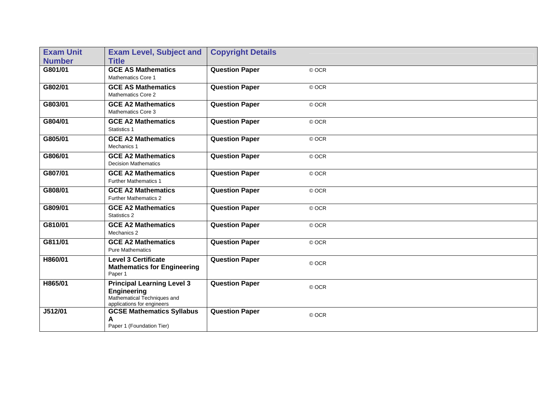| <b>Exam Unit</b> | <b>Exam Level, Subject and</b>                                                                                       | <b>Copyright Details</b> |       |
|------------------|----------------------------------------------------------------------------------------------------------------------|--------------------------|-------|
| <b>Number</b>    | <b>Title</b>                                                                                                         |                          |       |
| G801/01          | <b>GCE AS Mathematics</b><br><b>Mathematics Core 1</b>                                                               | <b>Question Paper</b>    | © OCR |
| G802/01          | <b>GCE AS Mathematics</b><br><b>Mathematics Core 2</b>                                                               | <b>Question Paper</b>    | © OCR |
| G803/01          | <b>GCE A2 Mathematics</b><br>Mathematics Core 3                                                                      | <b>Question Paper</b>    | © OCR |
| G804/01          | <b>GCE A2 Mathematics</b><br>Statistics 1                                                                            | <b>Question Paper</b>    | © OCR |
| G805/01          | <b>GCE A2 Mathematics</b><br>Mechanics 1                                                                             | <b>Question Paper</b>    | © OCR |
| G806/01          | <b>GCE A2 Mathematics</b><br><b>Decision Mathematics</b>                                                             | <b>Question Paper</b>    | © OCR |
| G807/01          | <b>GCE A2 Mathematics</b><br><b>Further Mathematics 1</b>                                                            | <b>Question Paper</b>    | © OCR |
| G808/01          | <b>GCE A2 Mathematics</b><br><b>Further Mathematics 2</b>                                                            | <b>Question Paper</b>    | © OCR |
| G809/01          | <b>GCE A2 Mathematics</b><br>Statistics 2                                                                            | <b>Question Paper</b>    | © OCR |
| G810/01          | <b>GCE A2 Mathematics</b><br>Mechanics 2                                                                             | <b>Question Paper</b>    | © OCR |
| G811/01          | <b>GCE A2 Mathematics</b><br><b>Pure Mathematics</b>                                                                 | <b>Question Paper</b>    | © OCR |
| H860/01          | <b>Level 3 Certificate</b><br><b>Mathematics for Engineering</b><br>Paper 1                                          | <b>Question Paper</b>    | © OCR |
| H865/01          | <b>Principal Learning Level 3</b><br><b>Engineering</b><br>Mathematical Techniques and<br>applications for engineers | <b>Question Paper</b>    | © OCR |
| J512/01          | <b>GCSE Mathematics Syllabus</b><br>Α<br>Paper 1 (Foundation Tier)                                                   | <b>Question Paper</b>    | © OCR |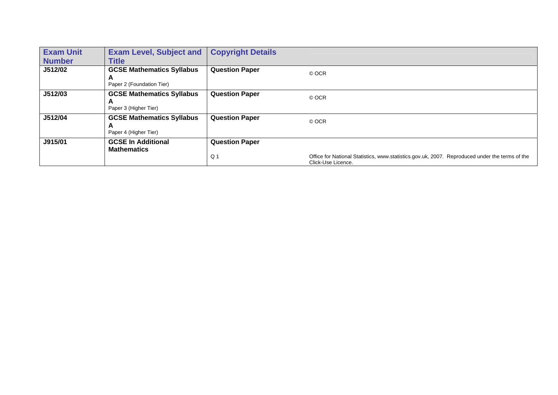| <b>Exam Unit</b> | <b>Exam Level, Subject and</b>                                     | <b>Copyright Details</b> |                                                                                                                      |
|------------------|--------------------------------------------------------------------|--------------------------|----------------------------------------------------------------------------------------------------------------------|
| <b>Number</b>    | <b>Title</b>                                                       |                          |                                                                                                                      |
| J512/02          | <b>GCSE Mathematics Syllabus</b><br>A<br>Paper 2 (Foundation Tier) | <b>Question Paper</b>    | © OCR                                                                                                                |
| J512/03          | <b>GCSE Mathematics Syllabus</b><br>A<br>Paper 3 (Higher Tier)     | <b>Question Paper</b>    | © OCR                                                                                                                |
| J512/04          | <b>GCSE Mathematics Syllabus</b><br>A<br>Paper 4 (Higher Tier)     | <b>Question Paper</b>    | © OCR                                                                                                                |
| J915/01          | <b>GCSE In Additional</b><br>Mathematics                           | <b>Question Paper</b>    |                                                                                                                      |
|                  |                                                                    | Q 1                      | Office for National Statistics, www.statistics.gov.uk, 2007. Reproduced under the terms of the<br>Click-Use Licence. |